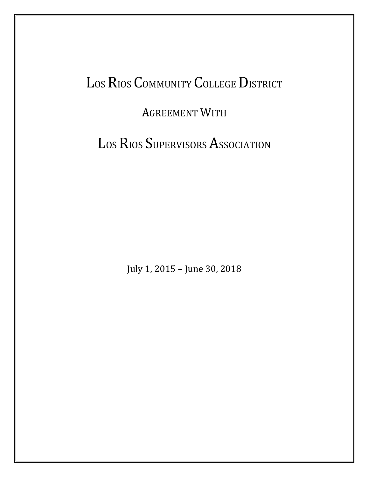# LOS RIOS COMMUNITY COLLEGE DISTRICT

### AGREEMENT WITH

LOS RIOS SUPERVISORS ASSOCIATION

July 1, 2015 – June 30, 2018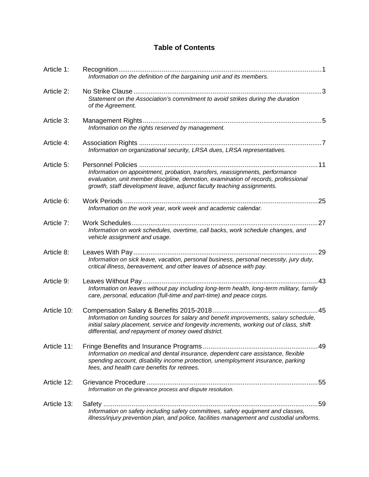### **Table of Contents**

| Article 1:  | Information on the definition of the bargaining unit and its members.                                                                                                                                                                        |
|-------------|----------------------------------------------------------------------------------------------------------------------------------------------------------------------------------------------------------------------------------------------|
| Article 2:  | . 3<br>Statement on the Association's commitment to avoid strikes during the duration<br>of the Agreement.                                                                                                                                   |
| Article 3:  | Information on the rights reserved by management.                                                                                                                                                                                            |
| Article 4:  | Information on organizational security, LRSA dues, LRSA representatives.                                                                                                                                                                     |
| Article 5:  | Information on appointment, probation, transfers, reassignments, performance<br>evaluation, unit member discipline, demotion, examination of records, professional<br>growth, staff development leave, adjunct faculty teaching assignments. |
| Article 6:  | .25<br>Information on the work year, work week and academic calendar.                                                                                                                                                                        |
| Article 7:  | .27<br>Information on work schedules, overtime, call backs, work schedule changes, and<br>vehicle assignment and usage.                                                                                                                      |
| Article 8:  | 29<br>Information on sick leave, vacation, personal business, personal necessity, jury duty,<br>critical illness, bereavement, and other leaves of absence with pay.                                                                         |
| Article 9:  | .43                                                                                                                                                                                                                                          |
|             | Information on leaves without pay including long-term health, long-term military, family<br>care, personal, education (full-time and part-time) and peace corps.                                                                             |
| Article 10: | Information on funding sources for salary and benefit improvements, salary schedule,<br>initial salary placement, service and longevity increments, working out of class, shift<br>differential, and repayment of money owed district.       |
| Article 11: | . 49<br>Information on medical and dental insurance, dependent care assistance, flexible<br>spending account, disability income protection, unemployment insurance, parking<br>fees, and health care benefits for retirees.                  |
| Article 12: | Information on the grievance process and dispute resolution.                                                                                                                                                                                 |
| Article 13: | 59<br>Information on safety including safety committees, safety equipment and classes,<br>illness/injury prevention plan, and police, facilities management and custodial uniforms.                                                          |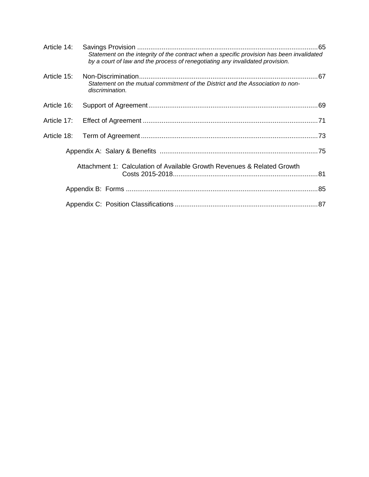| Article 14: | Statement on the integrity of the contract when a specific provision has been invalidated<br>by a court of law and the process of renegotiating any invalidated provision. |  |
|-------------|----------------------------------------------------------------------------------------------------------------------------------------------------------------------------|--|
| Article 15: | Statement on the mutual commitment of the District and the Association to non-<br>discrimination.                                                                          |  |
| Article 16: |                                                                                                                                                                            |  |
| Article 17: |                                                                                                                                                                            |  |
| Article 18: |                                                                                                                                                                            |  |
|             |                                                                                                                                                                            |  |
|             | Attachment 1: Calculation of Available Growth Revenues & Related Growth                                                                                                    |  |
|             |                                                                                                                                                                            |  |
|             |                                                                                                                                                                            |  |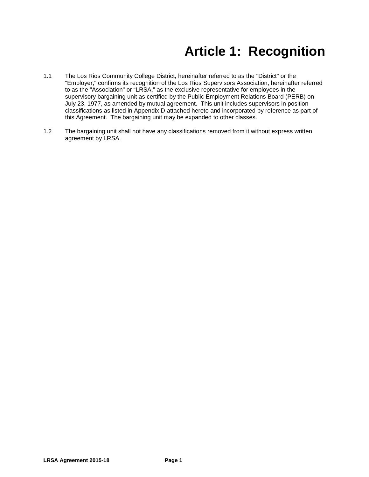## **Article 1: Recognition**

- 1.1 The Los Rios Community College District, hereinafter referred to as the "District" or the "Employer," confirms its recognition of the Los Rios Supervisors Association, hereinafter referred to as the "Association" or "LRSA," as the exclusive representative for employees in the supervisory bargaining unit as certified by the Public Employment Relations Board (PERB) on July 23, 1977, as amended by mutual agreement. This unit includes supervisors in position classifications as listed in Appendix D attached hereto and incorporated by reference as part of this Agreement. The bargaining unit may be expanded to other classes.
- 1.2 The bargaining unit shall not have any classifications removed from it without express written agreement by LRSA.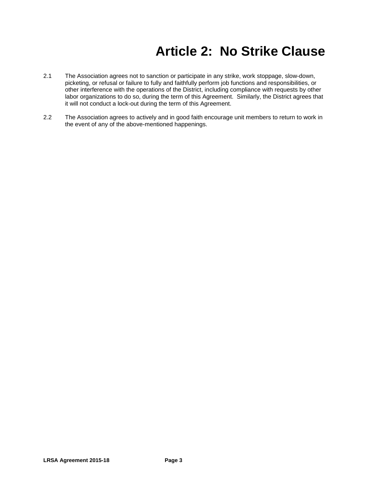## **Article 2: No Strike Clause**

- 2.1 The Association agrees not to sanction or participate in any strike, work stoppage, slow-down, picketing, or refusal or failure to fully and faithfully perform job functions and responsibilities, or other interference with the operations of the District, including compliance with requests by other labor organizations to do so, during the term of this Agreement. Similarly, the District agrees that it will not conduct a lock-out during the term of this Agreement.
- 2.2 The Association agrees to actively and in good faith encourage unit members to return to work in the event of any of the above-mentioned happenings.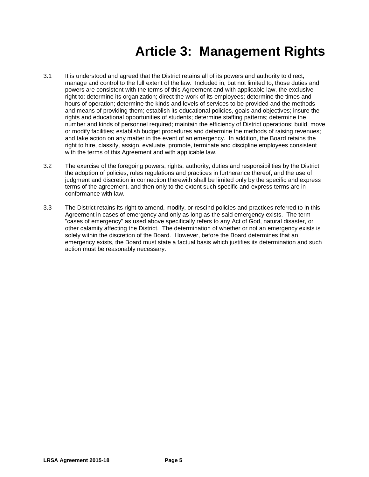## **Article 3: Management Rights**

- 3.1 It is understood and agreed that the District retains all of its powers and authority to direct, manage and control to the full extent of the law. Included in, but not limited to, those duties and powers are consistent with the terms of this Agreement and with applicable law, the exclusive right to: determine its organization; direct the work of its employees; determine the times and hours of operation; determine the kinds and levels of services to be provided and the methods and means of providing them; establish its educational policies, goals and objectives; insure the rights and educational opportunities of students; determine staffing patterns; determine the number and kinds of personnel required; maintain the efficiency of District operations; build, move or modify facilities; establish budget procedures and determine the methods of raising revenues; and take action on any matter in the event of an emergency. In addition, the Board retains the right to hire, classify, assign, evaluate, promote, terminate and discipline employees consistent with the terms of this Agreement and with applicable law.
- 3.2 The exercise of the foregoing powers, rights, authority, duties and responsibilities by the District, the adoption of policies, rules regulations and practices in furtherance thereof, and the use of judgment and discretion in connection therewith shall be limited only by the specific and express terms of the agreement, and then only to the extent such specific and express terms are in conformance with law.
- 3.3 The District retains its right to amend, modify, or rescind policies and practices referred to in this Agreement in cases of emergency and only as long as the said emergency exists. The term "cases of emergency" as used above specifically refers to any Act of God, natural disaster, or other calamity affecting the District. The determination of whether or not an emergency exists is solely within the discretion of the Board. However, before the Board determines that an emergency exists, the Board must state a factual basis which justifies its determination and such action must be reasonably necessary.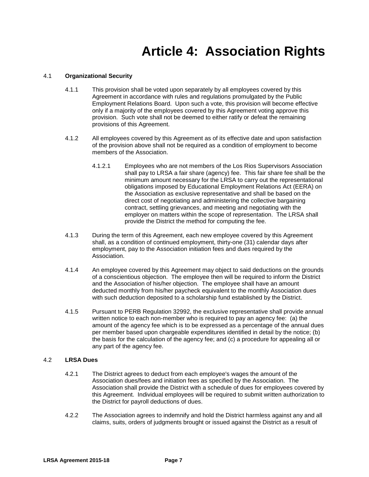### **Article 4: Association Rights**

#### 4.1 **Organizational Security**

- 4.1.1 This provision shall be voted upon separately by all employees covered by this Agreement in accordance with rules and regulations promulgated by the Public Employment Relations Board. Upon such a vote, this provision will become effective only if a majority of the employees covered by this Agreement voting approve this provision. Such vote shall not be deemed to either ratify or defeat the remaining provisions of this Agreement.
- 4.1.2 All employees covered by this Agreement as of its effective date and upon satisfaction of the provision above shall not be required as a condition of employment to become members of the Association.
	- 4.1.2.1 Employees who are not members of the Los Rios Supervisors Association shall pay to LRSA a fair share (agency) fee. This fair share fee shall be the minimum amount necessary for the LRSA to carry out the representational obligations imposed by Educational Employment Relations Act (EERA) on the Association as exclusive representative and shall be based on the direct cost of negotiating and administering the collective bargaining contract, settling grievances, and meeting and negotiating with the employer on matters within the scope of representation. The LRSA shall provide the District the method for computing the fee.
- 4.1.3 During the term of this Agreement, each new employee covered by this Agreement shall, as a condition of continued employment, thirty-one (31) calendar days after employment, pay to the Association initiation fees and dues required by the Association.
- 4.1.4 An employee covered by this Agreement may object to said deductions on the grounds of a conscientious objection. The employee then will be required to inform the District and the Association of his/her objection. The employee shall have an amount deducted monthly from his/her paycheck equivalent to the monthly Association dues with such deduction deposited to a scholarship fund established by the District.
- 4.1.5 Pursuant to PERB Regulation 32992, the exclusive representative shall provide annual written notice to each non-member who is required to pay an agency fee: (a) the amount of the agency fee which is to be expressed as a percentage of the annual dues per member based upon chargeable expenditures identified in detail by the notice; (b) the basis for the calculation of the agency fee; and (c) a procedure for appealing all or any part of the agency fee.

#### 4.2 **LRSA Dues**

- 4.2.1 The District agrees to deduct from each employee's wages the amount of the Association dues/fees and initiation fees as specified by the Association. The Association shall provide the District with a schedule of dues for employees covered by this Agreement. Individual employees will be required to submit written authorization to the District for payroll deductions of dues.
- 4.2.2 The Association agrees to indemnify and hold the District harmless against any and all claims, suits, orders of judgments brought or issued against the District as a result of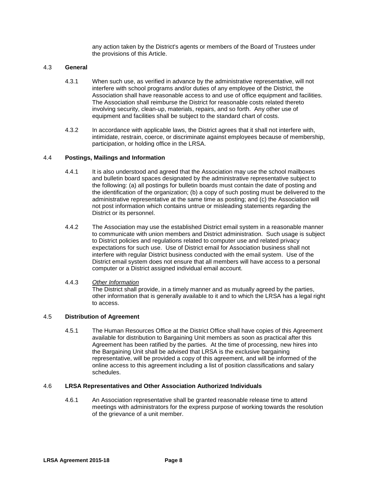any action taken by the District's agents or members of the Board of Trustees under the provisions of this Article.

#### 4.3 **General**

- 4.3.1 When such use, as verified in advance by the administrative representative, will not interfere with school programs and/or duties of any employee of the District, the Association shall have reasonable access to and use of office equipment and facilities. The Association shall reimburse the District for reasonable costs related thereto involving security, clean-up, materials, repairs, and so forth. Any other use of equipment and facilities shall be subject to the standard chart of costs.
- 4.3.2 In accordance with applicable laws, the District agrees that it shall not interfere with, intimidate, restrain, coerce, or discriminate against employees because of membership, participation, or holding office in the LRSA.

#### 4.4 **Postings, Mailings and Information**

- 4.4.1 It is also understood and agreed that the Association may use the school mailboxes and bulletin board spaces designated by the administrative representative subject to the following: (a) all postings for bulletin boards must contain the date of posting and the identification of the organization; (b) a copy of such posting must be delivered to the administrative representative at the same time as posting; and (c) the Association will not post information which contains untrue or misleading statements regarding the District or its personnel.
- 4.4.2 The Association may use the established District email system in a reasonable manner to communicate with union members and District administration. Such usage is subject to District policies and regulations related to computer use and related privacy expectations for such use. Use of District email for Association business shall not interfere with regular District business conducted with the email system. Use of the District email system does not ensure that all members will have access to a personal computer or a District assigned individual email account.

#### 4.4.3 *Other Information*

The District shall provide, in a timely manner and as mutually agreed by the parties, other information that is generally available to it and to which the LRSA has a legal right to access.

#### 4.5 **Distribution of Agreement**

4.5.1 The Human Resources Office at the District Office shall have copies of this Agreement available for distribution to Bargaining Unit members as soon as practical after this Agreement has been ratified by the parties. At the time of processing, new hires into the Bargaining Unit shall be advised that LRSA is the exclusive bargaining representative, will be provided a copy of this agreement, and will be informed of the online access to this agreement including a list of position classifications and salary schedules.

#### 4.6 **LRSA Representatives and Other Association Authorized Individuals**

4.6.1 An Association representative shall be granted reasonable release time to attend meetings with administrators for the express purpose of working towards the resolution of the grievance of a unit member.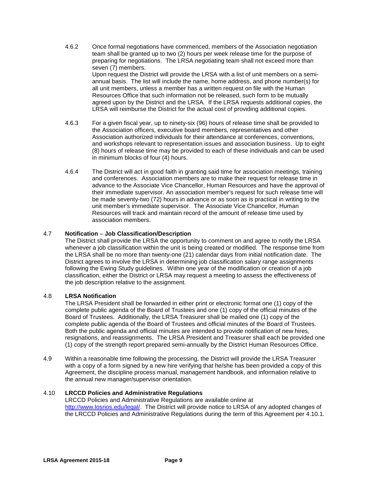- 4.6.2 Once formal negotiations have commenced, members of the Association negotiation team shall be granted up to two (2) hours per week release time for the purpose of preparing for negotiations. The LRSA negotiating team shall not exceed more than seven (7) members. Upon request the District will provide the LRSA with a list of unit members on a semiannual basis. The list will include the name, home address, and phone number(s) for all unit members, unless a member has a written request on file with the Human Resources Office that such information not be released, such form to be mutually agreed upon by the District and the LRSA. If the LRSA requests additional copies, the LRSA will reimburse the District for the actual cost of providing additional copies.
- 4.6.3 For a given fiscal year, up to ninety-six (96) hours of release time shall be provided to the Association officers, executive board members, representatives and other Association authorized individuals for their attendance at conferences, conventions, and workshops relevant to representation issues and association business. Up to eight (8) hours of release time may be provided to each of these individuals and can be used in minimum blocks of four (4) hours.
- 4.6.4 The District will act in good faith in granting said time for association meetings, training and conferences. Association members are to make their request for release time in advance to the Associate Vice Chancellor, Human Resources and have the approval of their immediate supervisor. An association member's request for such release time will be made seventy-two (72) hours in advance or as soon as is practical in writing to the unit member's immediate supervisor. The Associate Vice Chancellor, Human Resources will track and maintain record of the amount of release time used by association members.

#### 4.7 **Notification** *–* **Job Classification/Description**

The District shall provide the LRSA the opportunity to comment on and agree to notify the LRSA whenever a job classification within the unit is being created or modified. The response time from the LRSA shall be no more than twenty-one (21) calendar days from initial notification date. The District agrees to involve the LRSA in determining job classification salary range assignments following the Ewing Study guidelines. Within one year of the modification or creation of a job classification, either the District or LRSA may request a meeting to assess the effectiveness of the job description relative to the assignment.

#### 4.8 **LRSA Notification**

The LRSA President shall be forwarded in either print or electronic format one (1) copy of the complete public agenda of the Board of Trustees and one (1) copy of the official minutes of the Board of Trustees. Additionally, the LRSA Treasurer shall be mailed one (1) copy of the complete public agenda of the Board of Trustees and official minutes of the Board of Trustees. Both the public agenda and official minutes are intended to provide notification of new hires, resignations, and reassignments. The LRSA President and Treasurer shall each be provided one (1) copy of the strength report prepared semi-annually by the District Human Resources Office.

4.9 Within a reasonable time following the processing, the District will provide the LRSA Treasurer with a copy of a form signed by a new hire verifying that he/she has been provided a copy of this Agreement, the discipline process manual, management handbook, and information relative to the annual new manager/supervisor orientation.

#### 4.10 **LRCCD Policies and Administrative Regulations**

LRCCD Policies and Administrative Regulations are available online at [http://www.losrios.edu/legal/.](http://www.losrios.edu/legal/) The District will provide notice to LRSA of any adopted changes of the LRCCD Policies and Administrative Regulations during the term of this Agreement per 4.10.1.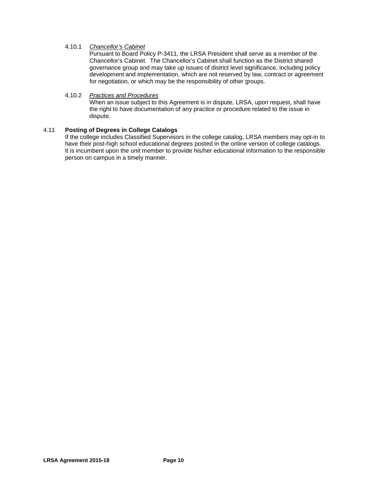#### 4.10.1 *Chancellor's Cabinet*

Pursuant to Board Policy P-3411, the LRSA President shall serve as a member of the Chancellor's Cabinet. The Chancellor's Cabinet shall function as the District shared governance group and may take up issues of district level significance, including policy development and implementation, which are not reserved by law, contract or agreement for negotiation, or which may be the responsibility of other groups.

#### 4.10.2 *Practices and Procedures*

When an issue subject to this Agreement is in dispute, LRSA, upon request, shall have the right to have documentation of any practice or procedure related to the issue in dispute.

#### 4.11 **Posting of Degrees in College Catalogs**

If the college includes Classified Supervisors in the college catalog, LRSA members may opt-in to have their post-high school educational degrees posted in the online version of college catalogs. It is incumbent upon the unit member to provide his/her educational information to the responsible person on campus in a timely manner.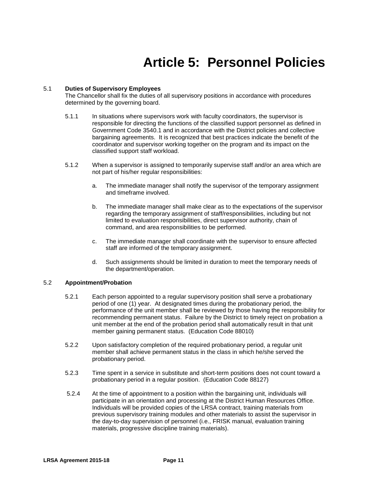# **Article 5: Personnel Policies**

#### 5.1 **Duties of Supervisory Employees**

The Chancellor shall fix the duties of all supervisory positions in accordance with procedures determined by the governing board.

- 5.1.1 In situations where supervisors work with faculty coordinators, the supervisor is responsible for directing the functions of the classified support personnel as defined in Government Code 3540.1 and in accordance with the District policies and collective bargaining agreements. It is recognized that best practices indicate the benefit of the coordinator and supervisor working together on the program and its impact on the classified support staff workload.
- 5.1.2 When a supervisor is assigned to temporarily supervise staff and/or an area which are not part of his/her regular responsibilities:
	- a. The immediate manager shall notify the supervisor of the temporary assignment and timeframe involved.
	- b. The immediate manager shall make clear as to the expectations of the supervisor regarding the temporary assignment of staff/responsibilities, including but not limited to evaluation responsibilities, direct supervisor authority, chain of command, and area responsibilities to be performed.
	- c. The immediate manager shall coordinate with the supervisor to ensure affected staff are informed of the temporary assignment.
	- d. Such assignments should be limited in duration to meet the temporary needs of the department/operation.

#### 5.2 **Appointment/Probation**

- 5.2.1 Each person appointed to a regular supervisory position shall serve a probationary period of one (1) year. At designated times during the probationary period, the performance of the unit member shall be reviewed by those having the responsibility for recommending permanent status. Failure by the District to timely reject on probation a unit member at the end of the probation period shall automatically result in that unit member gaining permanent status. (Education Code 88010)
- 5.2.2 Upon satisfactory completion of the required probationary period, a regular unit member shall achieve permanent status in the class in which he/she served the probationary period.
- 5.2.3 Time spent in a service in substitute and short-term positions does not count toward a probationary period in a regular position. (Education Code 88127)
- 5.2.4 At the time of appointment to a position within the bargaining unit, individuals will participate in an orientation and processing at the District Human Resources Office. Individuals will be provided copies of the LRSA contract, training materials from previous supervisory training modules and other materials to assist the supervisor in the day-to-day supervision of personnel (i.e., FRISK manual, evaluation training materials, progressive discipline training materials).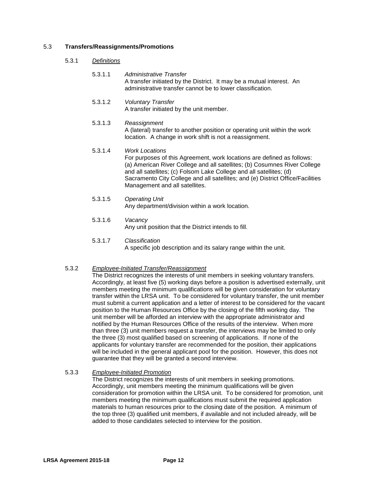#### 5.3 **Transfers/Reassignments/Promotions**

- 5.3.1 *Definitions*
	- 5.3.1.1 *Administrative Transfer* A transfer initiated by the District. It may be a mutual interest. An administrative transfer cannot be to lower classification.
	- 5.3.1.2 *Voluntary Transfer* A transfer initiated by the unit member.

#### 5.3.1.3 *Reassignment* A (lateral) transfer to another position or operating unit within the work location. A change in work shift is not a reassignment.

#### 5.3.1.4 *Work Locations* For purposes of this Agreement, work locations are defined as follows: (a) American River College and all satellites; (b) Cosumnes River College and all satellites; (c) Folsom Lake College and all satellites; (d) Sacramento City College and all satellites; and (e) District Office/Facilities Management and all satellites.

- 5.3.1.5 *Operating Unit* Any department/division within a work location.
- 5.3.1.6 *Vacancy* Any unit position that the District intends to fill.

#### 5.3.1.7 *Classification*

A specific job description and its salary range within the unit.

#### 5.3.2 *Employee-Initiated Transfer/Reassignment*

The District recognizes the interests of unit members in seeking voluntary transfers. Accordingly, at least five (5) working days before a position is advertised externally, unit members meeting the minimum qualifications will be given consideration for voluntary transfer within the LRSA unit. To be considered for voluntary transfer, the unit member must submit a current application and a letter of interest to be considered for the vacant position to the Human Resources Office by the closing of the fifth working day. The unit member will be afforded an interview with the appropriate administrator and notified by the Human Resources Office of the results of the interview. When more than three (3) unit members request a transfer, the interviews may be limited to only the three (3) most qualified based on screening of applications. If none of the applicants for voluntary transfer are recommended for the position, their applications will be included in the general applicant pool for the position. However, this does not guarantee that they will be granted a second interview.

#### 5.3.3 *Employee-Initiated Promotion*

The District recognizes the interests of unit members in seeking promotions. Accordingly, unit members meeting the minimum qualifications will be given consideration for promotion within the LRSA unit. To be considered for promotion, unit members meeting the minimum qualifications must submit the required application materials to human resources prior to the closing date of the position. A minimum of the top three (3) qualified unit members, if available and not included already, will be added to those candidates selected to interview for the position.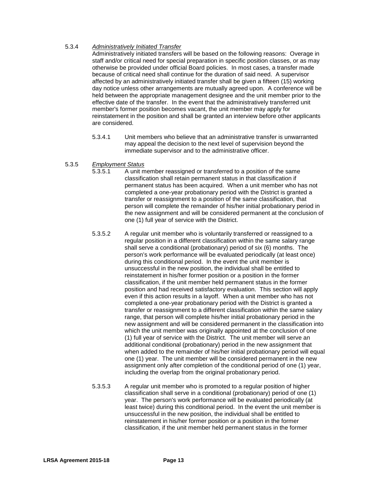#### 5.3.4 *Administratively Initiated Transfer*

Administratively initiated transfers will be based on the following reasons: Overage in staff and/or critical need for special preparation in specific position classes, or as may otherwise be provided under official Board policies. In most cases, a transfer made because of critical need shall continue for the duration of said need. A supervisor affected by an administratively initiated transfer shall be given a fifteen (15) working day notice unless other arrangements are mutually agreed upon. A conference will be held between the appropriate management designee and the unit member prior to the effective date of the transfer. In the event that the administratively transferred unit member's former position becomes vacant, the unit member may apply for reinstatement in the position and shall be granted an interview before other applicants are considered.

5.3.4.1 Unit members who believe that an administrative transfer is unwarranted may appeal the decision to the next level of supervision beyond the immediate supervisor and to the administrative officer.

#### 5.3.5 *Employment Status*

- 5.3.5.1 A unit member reassigned or transferred to a position of the same classification shall retain permanent status in that classification if permanent status has been acquired. When a unit member who has not completed a one-year probationary period with the District is granted a transfer or reassignment to a position of the same classification, that person will complete the remainder of his/her initial probationary period in the new assignment and will be considered permanent at the conclusion of one (1) full year of service with the District.
- 5.3.5.2 A regular unit member who is voluntarily transferred or reassigned to a regular position in a different classification within the same salary range shall serve a conditional (probationary) period of six (6) months. The person's work performance will be evaluated periodically (at least once) during this conditional period. In the event the unit member is unsuccessful in the new position, the individual shall be entitled to reinstatement in his/her former position or a position in the former classification, if the unit member held permanent status in the former position and had received satisfactory evaluation. This section will apply even if this action results in a layoff. When a unit member who has not completed a one-year probationary period with the District is granted a transfer or reassignment to a different classification within the same salary range, that person will complete his/her initial probationary period in the new assignment and will be considered permanent in the classification into which the unit member was originally appointed at the conclusion of one (1) full year of service with the District. The unit member will serve an additional conditional (probationary) period in the new assignment that when added to the remainder of his/her initial probationary period will equal one (1) year. The unit member will be considered permanent in the new assignment only after completion of the conditional period of one (1) year, including the overlap from the original probationary period.
- 5.3.5.3 A regular unit member who is promoted to a regular position of higher classification shall serve in a conditional (probationary) period of one (1) year. The person's work performance will be evaluated periodically (at least twice) during this conditional period. In the event the unit member is unsuccessful in the new position, the individual shall be entitled to reinstatement in his/her former position or a position in the former classification, if the unit member held permanent status in the former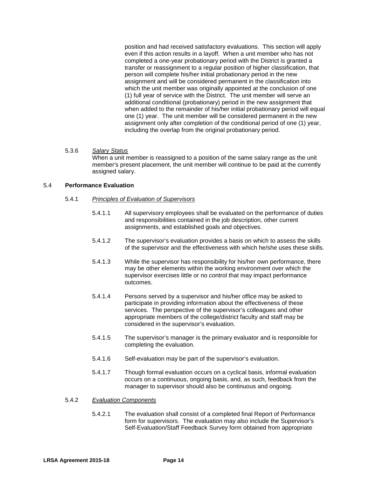position and had received satisfactory evaluations. This section will apply even if this action results in a layoff. When a unit member who has not completed a one-year probationary period with the District is granted a transfer or reassignment to a regular position of higher classification, that person will complete his/her initial probationary period in the new assignment and will be considered permanent in the classification into which the unit member was originally appointed at the conclusion of one (1) full year of service with the District. The unit member will serve an additional conditional (probationary) period in the new assignment that when added to the remainder of his/her initial probationary period will equal one (1) year. The unit member will be considered permanent in the new assignment only after completion of the conditional period of one (1) year, including the overlap from the original probationary period.

#### 5.3.6 *Salary Status*

When a unit member is reassigned to a position of the same salary range as the unit member's present placement, the unit member will continue to be paid at the currently assigned salary.

#### 5.4 **Performance Evaluation**

- 5.4.1 *Principles of Evaluation of Supervisors*
	- 5.4.1.1 All supervisory employees shall be evaluated on the performance of duties and responsibilities contained in the job description, other current assignments, and established goals and objectives.
	- 5.4.1.2 The supervisor's evaluation provides a basis on which to assess the skills of the supervisor and the effectiveness with which he/she uses these skills.
	- 5.4.1.3 While the supervisor has responsibility for his/her own performance, there may be other elements within the working environment over which the supervisor exercises little or no control that may impact performance outcomes.
	- 5.4.1.4 Persons served by a supervisor and his/her office may be asked to participate in providing information about the effectiveness of these services. The perspective of the supervisor's colleagues and other appropriate members of the college/district faculty and staff may be considered in the supervisor's evaluation.
	- 5.4.1.5 The supervisor's manager is the primary evaluator and is responsible for completing the evaluation.
	- 5.4.1.6 Self-evaluation may be part of the supervisor's evaluation.
	- 5.4.1.7 Though formal evaluation occurs on a cyclical basis, informal evaluation occurs on a continuous, ongoing basis, and, as such, feedback from the manager to supervisor should also be continuous and ongoing.

#### 5.4.2 *Evaluation Components*

5.4.2.1 The evaluation shall consist of a completed final Report of Performance form for supervisors. The evaluation may also include the Supervisor's Self-Evaluation/Staff Feedback Survey form obtained from appropriate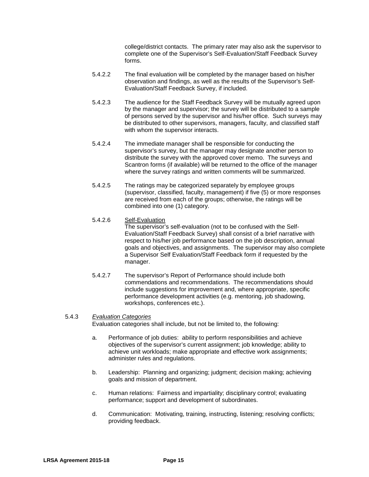college/district contacts. The primary rater may also ask the supervisor to complete one of the Supervisor's Self-Evaluation/Staff Feedback Survey forms.

- 5.4.2.2 The final evaluation will be completed by the manager based on his/her observation and findings, as well as the results of the Supervisor's Self-Evaluation/Staff Feedback Survey, if included.
- 5.4.2.3 The audience for the Staff Feedback Survey will be mutually agreed upon by the manager and supervisor; the survey will be distributed to a sample of persons served by the supervisor and his/her office. Such surveys may be distributed to other supervisors, managers, faculty, and classified staff with whom the supervisor interacts.
- 5.4.2.4 The immediate manager shall be responsible for conducting the supervisor's survey, but the manager may designate another person to distribute the survey with the approved cover memo. The surveys and Scantron forms (if available) will be returned to the office of the manager where the survey ratings and written comments will be summarized.
- 5.4.2.5 The ratings may be categorized separately by employee groups (supervisor, classified, faculty, management) if five (5) or more responses are received from each of the groups; otherwise, the ratings will be combined into one (1) category.
- 5.4.2.6 Self-Evaluation

The supervisor's self-evaluation (not to be confused with the Self-Evaluation/Staff Feedback Survey) shall consist of a brief narrative with respect to his/her job performance based on the job description, annual goals and objectives, and assignments. The supervisor may also complete a Supervisor Self Evaluation/Staff Feedback form if requested by the manager.

5.4.2.7 The supervisor's Report of Performance should include both commendations and recommendations. The recommendations should include suggestions for improvement and, where appropriate, specific performance development activities (e.g. mentoring, job shadowing, workshops, conferences etc.).

#### 5.4.3 *Evaluation Categories*

Evaluation categories shall include, but not be limited to, the following:

- a. Performance of job duties: ability to perform responsibilities and achieve objectives of the supervisor's current assignment; job knowledge; ability to achieve unit workloads; make appropriate and effective work assignments; administer rules and regulations.
- b. Leadership: Planning and organizing; judgment; decision making; achieving goals and mission of department.
- c. Human relations: Fairness and impartiality; disciplinary control; evaluating performance; support and development of subordinates.
- d. Communication: Motivating, training, instructing, listening; resolving conflicts; providing feedback.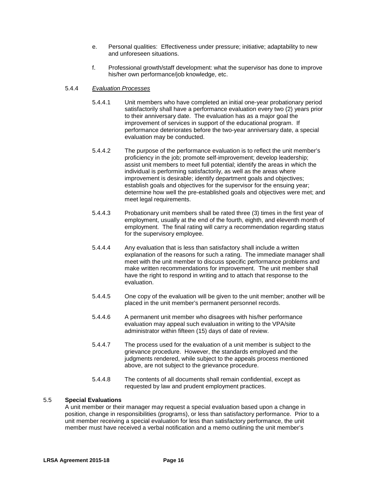- e. Personal qualities: Effectiveness under pressure; initiative; adaptability to new and unforeseen situations.
- f. Professional growth/staff development: what the supervisor has done to improve his/her own performance/job knowledge, etc.

#### 5.4.4 *Evaluation Processes*

- 5.4.4.1 Unit members who have completed an initial one-year probationary period satisfactorily shall have a performance evaluation every two (2) years prior to their anniversary date. The evaluation has as a major goal the improvement of services in support of the educational program. If performance deteriorates before the two-year anniversary date, a special evaluation may be conducted.
- 5.4.4.2 The purpose of the performance evaluation is to reflect the unit member's proficiency in the job; promote self-improvement; develop leadership; assist unit members to meet full potential; identify the areas in which the individual is performing satisfactorily, as well as the areas where improvement is desirable; identify department goals and objectives; establish goals and objectives for the supervisor for the ensuing year; determine how well the pre-established goals and objectives were met; and meet legal requirements.
- 5.4.4.3 Probationary unit members shall be rated three (3) times in the first year of employment, usually at the end of the fourth, eighth, and eleventh month of employment. The final rating will carry a recommendation regarding status for the supervisory employee.
- 5.4.4.4 Any evaluation that is less than satisfactory shall include a written explanation of the reasons for such a rating. The immediate manager shall meet with the unit member to discuss specific performance problems and make written recommendations for improvement. The unit member shall have the right to respond in writing and to attach that response to the evaluation.
- 5.4.4.5 One copy of the evaluation will be given to the unit member; another will be placed in the unit member's permanent personnel records.
- 5.4.4.6 A permanent unit member who disagrees with his/her performance evaluation may appeal such evaluation in writing to the VPA/site administrator within fifteen (15) days of date of review.
- 5.4.4.7 The process used for the evaluation of a unit member is subject to the grievance procedure. However, the standards employed and the judgments rendered, while subject to the appeals process mentioned above, are not subject to the grievance procedure.
- 5.4.4.8 The contents of all documents shall remain confidential, except as requested by law and prudent employment practices.

#### 5.5 **Special Evaluations**

A unit member or their manager may request a special evaluation based upon a change in position, change in responsibilities (programs), or less than satisfactory performance. Prior to a unit member receiving a special evaluation for less than satisfactory performance, the unit member must have received a verbal notification and a memo outlining the unit member's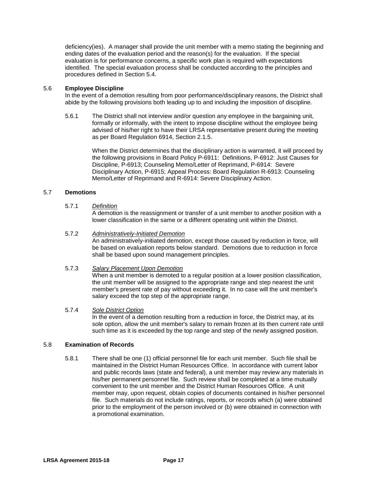deficiency(ies). A manager shall provide the unit member with a memo stating the beginning and ending dates of the evaluation period and the reason(s) for the evaluation. If the special evaluation is for performance concerns, a specific work plan is required with expectations identified. The special evaluation process shall be conducted according to the principles and procedures defined in Section 5.4.

#### 5.6 **Employee Discipline**

In the event of a demotion resulting from poor performance/disciplinary reasons, the District shall abide by the following provisions both leading up to and including the imposition of discipline.

5.6.1 The District shall not interview and/or question any employee in the bargaining unit, formally or informally, with the intent to impose discipline without the employee being advised of his/her right to have their LRSA representative present during the meeting as per Board Regulation 6914, Section 2.1.5.

> When the District determines that the disciplinary action is warranted, it will proceed by the following provisions in Board Policy P-6911: Definitions, P-6912: Just Causes for Discipline, P-6913; Counseling Memo/Letter of Reprimand, P-6914: Severe Disciplinary Action, P-6915; Appeal Process: Board Regulation R-6913: Counseling Memo/Letter of Reprimand and R-6914: Severe Disciplinary Action.

#### 5.7 **Demotions**

#### 5.7.1 *Definition*

A demotion is the reassignment or transfer of a unit member to another position with a lower classification in the same or a different operating unit within the District.

#### 5.7.2 *Administratively-Initiated Demotion*

An administratively-initiated demotion, except those caused by reduction in force, will be based on evaluation reports below standard. Demotions due to reduction in force shall be based upon sound management principles.

#### 5.7.3 *Salary Placement Upon Demotion*

When a unit member is demoted to a regular position at a lower position classification, the unit member will be assigned to the appropriate range and step nearest the unit member's present rate of pay without exceeding it. In no case will the unit member's salary exceed the top step of the appropriate range.

#### 5.7.4 *Sole District Option*

In the event of a demotion resulting from a reduction in force, the District may, at its sole option, allow the unit member's salary to remain frozen at its then current rate until such time as it is exceeded by the top range and step of the newly assigned position.

#### 5.8 **Examination of Records**

5.8.1 There shall be one (1) official personnel file for each unit member. Such file shall be maintained in the District Human Resources Office. In accordance with current labor and public records laws (state and federal), a unit member may review any materials in his/her permanent personnel file. Such review shall be completed at a time mutually convenient to the unit member and the District Human Resources Office. A unit member may, upon request, obtain copies of documents contained in his/her personnel file.Such materials do not include ratings, reports, or records which (a) were obtained prior to the employment of the person involved or (b) were obtained in connection with a promotional examination.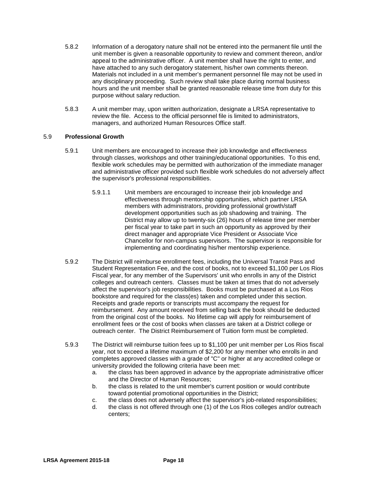- 5.8.2 Information of a derogatory nature shall not be entered into the permanent file until the unit member is given a reasonable opportunity to review and comment thereon, and/or appeal to the administrative officer. A unit member shall have the right to enter, and have attached to any such derogatory statement, his/her own comments thereon. Materials not included in a unit member's permanent personnel file may not be used in any disciplinary proceeding. Such review shall take place during normal business hours and the unit member shall be granted reasonable release time from duty for this purpose without salary reduction.
- 5.8.3 A unit member may, upon written authorization, designate a LRSA representative to review the file. Access to the official personnel file is limited to administrators, managers, and authorized Human Resources Office staff.

#### 5.9 **Professional Growth**

- 5.9.1 Unit members are encouraged to increase their job knowledge and effectiveness through classes, workshops and other training/educational opportunities. To this end, flexible work schedules may be permitted with authorization of the immediate manager and administrative officer provided such flexible work schedules do not adversely affect the supervisor's professional responsibilities.
	- 5.9.1.1 Unit members are encouraged to increase their job knowledge and effectiveness through mentorship opportunities, which partner LRSA members with administrators, providing professional growth/staff development opportunities such as job shadowing and training. The District may allow up to twenty-six (26) hours of release time per member per fiscal year to take part in such an opportunity as approved by their direct manager and appropriate Vice President or Associate Vice Chancellor for non-campus supervisors. The supervisor is responsible for implementing and coordinating his/her mentorship experience.
- 5.9.2 The District will reimburse enrollment fees, including the Universal Transit Pass and Student Representation Fee, and the cost of books, not to exceed \$1,100 per Los Rios Fiscal year, for any member of the Supervisors' unit who enrolls in any of the District colleges and outreach centers. Classes must be taken at times that do not adversely affect the supervisor's job responsibilities. Books must be purchased at a Los Rios bookstore and required for the class(es) taken and completed under this section. Receipts and grade reports or transcripts must accompany the request for reimbursement. Any amount received from selling back the book should be deducted from the original cost of the books. No lifetime cap will apply for reimbursement of enrollment fees or the cost of books when classes are taken at a District college or outreach center. The District Reimbursement of Tuition form must be completed.
- 5.9.3 The District will reimburse tuition fees up to \$1,100 per unit member per Los Rios fiscal year, not to exceed a lifetime maximum of \$2,200 for any member who enrolls in and completes approved classes with a grade of "C" or higher at any accredited college or university provided the following criteria have been met:
	- a. the class has been approved in advance by the appropriate administrative officer and the Director of Human Resources;
	- b. the class is related to the unit member's current position or would contribute toward potential promotional opportunities in the District;
	- c. the class does not adversely affect the supervisor's job-related responsibilities;
	- d. the class is not offered through one (1) of the Los Rios colleges and/or outreach centers;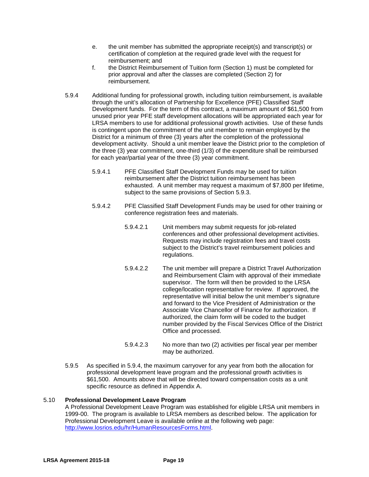- e. the unit member has submitted the appropriate receipt(s) and transcript(s) or certification of completion at the required grade level with the request for reimbursement; and
- f. the District Reimbursement of Tuition form (Section 1) must be completed for prior approval and after the classes are completed (Section 2) for reimbursement.
- 5.9.4 Additional funding for professional growth, including tuition reimbursement, is available through the unit's allocation of Partnership for Excellence (PFE) Classified Staff Development funds. For the term of this contract, a maximum amount of \$61,500 from unused prior year PFE staff development allocations will be appropriated each year for LRSA members to use for additional professional growth activities. Use of these funds is contingent upon the commitment of the unit member to remain employed by the District for a minimum of three (3) years after the completion of the professional development activity. Should a unit member leave the District prior to the completion of the three (3) year commitment, one-third (1/3) of the expenditure shall be reimbursed for each year/partial year of the three (3) year commitment.
	- 5.9.4.1 PFE Classified Staff Development Funds may be used for tuition reimbursement after the District tuition reimbursement has been exhausted. A unit member may request a maximum of \$7,800 per lifetime, subject to the same provisions of Section 5.9.3.
	- 5.9.4.2 PFE Classified Staff Development Funds may be used for other training or conference registration fees and materials.
		- 5.9.4.2.1 Unit members may submit requests for job-related conferences and other professional development activities. Requests may include registration fees and travel costs subject to the District's travel reimbursement policies and regulations.
		- 5.9.4.2.2 The unit member will prepare a District Travel Authorization and Reimbursement Claim with approval of their immediate supervisor. The form will then be provided to the LRSA college/location representative for review. If approved, the representative will initial below the unit member's signature and forward to the Vice President of Administration or the Associate Vice Chancellor of Finance for authorization. If authorized, the claim form will be coded to the budget number provided by the Fiscal Services Office of the District Office and processed.
		- 5.9.4.2.3 No more than two (2) activities per fiscal year per member may be authorized.
- 5.9.5 As specified in 5.9.4, the maximum carryover for any year from both the allocation for professional development leave program and the professional growth activities is \$61,500. Amounts above that will be directed toward compensation costs as a unit specific resource as defined in Appendix A.

#### 5.10 **Professional Development Leave Program**

A Professional Development Leave Program was established for eligible LRSA unit members in 1999-00. The program is available to LRSA members as described below. The application for Professional Development Leave is available online at the following web page: [http://www.losrios.edu/hr/HumanResourcesForms.html.](http://www.losrios.edu/hr/HumanResourcesForms.html)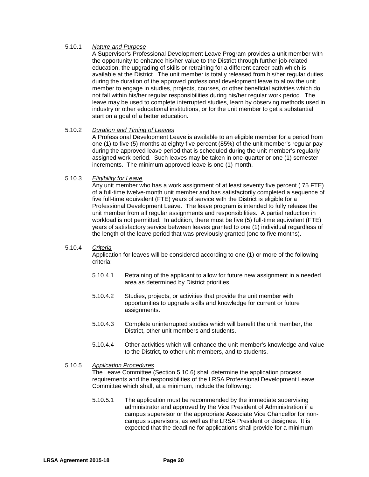#### 5.10.1 *Nature and Purpose*

A Supervisor's Professional Development Leave Program provides a unit member with the opportunity to enhance his/her value to the District through further job-related education, the upgrading of skills or retraining for a different career path which is available at the District. The unit member is totally released from his/her regular duties during the duration of the approved professional development leave to allow the unit member to engage in studies, projects, courses, or other beneficial activities which do not fall within his/her regular responsibilities during his/her regular work period. The leave may be used to complete interrupted studies, learn by observing methods used in industry or other educational institutions, or for the unit member to get a substantial start on a goal of a better education.

#### 5.10.2 *Duration and Timing of Leaves*

A Professional Development Leave is available to an eligible member for a period from one (1) to five (5) months at eighty five percent (85%) of the unit member's regular pay during the approved leave period that is scheduled during the unit member's regularly assigned work period. Such leaves may be taken in one-quarter or one (1) semester increments. The minimum approved leave is one (1) month.

#### 5.10.3 *Eligibility for Leave*

Any unit member who has a work assignment of at least seventy five percent (.75 FTE) of a full-time twelve-month unit member and has satisfactorily completed a sequence of five full-time equivalent (FTE) years of service with the District is eligible for a Professional Development Leave. The leave program is intended to fully release the unit member from all regular assignments and responsibilities. A partial reduction in workload is not permitted. In addition, there must be five (5) full-time equivalent (FTE) years of satisfactory service between leaves granted to one (1) individual regardless of the length of the leave period that was previously granted (one to five months).

#### 5.10.4 *Criteria*

Application for leaves will be considered according to one (1) or more of the following criteria:

- 5.10.4.1 Retraining of the applicant to allow for future new assignment in a needed area as determined by District priorities.
- 5.10.4.2 Studies, projects, or activities that provide the unit member with opportunities to upgrade skills and knowledge for current or future assignments.
- 5.10.4.3 Complete uninterrupted studies which will benefit the unit member, the District, other unit members and students.
- 5.10.4.4 Other activities which will enhance the unit member's knowledge and value to the District, to other unit members, and to students.
- 5.10.5 *Application Procedures*

The Leave Committee (Section 5.10.6) shall determine the application process requirements and the responsibilities of the LRSA Professional Development Leave Committee which shall, at a minimum, include the following:

5.10.5.1 The application must be recommended by the immediate supervising administrator and approved by the Vice President of Administration if a campus supervisor or the appropriate Associate Vice Chancellor for noncampus supervisors, as well as the LRSA President or designee. It is expected that the deadline for applications shall provide for a minimum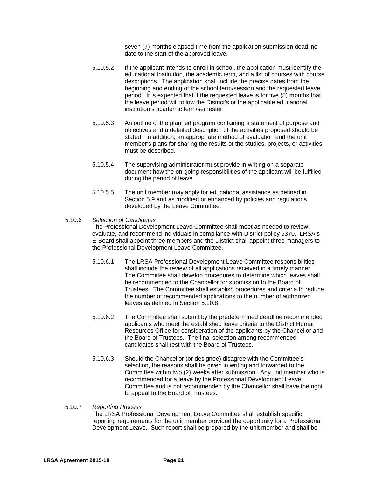seven (7) months elapsed time from the application submission deadline date to the start of the approved leave.

- 5.10.5.2 If the applicant intends to enroll in school, the application must identify the educational institution, the academic term, and a list of courses with course descriptions. The application shall include the precise dates from the beginning and ending of the school term/session and the requested leave period. It is expected that if the requested leave is for five (5) months that the leave period will follow the District's or the applicable educational institution's academic term/semester.
- 5.10.5.3 An outline of the planned program containing a statement of purpose and objectives and a detailed description of the activities proposed should be stated. In addition, an appropriate method of evaluation and the unit member's plans for sharing the results of the studies, projects, or activities must be described.
- 5.10.5.4 The supervising administrator must provide in writing on a separate document how the on-going responsibilities of the applicant will be fulfilled during the period of leave.
- 5.10.5.5 The unit member may apply for educational assistance as defined in Section 5.9 and as modified or enhanced by policies and regulations developed by the Leave Committee.

#### 5.10.6 *Selection of Candidates*

The Professional Development Leave Committee shall meet as needed to review, evaluate, and recommend individuals in compliance with District policy 6370. LRSA's E-Board shall appoint three members and the District shall appoint three managers to the Professional Development Leave Committee.

- 5.10.6.1 The LRSA Professional Development Leave Committee responsibilities shall include the review of all applications received in a timely manner. The Committee shall develop procedures to determine which leaves shall be recommended to the Chancellor for submission to the Board of Trustees. The Committee shall establish procedures and criteria to reduce the number of recommended applications to the number of authorized leaves as defined in Section 5.10.8.
- 5.10.6.2 The Committee shall submit by the predetermined deadline recommended applicants who meet the established leave criteria to the District Human Resources Office for consideration of the applicants by the Chancellor and the Board of Trustees. The final selection among recommended candidates shall rest with the Board of Trustees.
- 5.10.6.3 Should the Chancellor (or designee) disagree with the Committee's selection, the reasons shall be given in writing and forwarded to the Committee within two (2) weeks after submission. Any unit member who is recommended for a leave by the Professional Development Leave Committee and is not recommended by the Chancellor shall have the right to appeal to the Board of Trustees.

#### 5.10.7 *Reporting Process*

The LRSA Professional Development Leave Committee shall establish specific reporting requirements for the unit member provided the opportunity for a Professional Development Leave. Such report shall be prepared by the unit member and shall be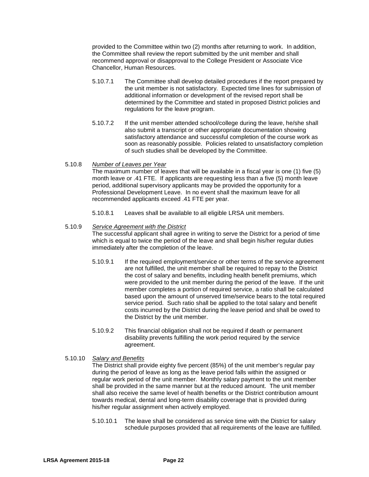provided to the Committee within two (2) months after returning to work. In addition, the Committee shall review the report submitted by the unit member and shall recommend approval or disapproval to the College President or Associate Vice Chancellor, Human Resources.

- 5.10.7.1 The Committee shall develop detailed procedures if the report prepared by the unit member is not satisfactory. Expected time lines for submission of additional information or development of the revised report shall be determined by the Committee and stated in proposed District policies and regulations for the leave program.
- 5.10.7.2 If the unit member attended school/college during the leave, he/she shall also submit a transcript or other appropriate documentation showing satisfactory attendance and successful completion of the course work as soon as reasonably possible. Policies related to unsatisfactory completion of such studies shall be developed by the Committee.

#### 5.10.8 *Number of Leaves per Year*

The maximum number of leaves that will be available in a fiscal year is one (1) five (5) month leave or .41 FTE. If applicants are requesting less than a five (5) month leave period, additional supervisory applicants may be provided the opportunity for a Professional Development Leave. In no event shall the maximum leave for all recommended applicants exceed .41 FTE per year.

5.10.8.1 Leaves shall be available to all eligible LRSA unit members.

#### 5.10.9 *Service Agreement with the District*

The successful applicant shall agree in writing to serve the District for a period of time which is equal to twice the period of the leave and shall begin his/her regular duties immediately after the completion of the leave.

- 5.10.9.1 If the required employment/service or other terms of the service agreement are not fulfilled, the unit member shall be required to repay to the District the cost of salary and benefits, including health benefit premiums, which were provided to the unit member during the period of the leave. If the unit member completes a portion of required service, a ratio shall be calculated based upon the amount of unserved time/service bears to the total required service period. Such ratio shall be applied to the total salary and benefit costs incurred by the District during the leave period and shall be owed to the District by the unit member.
- 5.10.9.2 This financial obligation shall not be required if death or permanent disability prevents fulfilling the work period required by the service agreement.

#### 5.10.10 *Salary and Benefits*

The District shall provide eighty five percent (85%) of the unit member's regular pay during the period of leave as long as the leave period falls within the assigned or regular work period of the unit member. Monthly salary payment to the unit member shall be provided in the same manner but at the reduced amount. The unit member shall also receive the same level of health benefits or the District contribution amount towards medical, dental and long-term disability coverage that is provided during his/her regular assignment when actively employed.

5.10.10.1 The leave shall be considered as service time with the District for salary schedule purposes provided that all requirements of the leave are fulfilled.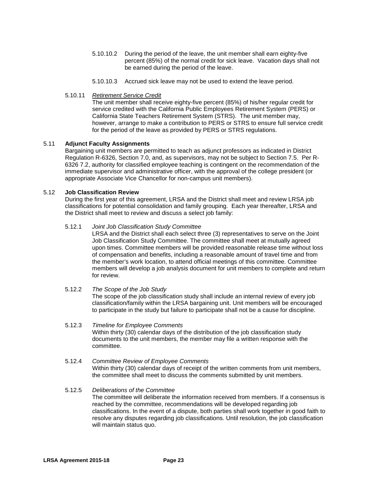- 5.10.10.2 During the period of the leave, the unit member shall earn eighty-five percent (85%) of the normal credit for sick leave. Vacation days shall not be earned during the period of the leave.
- 5.10.10.3 Accrued sick leave may not be used to extend the leave period.
- 5.10.11 *Retirement Service Credit*

The unit member shall receive eighty-five percent (85%) of his/her regular credit for service credited with the California Public Employees Retirement System (PERS) or California State Teachers Retirement System (STRS). The unit member may, however, arrange to make a contribution to PERS or STRS to ensure full service credit for the period of the leave as provided by PERS or STRS regulations.

#### 5.11 **Adjunct Faculty Assignments**

Bargaining unit members are permitted to teach as adjunct professors as indicated in District Regulation R-6326, Section 7.0, and, as supervisors, may not be subject to Section 7.5. Per R-6326 7.2, authority for classified employee teaching is contingent on the recommendation of the immediate supervisor and administrative officer, with the approval of the college president (or appropriate Associate Vice Chancellor for non-campus unit members).

#### 5.12 **Job Classification Review**

During the first year of this agreement, LRSA and the District shall meet and review LRSA job classifications for potential consolidation and family grouping. Each year thereafter, LRSA and the District shall meet to review and discuss a select job family:

#### 5.12.1 *Joint Job Classification Study Committee*

LRSA and the District shall each select three (3) representatives to serve on the Joint Job Classification Study Committee. The committee shall meet at mutually agreed upon times. Committee members will be provided reasonable release time without loss of compensation and benefits, including a reasonable amount of travel time and from the member's work location, to attend official meetings of this committee. Committee members will develop a job analysis document for unit members to complete and return for review.

#### 5.12.2 *The Scope of the Job Study*

The scope of the job classification study shall include an internal review of every job classification/family within the LRSA bargaining unit. Unit members will be encouraged to participate in the study but failure to participate shall not be a cause for discipline.

#### 5.12.3 *Timeline for Employee Comments*

Within thirty (30) calendar days of the distribution of the job classification study documents to the unit members, the member may file a written response with the committee.

### 5.12.4 *Committee Review of Employee Comments*

Within thirty (30) calendar days of receipt of the written comments from unit members, the committee shall meet to discuss the comments submitted by unit members.

#### 5.12.5 *Deliberations of the Committee*

The committee will deliberate the information received from members. If a consensus is reached by the committee, recommendations will be developed regarding job classifications. In the event of a dispute, both parties shall work together in good faith to resolve any disputes regarding job classifications. Until resolution, the job classification will maintain status quo.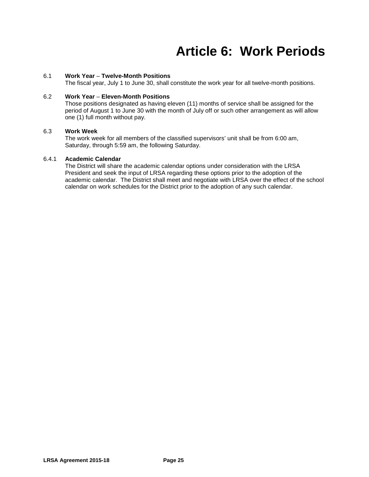### **Article 6: Work Periods**

#### 6.1 **Work Year** *–* **Twelve-Month Positions**

The fiscal year, July 1 to June 30, shall constitute the work year for all twelve-month positions.

#### 6.2 **Work Year** *–* **Eleven-Month Positions**

Those positions designated as having eleven (11) months of service shall be assigned for the period of August 1 to June 30 with the month of July off or such other arrangement as will allow one (1) full month without pay.

#### 6.3 **Work Week**

The work week for all members of the classified supervisors' unit shall be from 6:00 am, Saturday, through 5:59 am, the following Saturday.

#### 6.4.1 **Academic Calendar**

The District will share the academic calendar options under consideration with the LRSA President and seek the input of LRSA regarding these options prior to the adoption of the academic calendar. The District shall meet and negotiate with LRSA over the effect of the school calendar on work schedules for the District prior to the adoption of any such calendar.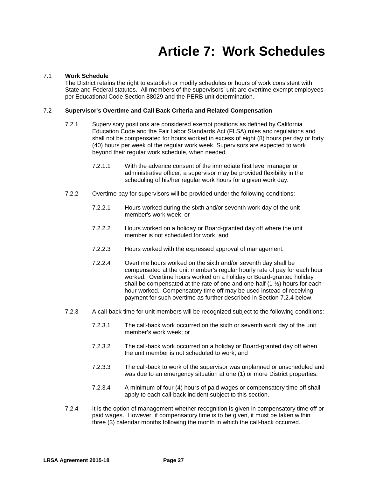### **Article 7: Work Schedules**

#### 7.1 **Work Schedule**

The District retains the right to establish or modify schedules or hours of work consistent with State and Federal statutes. All members of the supervisors' unit are overtime exempt employees per Educational Code Section 88029 and the PERB unit determination.

#### 7.2 **Supervisor's Overtime and Call Back Criteria and Related Compensation**

- 7.2.1 Supervisory positions are considered exempt positions as defined by California Education Code and the Fair Labor Standards Act (FLSA) rules and regulations and shall not be compensated for hours worked in excess of eight (8) hours per day or forty (40) hours per week of the regular work week. Supervisors are expected to work beyond their regular work schedule, when needed.
	- 7.2.1.1 With the advance consent of the immediate first level manager or administrative officer, a supervisor may be provided flexibility in the scheduling of his/her regular work hours for a given work day.
- 7.2.2 Overtime pay for supervisors will be provided under the following conditions:
	- 7.2.2.1 Hours worked during the sixth and/or seventh work day of the unit member's work week; or
	- 7.2.2.2 Hours worked on a holiday or Board-granted day off where the unit member is not scheduled for work; and
	- 7.2.2.3 Hours worked with the expressed approval of management.
	- 7.2.2.4 Overtime hours worked on the sixth and/or seventh day shall be compensated at the unit member's regular hourly rate of pay for each hour worked. Overtime hours worked on a holiday or Board-granted holiday shall be compensated at the rate of one and one-half  $(1 \frac{1}{2})$  hours for each hour worked. Compensatory time off may be used instead of receiving payment for such overtime as further described in Section 7.2.4 below.
- 7.2.3 A call-back time for unit members will be recognized subject to the following conditions:
	- 7.2.3.1 The call-back work occurred on the sixth or seventh work day of the unit member's work week; or
	- 7.2.3.2 The call-back work occurred on a holiday or Board-granted day off when the unit member is not scheduled to work; and
	- 7.2.3.3 The call-back to work of the supervisor was unplanned or unscheduled and was due to an emergency situation at one (1) or more District properties.
	- 7.2.3.4 A minimum of four (4) hour*s* of paid wages or compensatory time off shall apply to each call-back incident subject to this section.
- 7.2.4 It is the option of management whether recognition is given in compensatory time off or paid wages. However, if compensatory time is to be given, it must be taken within three (3) calendar months following the month in which the call-back occurred.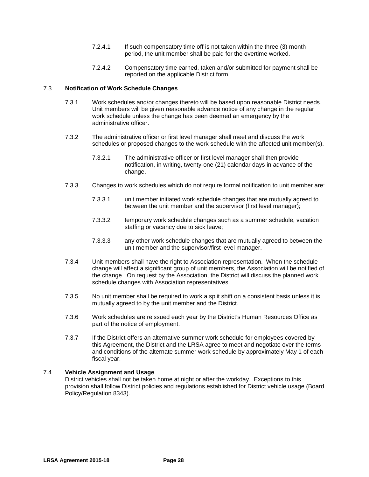- 7.2.4.1 If such compensatory time off is not taken within the three (3) month period, the unit member shall be paid for the overtime worked.
- 7.2.4.2 Compensatory time earned, taken and/or submitted for payment shall be reported on the applicable District form.

#### 7.3 **Notification of Work Schedule Changes**

- 7.3.1 Work schedules and/or changes thereto will be based upon reasonable District needs. Unit members will be given reasonable advance notice of any change in the regular work schedule unless the change has been deemed an emergency by the administrative officer.
- 7.3.2 The administrative officer or first level manager shall meet and discuss the work schedules or proposed changes to the work schedule with the affected unit member(s).
	- 7.3.2.1 The administrative officer or first level manager shall then provide notification, in writing, twenty-one (21) calendar days in advance of the change.
- 7.3.3 Changes to work schedules which do not require formal notification to unit member are:
	- 7.3.3.1 unit member initiated work schedule changes that are mutually agreed to between the unit member and the supervisor (first level manager);
	- 7.3.3.2 temporary work schedule changes such as a summer schedule, vacation staffing or vacancy due to sick leave;
	- 7.3.3.3 any other work schedule changes that are mutually agreed to between the unit member and the supervisor/first level manager.
- 7.3.4 Unit members shall have the right to Association representation. When the schedule change will affect a significant group of unit members, the Association will be notified of the change. On request by the Association, the District will discuss the planned work schedule changes with Association representatives.
- 7.3.5 No unit member shall be required to work a split shift on a consistent basis unless it is mutually agreed to by the unit member and the District.
- 7.3.6 Work schedules are reissued each year by the District's Human Resources Office as part of the notice of employment.
- 7.3.7 If the District offers an alternative summer work schedule for employees covered by this Agreement, the District and the LRSA agree to meet and negotiate over the terms and conditions of the alternate summer work schedule by approximately May 1 of each fiscal year.

#### 7.4 **Vehicle Assignment and Usage**

District vehicles shall not be taken home at night or after the workday. Exceptions to this provision shall follow District policies and regulations established for District vehicle usage (Board Policy/Regulation 8343).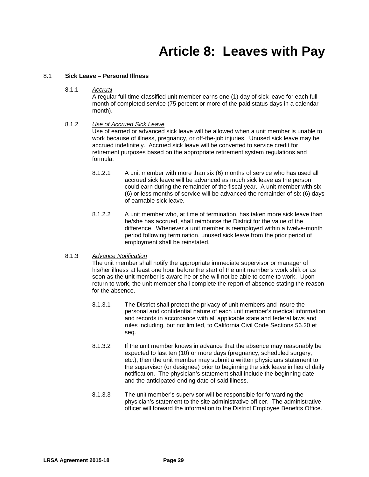### **Article 8: Leaves with Pay**

#### 8.1 **Sick Leave – Personal Illness**

8.1.1 *Accrual*

A regular full-time classified unit member earns one (1) day of sick leave for each full month of completed service (75 percent or more of the paid status days in a calendar month).

#### 8.1.2 *Use of Accrued Sick Leave*

Use of earned or advanced sick leave will be allowed when a unit member is unable to work because of illness, pregnancy, or off-the-job injuries. Unused sick leave may be accrued indefinitely. Accrued sick leave will be converted to service credit for retirement purposes based on the appropriate retirement system regulations and formula.

- 8.1.2.1 A unit member with more than six (6) months of service who has used all accrued sick leave will be advanced as much sick leave as the person could earn during the remainder of the fiscal year. A unit member with six (6) or less months of service will be advanced the remainder of six (6) days of earnable sick leave.
- 8.1.2.2 A unit member who, at time of termination, has taken more sick leave than he/she has accrued, shall reimburse the District for the value of the difference. Whenever a unit member is reemployed within a twelve-month period following termination, unused sick leave from the prior period of employment shall be reinstated.

#### 8.1.3 *Advance Notification*

The unit member shall notify the appropriate immediate supervisor or manager of his/her illness at least one hour before the start of the unit member's work shift or as soon as the unit member is aware he or she will not be able to come to work. Upon return to work, the unit member shall complete the report of absence stating the reason for the absence.

- 8.1.3.1 The District shall protect the privacy of unit members and insure the personal and confidential nature of each unit member's medical information and records in accordance with all applicable state and federal laws and rules including, but not limited, to California Civil Code Sections 56.20 et seq.
- 8.1.3.2 If the unit member knows in advance that the absence may reasonably be expected to last ten (10) or more days (pregnancy, scheduled surgery, etc.), then the unit member may submit a written physicians statement to the supervisor (or designee) prior to beginning the sick leave in lieu of daily notification. The physician's statement shall include the beginning date and the anticipated ending date of said illness.
- 8.1.3.3 The unit member's supervisor will be responsible for forwarding the physician's statement to the site administrative officer. The administrative officer will forward the information to the District Employee Benefits Office.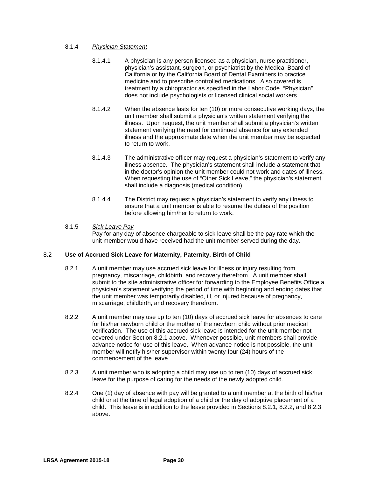#### 8.1.4 *Physician Statement*

- 8.1.4.1 A physician is any person licensed as a physician, nurse practitioner, physician's assistant, surgeon, or psychiatrist by the Medical Board of California or by the California Board of Dental Examiners to practice medicine and to prescribe controlled medications. Also covered is treatment by a chiropractor as specified in the Labor Code. "Physician" does not include psychologists or licensed clinical social workers.
- 8.1.4.2 When the absence lasts for ten (10) or more consecutive working days, the unit member shall submit a physician's written statement verifying the illness. Upon request, the unit member shall submit a physician's written statement verifying the need for continued absence for any extended illness and the approximate date when the unit member may be expected to return to work.
- 8.1.4.3 The administrative officer may request a physician's statement to verify any illness absence. The physician's statement shall include a statement that in the doctor's opinion the unit member could not work and dates of illness. When requesting the use of "Other Sick Leave," the physician's statement shall include a diagnosis (medical condition).
- 8.1.4.4 The District may request a physician's statement to verify any illness to ensure that a unit member is able to resume the duties of the position before allowing him/her to return to work.

#### 8.1.5 *Sick Leave Pay*

Pay for any day of absence chargeable to sick leave shall be the pay rate which the unit member would have received had the unit member served during the day.

#### 8.2 **Use of Accrued Sick Leave for Maternity, Paternity, Birth of Child**

- 8.2.1 A unit member may use accrued sick leave for illness or injury resulting from pregnancy, miscarriage, childbirth, and recovery therefrom. A unit member shall submit to the site administrative officer for forwarding to the Employee Benefits Office a physician's statement verifying the period of time with beginning and ending dates that the unit member was temporarily disabled, ill, or injured because of pregnancy, miscarriage, childbirth, and recovery therefrom.
- 8.2.2 A unit member may use up to ten (10) days of accrued sick leave for absences to care for his/her newborn child or the mother of the newborn child without prior medical verification. The use of this accrued sick leave is intended for the unit member not covered under Section 8.2.1 above. Whenever possible, unit members shall provide advance notice for use of this leave. When advance notice is not possible, the unit member will notify his/her supervisor within twenty-four (24) hours of the commencement of the leave.
- 8.2.3 A unit member who is adopting a child may use up to ten (10) days of accrued sick leave for the purpose of caring for the needs of the newly adopted child.
- 8.2.4 One (1) day of absence with pay will be granted to a unit member at the birth of his/her child or at the time of legal adoption of a child or the day of adoptive placement of a child. This leave is in addition to the leave provided in Sections 8.2.1, 8.2.2, and 8.2.3 above.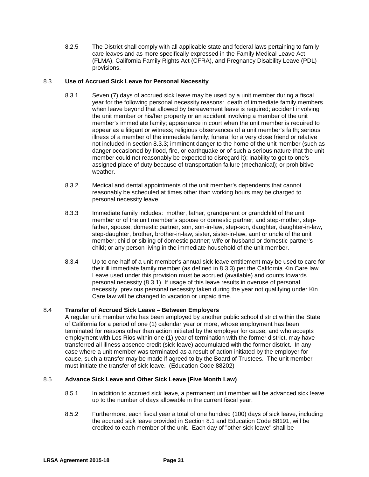8.2.5 The District shall comply with all applicable state and federal laws pertaining to family care leaves and as more specifically expressed in the Family Medical Leave Act (FLMA), California Family Rights Act (CFRA), and Pregnancy Disability Leave (PDL) provisions.

#### 8.3 **Use of Accrued Sick Leave for Personal Necessity**

- 8.3.1 Seven (7) days of accrued sick leave may be used by a unit member during a fiscal year for the following personal necessity reasons: death of immediate family members when leave beyond that allowed by bereavement leave is required; accident involving the unit member or his/her property or an accident involving a member of the unit member's immediate family; appearance in court when the unit member is required to appear as a litigant or witness; religious observances of a unit member's faith; serious illness of a member of the immediate family; funeral for a very close friend or relative not included in section 8.3.3; imminent danger to the home of the unit member (such as danger occasioned by flood, fire, or earthquake or of such a serious nature that the unit member could not reasonably be expected to disregard it); inability to get to one's assigned place of duty because of transportation failure (mechanical); or prohibitive weather.
- 8.3.2 Medical and dental appointments of the unit member's dependents that cannot reasonably be scheduled at times other than working hours may be charged to personal necessity leave.
- 8.3.3 Immediate family includes: mother, father, grandparent or grandchild of the unit member or of the unit member's spouse or domestic partner; and step-mother, stepfather, spouse, domestic partner, son, son-in-law, step-son, daughter, daughter-in-law, step-daughter, brother, brother-in-law, sister, sister-in-law, aunt or uncle of the unit member; child or sibling of domestic partner; wife or husband or domestic partner's child; or any person living in the immediate household of the unit member.
- 8.3.4 Up to one-half of a unit member's annual sick leave entitlement may be used to care for their ill immediate family member (as defined in 8.3.3) per the California Kin Care law. Leave used under this provision must be accrued (available) and counts towards personal necessity (8.3.1). If usage of this leave results in overuse of personal necessity, previous personal necessity taken during the year not qualifying under Kin Care law will be changed to vacation or unpaid time.

#### 8.4 **Transfer of Accrued Sick Leave – Between Employers**

A regular unit member who has been employed by another public school district within the State of California for a period of one (1) calendar year or more, whose employment has been terminated for reasons other than action initiated by the employer for cause, and who accepts employment with Los Rios within one (1) year of termination with the former district, may have transferred all illness absence credit (sick leave) accumulated with the former district. In any case where a unit member was terminated as a result of action initiated by the employer for cause, such a transfer may be made if agreed to by the Board of Trustees. The unit member must initiate the transfer of sick leave. (Education Code 88202)

#### 8.5 **Advance Sick Leave and Other Sick Leave (Five Month Law)**

- 8.5.1 In addition to accrued sick leave, a permanent unit member will be advanced sick leave up to the number of days allowable in the current fiscal year.
- 8.5.2 Furthermore, each fiscal year a total of one hundred (100) days of sick leave, including the accrued sick leave provided in Section 8.1 and Education Code 88191, will be credited to each member of the unit. Each day of "other sick leave" shall be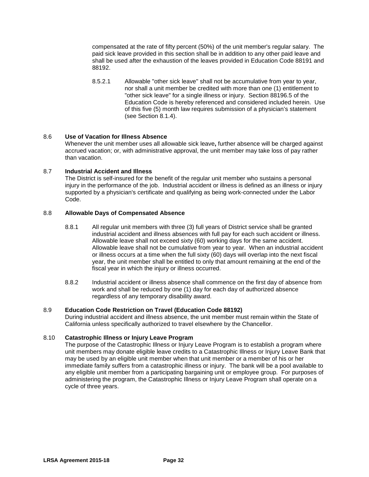compensated at the rate of fifty percent (50%) of the unit member's regular salary. The paid sick leave provided in this section shall be in addition to any other paid leave and shall be used after the exhaustion of the leaves provided in Education Code 88191 and 88192.

8.5.2.1 Allowable "other sick leave" shall not be accumulative from year to year, nor shall a unit member be credited with more than one (1) entitlement to "other sick leave" for a single illness or injury. Section 88196.5 of the Education Code is hereby referenced and considered included herein. Use of this five (5) month law requires submission of a physician's statement (see Section 8.1.4).

#### 8.6 **Use of Vacation for Illness Absence**

Whenever the unit member uses all allowable sick leave**,** further absence will be charged against accrued vacation; or, with administrative approval, the unit member may take loss of pay rather than vacation.

#### 8.7 **Industrial Accident and Illness**

The District is self-insured for the benefit of the regular unit member who sustains a personal injury in the performance of the job. Industrial accident or illness is defined as an illness or injury supported by a physician's certificate and qualifying as being work-connected under the Labor Code.

#### 8.8 **Allowable Days of Compensated Absence**

- 8.8.1 All regular unit members with three (3) full years of District service shall be granted industrial accident and illness absences with full pay for each such accident or illness. Allowable leave shall not exceed sixty (60) working days for the same accident. Allowable leave shall not be cumulative from year to year. When an industrial accident or illness occurs at a time when the full sixty (60) days will overlap into the next fiscal year, the unit member shall be entitled to only that amount remaining at the end of the fiscal year in which the injury or illness occurred.
- 8.8.2 Industrial accident or illness absence shall commence on the first day of absence from work and shall be reduced by one (1) day for each day of authorized absence regardless of any temporary disability award.

#### 8.9 **Education Code Restriction on Travel (Education Code 88192)**

During industrial accident and illness absence, the unit member must remain within the State of California unless specifically authorized to travel elsewhere by the Chancellor.

#### 8.10 **Catastrophic Illness or Injury Leave Program**

The purpose of the Catastrophic Illness or Injury Leave Program is to establish a program where unit members may donate eligible leave credits to a Catastrophic Illness or Injury Leave Bank that may be used by an eligible unit member when that unit member or a member of his or her immediate family suffers from a catastrophic illness or injury. The bank will be a pool available to any eligible unit member from a participating bargaining unit or employee group. For purposes of administering the program, the Catastrophic Illness or Injury Leave Program shall operate on a cycle of three years.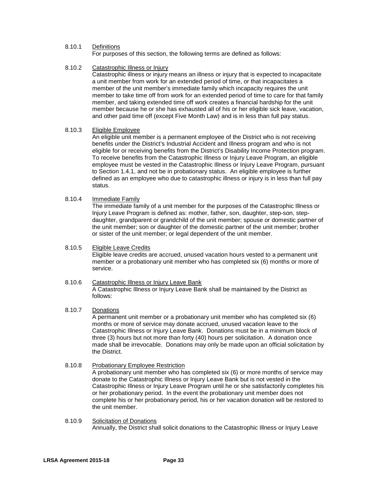### 8.10.1 Definitions

For purposes of this section, the following terms are defined as follows:

# 8.10.2 Catastrophic Illness or Injury

Catastrophic illness or injury means an illness or injury that is expected to incapacitate a unit member from work for an extended period of time, or that incapacitates a member of the unit member's immediate family which incapacity requires the unit member to take time off from work for an extended period of time to care for that family member, and taking extended time off work creates a financial hardship for the unit member because he or she has exhausted all of his or her eligible sick leave, vacation, and other paid time off (except Five Month Law) and is in less than full pay status.

### 8.10.3 Eligible Employee

An eligible unit member is a permanent employee of the District who is not receiving benefits under the District's Industrial Accident and Illness program and who is not eligible for or receiving benefits from the District's Disability Income Protection program. To receive benefits from the Catastrophic Illness or Injury Leave Program, an eligible employee must be vested in the Catastrophic Illness or Injury Leave Program, pursuant to Section 1.4.1, and not be in probationary status. An eligible employee is further defined as an employee who due to catastrophic illness or injury is in less than full pay status.

### 8.10.4 Immediate Family

The immediate family of a unit member for the purposes of the Catastrophic Illness or Injury Leave Program is defined as: mother, father, son, daughter, step-son, stepdaughter, grandparent or grandchild of the unit member; spouse or domestic partner of the unit member; son or daughter of the domestic partner of the unit member; brother or sister of the unit member; or legal dependent of the unit member.

# 8.10.5 Eligible Leave Credits

Eligible leave credits are accrued, unused vacation hours vested to a permanent unit member or a probationary unit member who has completed six (6) months or more of service.

### 8.10.6 Catastrophic Illness or Injury Leave Bank A Catastrophic Illness or Injury Leave Bank shall be maintained by the District as follows:

# 8.10.7 Donations

A permanent unit member or a probationary unit member who has completed six (6) months or more of service may donate accrued, unused vacation leave to the Catastrophic Illness or Injury Leave Bank. Donations must be in a minimum block of three (3) hours but not more than forty (40) hours per solicitation. A donation once made shall be irrevocable. Donations may only be made upon an official solicitation by the District.

### 8.10.8 Probationary Employee Restriction

A probationary unit member who has completed six (6) or more months of service may donate to the Catastrophic Illness or Injury Leave Bank but is not vested in the Catastrophic Illness or Injury Leave Program until he or she satisfactorily completes his or her probationary period. In the event the probationary unit member does not complete his or her probationary period, his or her vacation donation will be restored to the unit member.

### 8.10.9 Solicitation of Donations Annually, the District shall solicit donations to the Catastrophic Illness or Injury Leave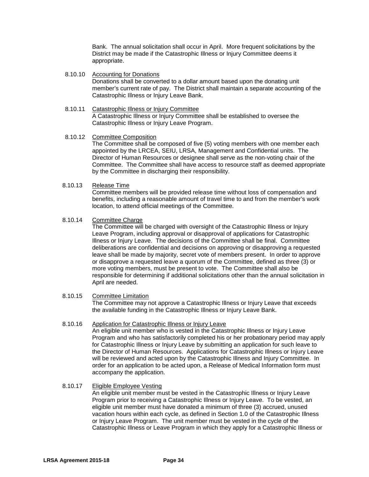Bank. The annual solicitation shall occur in April. More frequent solicitations by the District may be made if the Catastrophic Illness or Injury Committee deems it appropriate.

- 8.10.10 Accounting for Donations Donations shall be converted to a dollar amount based upon the donating unit member's current rate of pay. The District shall maintain a separate accounting of the Catastrophic Illness or Injury Leave Bank.
- 8.10.11 Catastrophic Illness or Injury Committee A Catastrophic Illness or Injury Committee shall be established to oversee the Catastrophic Illness or Injury Leave Program.
- 8.10.12 Committee Composition

The Committee shall be composed of five (5) voting members with one member each appointed by the LRCEA, SEIU, LRSA, Management and Confidential units. The Director of Human Resources or designee shall serve as the non-voting chair of the Committee. The Committee shall have access to resource staff as deemed appropriate by the Committee in discharging their responsibility.

### 8.10.13 Release Time

Committee members will be provided release time without loss of compensation and benefits, including a reasonable amount of travel time to and from the member's work location, to attend official meetings of the Committee.

### 8.10.14 Committee Charge

The Committee will be charged with oversight of the Catastrophic Illness or Injury Leave Program, including approval or disapproval of applications for Catastrophic Illness or Injury Leave. The decisions of the Committee shall be final. Committee deliberations are confidential and decisions on approving or disapproving a requested leave shall be made by majority, secret vote of members present. In order to approve or disapprove a requested leave a quorum of the Committee, defined as three (3) or more voting members, must be present to vote. The Committee shall also be responsible for determining if additional solicitations other than the annual solicitation in April are needed.

#### 8.10.15 Committee Limitation

The Committee may not approve a Catastrophic Illness or Injury Leave that exceeds the available funding in the Catastrophic Illness or Injury Leave Bank.

### 8.10.16 Application for Catastrophic Illness or Injury Leave

An eligible unit member who is vested in the Catastrophic Illness or Injury Leave Program and who has satisfactorily completed his or her probationary period may apply for Catastrophic Illness or Injury Leave by submitting an application for such leave to the Director of Human Resources. Applications for Catastrophic Illness or Injury Leave will be reviewed and acted upon by the Catastrophic Illness and Injury Committee. In order for an application to be acted upon, a Release of Medical Information form must accompany the application.

#### 8.10.17 Eligible Employee Vesting

An eligible unit member must be vested in the Catastrophic Illness or Injury Leave Program prior to receiving a Catastrophic Illness or Injury Leave. To be vested, an eligible unit member must have donated a minimum of three (3) accrued, unused vacation hours within each cycle, as defined in Section 1.0 of the Catastrophic Illness or Injury Leave Program. The unit member must be vested in the cycle of the Catastrophic Illness or Leave Program in which they apply for a Catastrophic Illness or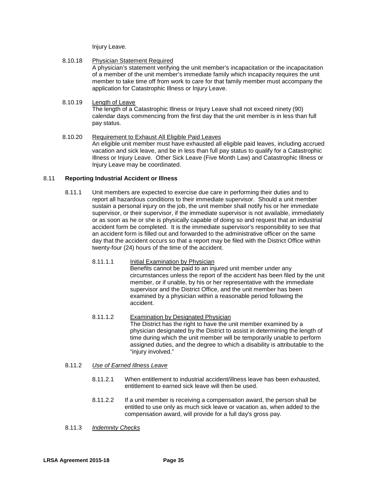Injury Leave.

### 8.10.18 Physician Statement Required

A physician's statement verifying the unit member's incapacitation or the incapacitation of a member of the unit member's immediate family which incapacity requires the unit member to take time off from work to care for that family member must accompany the application for Catastrophic Illness or Injury Leave.

### 8.10.19 Length of Leave

The length of a Catastrophic Illness or Injury Leave shall not exceed ninety (90) calendar days commencing from the first day that the unit member is in less than full pay status.

8.10.20 Requirement to Exhaust All Eligible Paid Leaves An eligible unit member must have exhausted all eligible paid leaves, including accrued vacation and sick leave, and be in less than full pay status to qualify for a Catastrophic Illness or Injury Leave. Other Sick Leave (Five Month Law) and Catastrophic Illness or Injury Leave may be coordinated.

### 8.11 **Reporting Industrial Accident or Illness**

- 8.11.1 Unit members are expected to exercise due care in performing their duties and to report all hazardous conditions to their immediate supervisor. Should a unit member sustain a personal injury on the job, the unit member shall notify his or her immediate supervisor, or their supervisor, if the immediate supervisor is not available, immediately or as soon as he or she is physically capable of doing so and request that an industrial accident form be completed. It is the immediate supervisor's responsibility to see that an accident form is filled out and forwarded to the administrative officer on the same day that the accident occurs so that a report may be filed with the District Office within twenty-four (24) hours of the time of the accident.
	- 8.11.1.1 Initial Examination by Physician Benefits cannot be paid to an injured unit member under any circumstances unless the report of the accident has been filed by the unit member, or if unable, by his or her representative with the immediate supervisor and the District Office, and the unit member has been examined by a physician within a reasonable period following the accident.
	- 8.11.1.2 Examination by Designated Physician The District has the right to have the unit member examined by a physician designated by the District to assist in determining the length of time during which the unit member will be temporarily unable to perform assigned duties, and the degree to which a disability is attributable to the "injury involved."

# 8.11.2 *Use of Earned Illness Leave*

- 8.11.2.1 When entitlement to industrial accident/illness leave has been exhausted, entitlement to earned sick leave will then be used.
- 8.11.2.2 If a unit member is receiving a compensation award, the person shall be entitled to use only as much sick leave or vacation as, when added to the compensation award, will provide for a full day's gross pay.
- 8.11.3 *Indemnity Checks*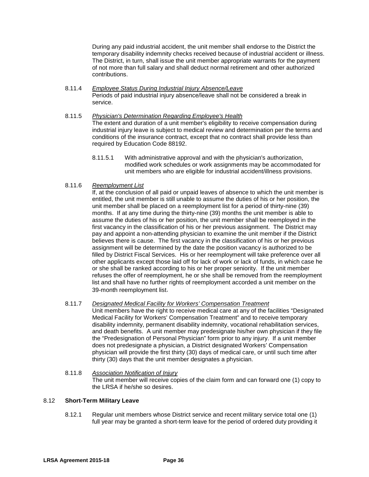During any paid industrial accident, the unit member shall endorse to the District the temporary disability indemnity checks received because of industrial accident or illness. The District, in turn, shall issue the unit member appropriate warrants for the payment of not more than full salary and shall deduct normal retirement and other authorized contributions.

- 8.11.4 *Employee Status During Industrial Injury Absence/Leave* Periods of paid industrial injury absence/leave shall not be considered a break in service.
- 8.11.5 *Physician's Determination Regarding Employee's Health* The extent and duration of a unit member's eligibility to receive compensation during industrial injury leave is subject to medical review and determination per the terms and conditions of the insurance contract, except that no contract shall provide less than required by Education Code 88192.
	- 8.11.5.1 With administrative approval and with the physician's authorization, modified work schedules or work assignments may be accommodated for unit members who are eligible for industrial accident/illness provisions.
- 8.11.6 *Reemployment List*

If, at the conclusion of all paid or unpaid leaves of absence to which the unit member is entitled, the unit member is still unable to assume the duties of his or her position, the unit member shall be placed on a reemployment list for a period of thirty-nine (39) months. If at any time during the thirty-nine (39) months the unit member is able to assume the duties of his or her position, the unit member shall be reemployed in the first vacancy in the classification of his or her previous assignment. The District may pay and appoint a non-attending physician to examine the unit member if the District believes there is cause. The first vacancy in the classification of his or her previous assignment will be determined by the date the position vacancy is authorized to be filled by District Fiscal Services. His or her reemployment will take preference over all other applicants except those laid off for lack of work or lack of funds, in which case he or she shall be ranked according to his or her proper seniority. If the unit member refuses the offer of reemployment, he or she shall be removed from the reemployment list and shall have no further rights of reemployment accorded a unit member on the 39-month reemployment list.

### 8.11.7 *Designated Medical Facility for Workers' Compensation Treatment*

Unit members have the right to receive medical care at any of the facilities "Designated Medical Facility for Workers' Compensation Treatment" and to receive temporary disability indemnity, permanent disability indemnity, vocational rehabilitation services, and death benefits. A unit member may predesignate his/her own physician if they file the "Predesignation of Personal Physician" form prior to any injury. If a unit member does not predesignate a physician, a District designated Workers' Compensation physician will provide the first thirty (30) days of medical care, or until such time after thirty (30) days that the unit member designates a physician.

8.11.8 *Association Notification of Injury* The unit member will receive copies of the claim form and can forward one (1) copy to the LRSA if he/she so desires.

### 8.12 **Short-Term Military Leave**

8.12.1 Regular unit members whose District service and recent military service total one (1) full year may be granted a short-term leave for the period of ordered duty providing it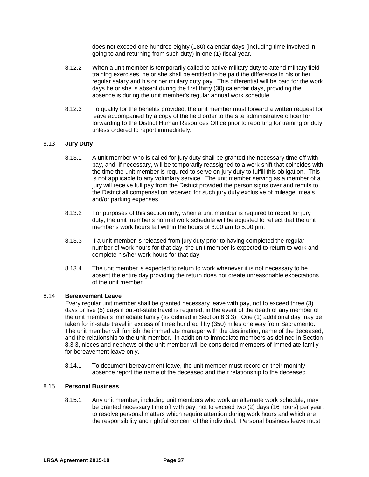does not exceed one hundred eighty (180) calendar days (including time involved in going to and returning from such duty) in one (1) fiscal year.

- 8.12.2 When a unit member is temporarily called to active military duty to attend military field training exercises, he or she shall be entitled to be paid the difference in his or her regular salary and his or her military duty pay. This differential will be paid for the work days he or she is absent during the first thirty (30) calendar days, providing the absence is during the unit member's regular annual work schedule.
- 8.12.3 To qualify for the benefits provided, the unit member must forward a written request for leave accompanied by a copy of the field order to the site administrative officer for forwarding to the District Human Resources Office prior to reporting for training or duty unless ordered to report immediately.

### 8.13 **Jury Duty**

- 8.13.1 A unit member who is called for jury duty shall be granted the necessary time off with pay, and, if necessary, will be temporarily reassigned to a work shift that coincides with the time the unit member is required to serve on jury duty to fulfill this obligation. This is not applicable to any voluntary service. The unit member serving as a member of a jury will receive full pay from the District provided the person signs over and remits to the District all compensation received for such jury duty exclusive of mileage, meals and/or parking expenses.
- 8.13.2 For purposes of this section only, when a unit member is required to report for jury duty, the unit member's normal work schedule will be adjusted to reflect that the unit member's work hours fall within the hours of 8:00 am to 5:00 pm.
- 8.13.3 If a unit member is released from jury duty prior to having completed the regular number of work hours for that day, the unit member is expected to return to work and complete his/her work hours for that day.
- 8.13.4 The unit member is expected to return to work whenever it is not necessary to be absent the entire day providing the return does not create unreasonable expectations of the unit member.

### 8.14 **Bereavement Leave**

Every regular unit member shall be granted necessary leave with pay, not to exceed three (3) days or five (5) days if out-of-state travel is required, in the event of the death of any member of the unit member's immediate family (as defined in Section 8.3.3). One (1) additional day may be taken for in-state travel in excess of three hundred fifty (350) miles one way from Sacramento. The unit member will furnish the immediate manager with the destination, name of the deceased, and the relationship to the unit member. In addition to immediate members as defined in Section 8.3.3, nieces and nephews of the unit member will be considered members of immediate family for bereavement leave only.

8.14.1 To document bereavement leave, the unit member must record on their monthly absence report the name of the deceased and their relationship to the deceased.

### 8.15 **Personal Business**

8.15.1 Any unit member, including unit members who work an alternate work schedule, may be granted necessary time off with pay, not to exceed two (2) days (16 hours) per year, to resolve personal matters which require attention during work hours and which are the responsibility and rightful concern of the individual. Personal business leave must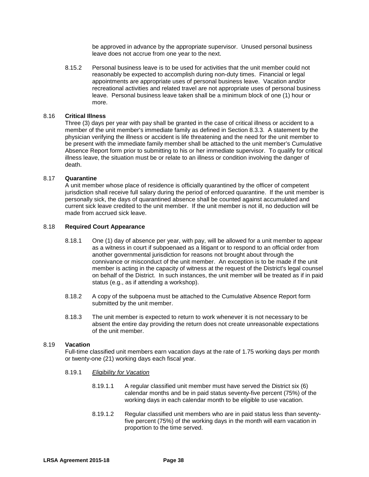be approved in advance by the appropriate supervisor. Unused personal business leave does not accrue from one year to the next.

8.15.2 Personal business leave is to be used for activities that the unit member could not reasonably be expected to accomplish during non-duty times. Financial or legal appointments are appropriate uses of personal business leave. Vacation and/or recreational activities and related travel are not appropriate uses of personal business leave. Personal business leave taken shall be a minimum block of one (1) hour or more.

### 8.16 **Critical Illness**

Three (3) days per year with pay shall be granted in the case of critical illness or accident to a member of the unit member's immediate family as defined in Section 8.3.3. A statement by the physician verifying the illness or accident is life threatening and the need for the unit member to be present with the immediate family member shall be attached to the unit member's Cumulative Absence Report form prior to submitting to his or her immediate supervisor. To qualify for critical illness leave, the situation must be or relate to an illness or condition involving the danger of death.

### 8.17 **Quarantine**

A unit member whose place of residence is officially quarantined by the officer of competent jurisdiction shall receive full salary during the period of enforced quarantine. If the unit member is personally sick, the days of quarantined absence shall be counted against accumulated and current sick leave credited to the unit member. If the unit member is not ill, no deduction will be made from accrued sick leave.

### 8.18 **Required Court Appearance**

- 8.18.1 One (1) day of absence per year, with pay, will be allowed for a unit member to appear as a witness in court if subpoenaed as a litigant or to respond to an official order from another governmental jurisdiction for reasons not brought about through the connivance or misconduct of the unit member. An exception is to be made if the unit member is acting in the capacity of witness at the request of the District's legal counsel on behalf of the District. In such instances, the unit member will be treated as if in paid status (e.g., as if attending a workshop).
- 8.18.2 A copy of the subpoena must be attached to the Cumulative Absence Report form submitted by the unit member.
- 8.18.3 The unit member is expected to return to work whenever it is not necessary to be absent the entire day providing the return does not create unreasonable expectations of the unit member.

#### 8.19 **Vacation**

Full-time classified unit members earn vacation days at the rate of 1.75 working days per month or twenty-one (21) working days each fiscal year.

- 8.19.1 *Eligibility for Vacation*
	- 8.19*.*1.1 A regular classified unit member must have served the District six (6) calendar months and be in paid status seventy-five percent (75%) of the working days in each calendar month to be eligible to use vacation.
	- 8.19.1.2 Regular classified unit members who are in paid status less than seventyfive percent (75%) of the working days in the month will earn vacation in proportion to the time served.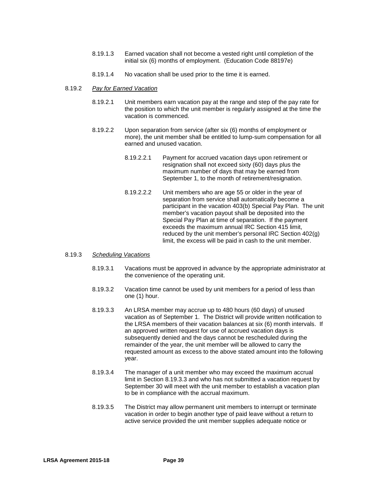- 8.19.1.3 Earned vacation shall not become a vested right until completion of the initial six (6) months of employment. (Education Code 88197e)
- 8.19.1.4 No vacation shall be used prior to the time it is earned.

#### 8*.*19*.*2 *Pay for Earned Vacation*

- 8*.*19*.*2.1 Unit members earn vacation pay at the range and step of the pay rate for the position to which the unit member is regularly assigned at the time the vacation is commenced.
- 8.19.2.2 Upon separation from service (after six (6) months of employment or more), the unit member shall be entitled to lump-sum compensation for all earned and unused vacation.
	- 8.19.2.2.1 Payment for accrued vacation days upon retirement or resignation shall not exceed sixty (60) days plus the maximum number of days that may be earned from September 1, to the month of retirement/resignation.
	- 8.19.2.2.2 Unit members who are age 55 or older in the year of separation from service shall automatically become a participant in the vacation 403(b) Special Pay Plan. The unit member's vacation payout shall be deposited into the Special Pay Plan at time of separation. If the payment exceeds the maximum annual IRC Section 415 limit, reduced by the unit member's personal IRC Section 402(g) limit, the excess will be paid in cash to the unit member.

### 8.19.3 *Scheduling Vacations*

- 8.19.3.1 Vacations must be approved in advance by the appropriate administrator at the convenience of the operating unit.
- 8.19.3.2 Vacation time cannot be used by unit members for a period of less than one (1) hour.
- 8*.*19*.*3.3 An LRSA member may accrue up to 480 hours (60 days) of unused vacation as of September 1. The District will provide written notification to the LRSA members of their vacation balances at six (6) month intervals. If an approved written request for use of accrued vacation days is subsequently denied and the days cannot be rescheduled during the remainder of the year, the unit member will be allowed to carry the requested amount as excess to the above stated amount into the following year.
- 8.19.3.4 The manager of a unit member who may exceed the maximum accrual limit in Section 8.19.3.3 and who has not submitted a vacation request by September 30 will meet with the unit member to establish a vacation plan to be in compliance with the accrual maximum.
- 8.19.3.5 The District may allow permanent unit members to interrupt or terminate vacation in order to begin another type of paid leave without a return to active service provided the unit member supplies adequate notice or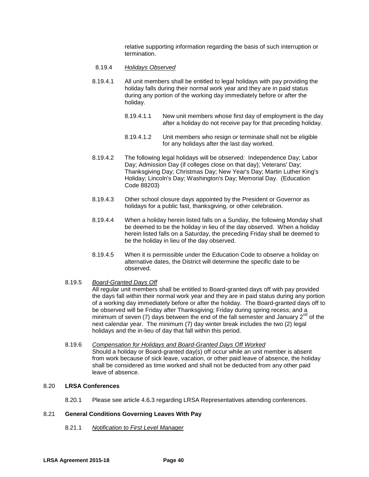relative supporting information regarding the basis of such interruption or termination.

- 8.19.4 *Holidays Observed*
- 8.19*.*4.1 All unit members shall be entitled to legal holidays with pay providing the holiday falls during their normal work year and they are in paid status during any portion of the working day immediately before or after the holiday.
	- 8.19.4.1.1 New unit members whose first day of employment is the day after a holiday do not receive pay for that preceding holiday.
	- 8.19.4.1.2 Unit members who resign or terminate shall not be eligible for any holidays after the last day worked.
- 8.19.4.2 The following legal holidays will be observed: Independence Day; Labor Day; Admission Day (if colleges close on that day); Veterans' Day; Thanksgiving Day; Christmas Day; New Year's Day; Martin Luther King's Holiday; Lincoln's Day; Washington's Day; Memorial Day. (Education Code 88203)
- 8.19.4.3 Other school closure days appointed by the President or Governor as holidays for a public fast, thanksgiving, or other celebration.
- 8.19.4.4 When a holiday herein listed falls on a Sunday, the following Monday shall be deemed to be the holiday in lieu of the day observed. When a holiday herein listed falls on a Saturday, the preceding Friday shall be deemed to be the holiday in lieu of the day observed.
- 8.19.4.5 When it is permissible under the Education Code to observe a holiday on alternative dates, the District will determine the specific date to be observed.
- 8.19.5 *Board-Granted Days Off*

All regular unit members shall be entitled to Board-granted days off with pay provided the days fall within their normal work year and they are in paid status during any portion of a working day immediately before or after the holiday. The Board-granted days off to be observed will be Friday after Thanksgiving; Friday during spring recess; and a minimum of seven (7) days between the end of the fall semester and January  $2^{nd}$  of the next calendar year. The minimum (7) day winter break includes the two (2) legal holidays and the in-lieu of day that fall within this period.

8.19.6 *Compensation for Holidays and Board-Granted Days Off Worked* Should a holiday or Board-granted day(s) off occur while an unit member is absent from work because of sick leave, vacation, or other paid leave of absence, the holiday shall be considered as time worked and shall not be deducted from any other paid leave of absence.

# 8.20 **LRSA Conferences**

8.20.1 Please see article 4.6.3 regarding LRSA Representatives attending conferences.

# 8.21 **General Conditions Governing Leaves With Pay**

8.21.1 *Notification to First Level Manager*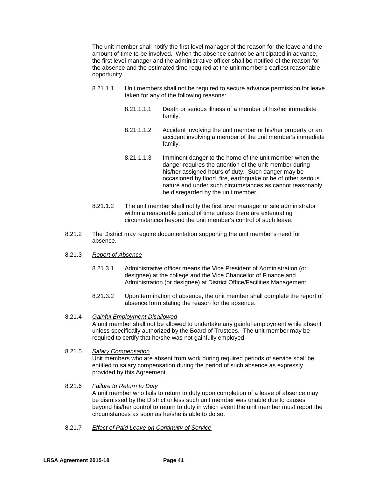The unit member shall notify the first level manager of the reason for the leave and the amount of time to be involved. When the absence cannot be anticipated in advance, the first level manager and the administrative officer shall be notified of the reason for the absence and the estimated time required at the unit member's earliest reasonable opportunity.

- 8.21.1.1 Unit members shall not be required to secure advance permission for leave taken for any of the following reasons:
	- 8.21.1.1.1 Death or serious illness of a member of his/her immediate family.
	- 8.21.1.1.2 Accident involving the unit member or his/her property or an accident involving a member of the unit member's immediate family.
	- 8.21.1.1.3 Imminent danger to the home of the unit member when the danger requires the attention of the unit member during his/her assigned hours of duty. Such danger may be occasioned by flood, fire, earthquake or be of other serious nature and under such circumstances as cannot reasonably be disregarded by the unit member.
- 8.21.1.2 The unit member shall notify the first level manager or site administrator within a reasonable period of time unless there are extenuating circumstances beyond the unit member's control of such leave.
- 8.21.2 The District may require documentation supporting the unit member's need for absence.

### 8.21.3 *Report of Absence*

- 8.21.3.1 Administrative officer means the Vice President of Administration (or designee) at the college and the Vice Chancellor of Finance and Administration (or designee) at District Office/Facilities Management.
- 8.21.3.2 Upon termination of absence, the unit member shall complete the report of absence form stating the reason for the absence.

### 8.21.4 *Gainful Employment Disallowed*

A unit member shall not be allowed to undertake any gainful employment while absent unless specifically authorized by the Board of Trustees. The unit member may be required to certify that he/she was not gainfully employed.

### 8.21.5 *Salary Compensation*

Unit members who are absent from work during required periods of service shall be entitled to salary compensation during the period of such absence as expressly provided by this Agreement.

- 8.21.6 *Failure to Return to Duty* A unit member who fails to return to duty upon completion of a leave of absence may be dismissed by the District unless such unit member was unable due to causes beyond his/her control to return to duty in which event the unit member must report the circumstances as soon as he/she is able to do so.
- 8.21.7 *Effect of Paid Leave on Continuity of Service*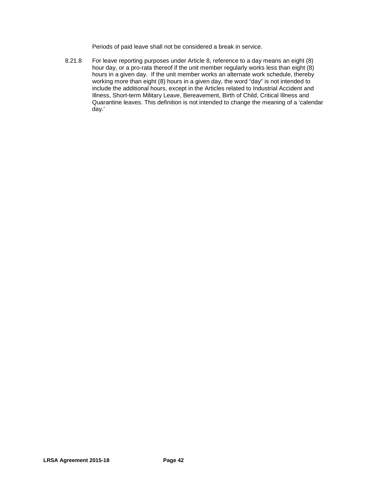Periods of paid leave shall not be considered a break in service.

8.21.8 For leave reporting purposes under Article 8, reference to a day means an eight (8) hour day, or a pro-rata thereof if the unit member regularly works less than eight (8) hours in a given day. If the unit member works an alternate work schedule, thereby working more than eight (8) hours in a given day, the word "day" is not intended to include the additional hours, except in the Articles related to Industrial Accident and Illness, Short-term Military Leave, Bereavement, Birth of Child, Critical Illness and Quarantine leaves. This definition is not intended to change the meaning of a 'calendar day.'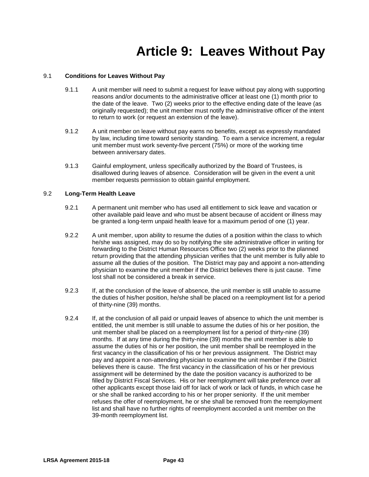# **Article 9: Leaves Without Pay**

# 9.1 **Conditions for Leaves Without Pay**

- 9.1.1 A unit member will need to submit a request for leave without pay along with supporting reasons and/or documents to the administrative officer at least one (1) month prior to the date of the leave. Two (2) weeks prior to the effective ending date of the leave (as originally requested); the unit member must notify the administrative officer of the intent to return to work (or request an extension of the leave).
- 9.1.2 A unit member on leave without pay earns no benefits, except as expressly mandated by law, including time toward seniority standing. To earn a service increment, a regular unit member must work seventy-five percent (75%) or more of the working time between anniversary dates.
- 9.1.3 Gainful employment, unless specifically authorized by the Board of Trustees, is disallowed during leaves of absence. Consideration will be given in the event a unit member requests permission to obtain gainful employment.

# 9.2 **Long-Term Health Leave**

- 9.2.1 A permanent unit member who has used all entitlement to sick leave and vacation or other available paid leave and who must be absent because of accident or illness may be granted a long-term unpaid health leave for a maximum period of one (1) year.
- 9.2.2 A unit member, upon ability to resume the duties of a position within the class to which he/she was assigned, may do so by notifying the site administrative officer in writing for forwarding to the District Human Resources Office two (2) weeks prior to the planned return providing that the attending physician verifies that the unit member is fully able to assume all the duties of the position. The District may pay and appoint a non-attending physician to examine the unit member if the District believes there is just cause. Time lost shall not be considered a break in service.
- 9.2.3 If, at the conclusion of the leave of absence, the unit member is still unable to assume the duties of his/her position, he/she shall be placed on a reemployment list for a period of thirty-nine (39) months.
- 9.2.4 If, at the conclusion of all paid or unpaid leaves of absence to which the unit member is entitled, the unit member is still unable to assume the duties of his or her position, the unit member shall be placed on a reemployment list for a period of thirty-nine (39) months. If at any time during the thirty-nine (39) months the unit member is able to assume the duties of his or her position, the unit member shall be reemployed in the first vacancy in the classification of his or her previous assignment. The District may pay and appoint a non-attending physician to examine the unit member if the District believes there is cause. The first vacancy in the classification of his or her previous assignment will be determined by the date the position vacancy is authorized to be filled by District Fiscal Services. His or her reemployment will take preference over all other applicants except those laid off for lack of work or lack of funds, in which case he or she shall be ranked according to his or her proper seniority. If the unit member refuses the offer of reemployment, he or she shall be removed from the reemployment list and shall have no further rights of reemployment accorded a unit member on the 39-month reemployment list.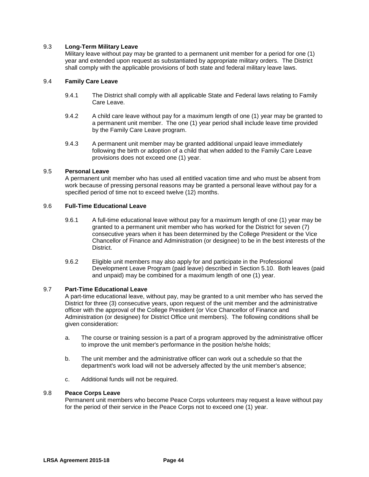# 9.3 **Long-Term Military Leave**

Military leave without pay may be granted to a permanent unit member for a period for one (1) year and extended upon request as substantiated by appropriate military orders. The District shall comply with the applicable provisions of both state and federal military leave laws.

# 9.4 **Family Care Leave**

- 9.4.1 The District shall comply with all applicable State and Federal laws relating to Family Care Leave.
- 9.4.2 A child care leave without pay for a maximum length of one (1) year may be granted to a permanent unit member. The one (1) year period shall include leave time provided by the Family Care Leave program.
- 9.4.3 A permanent unit member may be granted additional unpaid leave immediately following the birth or adoption of a child that when added to the Family Care Leave provisions does not exceed one (1) year.

### 9.5 **Personal Leave**

A permanent unit member who has used all entitled vacation time and who must be absent from work because of pressing personal reasons may be granted a personal leave without pay for a specified period of time not to exceed twelve (12) months.

# 9.6 **Full-Time Educational Leave**

- 9.6.1 A full-time educational leave without pay for a maximum length of one (1) year may be granted to a permanent unit member who has worked for the District for seven (7) consecutive years when it has been determined by the College President or the Vice Chancellor of Finance and Administration (or designee) to be in the best interests of the District.
- 9.6.2 Eligible unit members may also apply for and participate in the Professional Development Leave Program (paid leave) described in Section 5.10. Both leaves (paid and unpaid) may be combined for a maximum length of one (1) year.

### 9.7 **Part-Time Educational Leave**

A part-time educational leave, without pay, may be granted to a unit member who has served the District for three (3) consecutive years, upon request of the unit member and the administrative officer with the approval of the College President {or Vice Chancellor of Finance and Administration (or designee) for District Office unit members}. The following conditions shall be given consideration:

- a. The course or training session is a part of a program approved by the administrative officer to improve the unit member's performance in the position he/she holds;
- b. The unit member and the administrative officer can work out a schedule so that the department's work load will not be adversely affected by the unit member's absence;
- c. Additional funds will not be required.

### 9.8 **Peace Corps Leave**

Permanent unit members who become Peace Corps volunteers may request a leave without pay for the period of their service in the Peace Corps not to exceed one (1) year.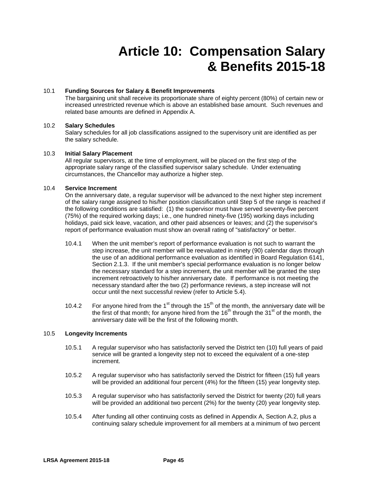# **Article 10: Compensation Salary & Benefits 2015-18**

# 10.1 **Funding Sources for Salary & Benefit Improvements**

The bargaining unit shall receive its proportionate share of eighty percent (80%) of certain new or increased unrestricted revenue which is above an established base amount. Such revenues and related base amounts are defined in Appendix A.

# 10.2 **Salary Schedules**

Salary schedules for all job classifications assigned to the supervisory unit are identified as per the salary schedule.

### 10.3 **Initial Salary Placement**

All regular supervisors, at the time of employment, will be placed on the first step of the appropriate salary range of the classified supervisor salary schedule. Under extenuating circumstances, the Chancellor may authorize a higher step.

# 10.4 **Service Increment**

On the anniversary date, a regular supervisor will be advanced to the next higher step increment of the salary range assigned to his/her position classification until Step 5 of the range is reached if the following conditions are satisfied: (1) the supervisor must have served seventy-five percent (75%) of the required working days; i.e., one hundred ninety-five (195) working days including holidays, paid sick leave, vacation, and other paid absences or leaves; and (2) the supervisor's report of performance evaluation must show an overall rating of "satisfactory" or better.

- 10.4.1 When the unit member's report of performance evaluation is not such to warrant the step increase, the unit member will be reevaluated in ninety (90) calendar days through the use of an additional performance evaluation as identified in Board Regulation 6141, Section 2.1.3. If the unit member's special performance evaluation is no longer below the necessary standard for a step increment, the unit member will be granted the step increment retroactively to his/her anniversary date. If performance is not meeting the necessary standard after the two (2) performance reviews, a step increase will not occur until the next successful review (refer to Article 5.4).
- 10.4.2 For anyone hired from the 1<sup>st</sup> through the 15<sup>th</sup> of the month, the anniversary date will be the first of that month; for anyone hired from the  $16<sup>th</sup>$  through the  $31<sup>st</sup>$  of the month, the anniversary date will be the first of the following month.

### 10.5 **Longevity Increments**

- 10.5.1 A regular supervisor who has satisfactorily served the District ten (10) full years of paid service will be granted a longevity step not to exceed the equivalent of a one-step increment.
- 10.5.2 A regular supervisor who has satisfactorily served the District for fifteen (15) full years will be provided an additional four percent (4%) for the fifteen (15) year longevity step.
- 10.5.3 A regular supervisor who has satisfactorily served the District for twenty (20) full years will be provided an additional two percent (2%) for the twenty (20) year longevity step.
- 10.5.4 After funding all other continuing costs as defined in Appendix A, Section A.2, plus a continuing salary schedule improvement for all members at a minimum of two percent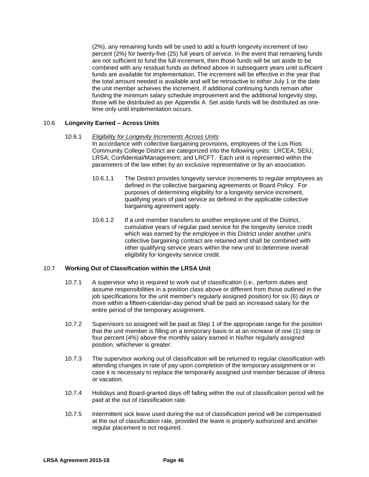(2%), any remaining funds will be used to add a fourth longevity increment of two percent (2%) for twenty-five (25) full years of service. In the event that remaining funds are not sufficient to fund the full increment, then those funds will be set aside to be combined with any residual funds as defined above in subsequent years until sufficient funds are available for implementation. The increment will be effective in the year that the total amount needed is available and will be retroactive to either July 1 or the date the unit member achieves the increment. If additional continuing funds remain after funding the minimum salary schedule improvement and the additional longevity step, those will be distributed as per Appendix A. Set aside funds will be distributed as onetime only until implementation occurs.

# 10.6 **Longevity Earned – Across Units**

- 10.6.1 *Eligibility for Longevity Increments Across Units* In accordance with collective bargaining provisions, employees of the Los Rios Community College District are categorized into the following units: LRCEA; SEIU; LRSA; Confidential/Management; and LRCFT. Each unit is represented within the parameters of the law either by an exclusive representative or by an association.
	- 10.6.1.1 The District provides longevity service increments to regular employees as defined in the collective bargaining agreements or Board Policy. For purposes of determining eligibility for a longevity service increment, qualifying years of paid service as defined in the applicable collective bargaining agreement apply.
	- 10.6.1.2 If a unit member transfers to another employee unit of the District, cumulative years of regular paid service for the longevity service credit which was earned by the employee in this District under another unit's collective bargaining contract are retained and shall be combined with other qualifying service years within the new unit to determine overall eligibility for longevity service credit.

# 10.7 **Working Out of Classification within the LRSA Unit**

- 10.7.1 A supervisor who is required to work out of classification (i.e., perform duties and assume responsibilities in a position class above or different from those outlined in the job specifications for the unit member's regularly assigned position) for six (6) days or more within a fifteen-calendar-day period shall be paid an increased salary for the entire period of the temporary assignment.
- 10.7.2 Supervisors so assigned will be paid at Step 1 of the appropriate range for the position that the unit member is filling on a temporary basis or at an increase of one (1) step or four percent (4%) above the monthly salary earned in his/her regularly assigned position, whichever is greater.
- 10.7.3 The supervisor working out of classification will be returned to regular classification with attending changes in rate of pay upon completion of the temporary assignment or in case it is necessary to replace the temporarily assigned unit member because of illness or vacation.
- 10.7.4 Holidays and Board-granted days off falling within the out of classification period will be paid at the out of classification rate.
- 10.7.5 Intermittent sick leave used during the out of classification period will be compensated at the out of classification rate, provided the leave is properly authorized and another regular placement is not required.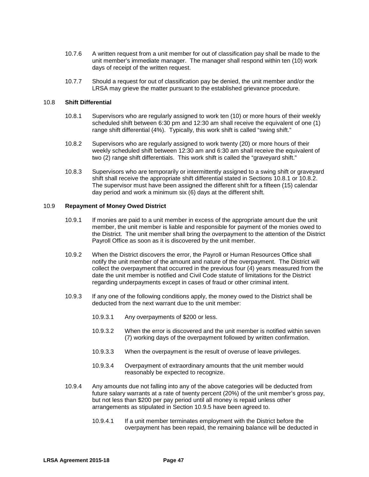- 10.7.6 A written request from a unit member for out of classification pay shall be made to the unit member's immediate manager. The manager shall respond within ten (10) work days of receipt of the written request.
- 10.7.7 Should a request for out of classification pay be denied, the unit member and/or the LRSA may grieve the matter pursuant to the established grievance procedure.

### 10.8 **Shift Differential**

- 10.8.1 Supervisors who are regularly assigned to work ten (10) or more hours of their weekly scheduled shift between 6:30 pm and 12:30 am shall receive the equivalent of one (1) range shift differential (4%). Typically, this work shift is called "swing shift."
- 10.8.2 Supervisors who are regularly assigned to work twenty (20) or more hours of their weekly scheduled shift between 12:30 am and 6:30 am shall receive the equivalent of two (2) range shift differentials. This work shift is called the "graveyard shift."
- 10.8.3 Supervisors who are temporarily or intermittently assigned to a swing shift or graveyard shift shall receive the appropriate shift differential stated in Sections 10.8.1 or 10.8.2. The supervisor must have been assigned the different shift for a fifteen (15) calendar day period and work a minimum six (6) days at the different shift.

### 10.9 **Repayment of Money Owed District**

- 10.9.1 If monies are paid to a unit member in excess of the appropriate amount due the unit member, the unit member is liable and responsible for payment of the monies owed to the District. The unit member shall bring the overpayment to the attention of the District Payroll Office as soon as it is discovered by the unit member.
- 10.9.2 When the District discovers the error, the Payroll or Human Resources Office shall notify the unit member of the amount and nature of the overpayment. The District will collect the overpayment that occurred in the previous four (4) years measured from the date the unit member is notified and Civil Code statute of limitations for the District regarding underpayments except in cases of fraud or other criminal intent.
- 10.9.3 If any one of the following conditions apply, the money owed to the District shall be deducted from the next warrant due to the unit member:
	- 10.9.3.1 Any overpayments of \$200 or less.
	- 10.9.3.2 When the error is discovered and the unit member is notified within seven (7) working days of the overpayment followed by written confirmation.
	- 10.9.3.3 When the overpayment is the result of overuse of leave privileges.
	- 10.9.3.4 Overpayment of extraordinary amounts that the unit member would reasonably be expected to recognize.
- 10.9.4 Any amounts due not falling into any of the above categories will be deducted from future salary warrants at a rate of twenty percent (20%) of the unit member's gross pay, but not less than \$200 per pay period until all money is repaid unless other arrangements as stipulated in Section 10.9.5 have been agreed to.
	- 10.9.4.1 If a unit member terminates employment with the District before the overpayment has been repaid, the remaining balance will be deducted in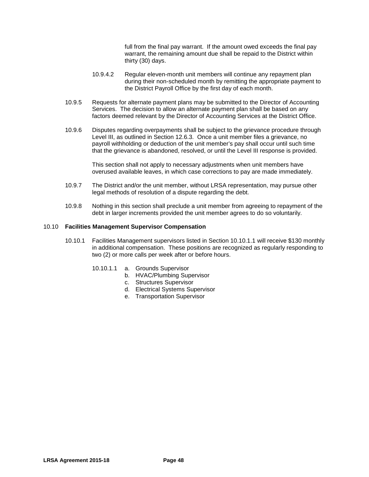full from the final pay warrant. If the amount owed exceeds the final pay warrant, the remaining amount due shall be repaid to the District within thirty (30) days.

- 10.9.4.2 Regular eleven-month unit members will continue any repayment plan during their non-scheduled month by remitting the appropriate payment to the District Payroll Office by the first day of each month.
- 10.9.5 Requests for alternate payment plans may be submitted to the Director of Accounting Services. The decision to allow an alternate payment plan shall be based on any factors deemed relevant by the Director of Accounting Services at the District Office.
- 10.9.6 Disputes regarding overpayments shall be subject to the grievance procedure through Level III, as outlined in Section 12.6.3. Once a unit member files a grievance, no payroll withholding or deduction of the unit member's pay shall occur until such time that the grievance is abandoned, resolved, or until the Level III response is provided.

This section shall not apply to necessary adjustments when unit members have overused available leaves, in which case corrections to pay are made immediately.

- 10.9.7 The District and/or the unit member, without LRSA representation, may pursue other legal methods of resolution of a dispute regarding the debt.
- 10.9.8 Nothing in this section shall preclude a unit member from agreeing to repayment of the debt in larger increments provided the unit member agrees to do so voluntarily.

### 10.10 **Facilities Management Supervisor Compensation**

- 10.10.1 Facilities Management supervisors listed in Section 10.10.1.1 will receive \$130 monthly in additional compensation. These positions are recognized as regularly responding to two (2) or more calls per week after or before hours.
	- 10.10.1.1 a. Grounds Supervisor
		- b. HVAC/Plumbing Supervisor
			- c. Structures Supervisor
			- d. Electrical Systems Supervisor
			- e. Transportation Supervisor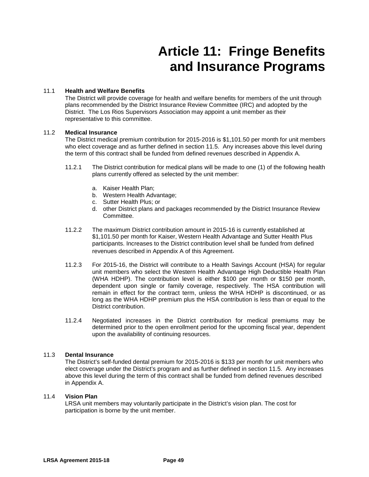# **Article 11: Fringe Benefits and Insurance Programs**

# 11.1 **Health and Welfare Benefits**

The District will provide coverage for health and welfare benefits for members of the unit through plans recommended by the District Insurance Review Committee (IRC) and adopted by the District. The Los Rios Supervisors Association may appoint a unit member as their representative to this committee.

# 11.2 **Medical Insurance**

The District medical premium contribution for 2015-2016 is \$1,101.50 per month for unit members who elect coverage and as further defined in section 11.5. Any increases above this level during the term of this contract shall be funded from defined revenues described in Appendix A.

- 11.2.1 The District contribution for medical plans will be made to one (1) of the following health plans currently offered as selected by the unit member:
	- a. Kaiser Health Plan;
	- b. Western Health Advantage;
	- c. Sutter Health Plus; or
	- d. other District plans and packages recommended by the District Insurance Review Committee.
- 11.2.2 The maximum District contribution amount in 2015-16 is currently established at \$1,101.50 per month for Kaiser, Western Health Advantage and Sutter Health Plus participants. Increases to the District contribution level shall be funded from defined revenues described in Appendix A of this Agreement.
- 11.2.3 For 2015-16, the District will contribute to a Health Savings Account (HSA) for regular unit members who select the Western Health Advantage High Deductible Health Plan (WHA HDHP). The contribution level is either \$100 per month or \$150 per month, dependent upon single or family coverage, respectively. The HSA contribution will remain in effect for the contract term, unless the WHA HDHP is discontinued, or as long as the WHA HDHP premium plus the HSA contribution is less than or equal to the District contribution.
- 11.2.4 Negotiated increases in the District contribution for medical premiums may be determined prior to the open enrollment period for the upcoming fiscal year, dependent upon the availability of continuing resources.

### 11.3 **Dental Insurance**

The District's self-funded dental premium for 2015-2016 is \$133 per month for unit members who elect coverage under the District's program and as further defined in section 11.5. Any increases above this level during the term of this contract shall be funded from defined revenues described in Appendix A.

### 11.4 **Vision Plan**

LRSA unit members may voluntarily participate in the District's vision plan. The cost for participation is borne by the unit member.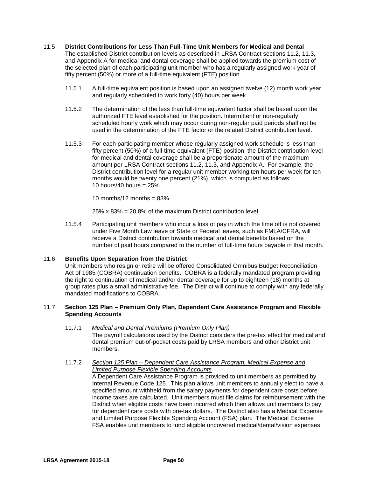### 11.5 **District Contributions for Less Than Full-Time Unit Members for Medical and Dental**

The established District contribution levels as described in LRSA Contract sections 11.2, 11.3, and Appendix A for medical and dental coverage shall be applied towards the premium cost of the selected plan of each participating unit member who has a regularly assigned work year of fifty percent (50%) or more of a full-time equivalent (FTE) position.

- 11.5.1 A full-time equivalent position is based upon an assigned twelve (12) month work year and regularly scheduled to work forty (40) hours per week.
- 11.5.2 The determination of the less than full-time equivalent factor shall be based upon the authorized FTE level established for the position. Intermittent or non-regularly scheduled hourly work which may occur during non-regular paid periods shall not be used in the determination of the FTE factor or the related District contribution level.
- 11.5.3 For each participating member whose regularly assigned work schedule is less than fifty percent (50%) of a full-time equivalent (FTE) position, the District contribution level for medical and dental coverage shall be a proportionate amount of the maximum amount per LRSA Contract sections 11.2, 11.3, and Appendix A. For example, the District contribution level for a regular unit member working ten hours per week for ten months would be twenty one percent (21%), which is computed as follows: 10 hours/40 hours =  $25\%$

10 months/12 months  $= 83\%$ 

25% x 83% = 20.8% of the maximum District contribution level.

11.5.4 Participating unit members who incur a loss of pay in which the time off is not covered under Five Month Law leave or State or Federal leaves, such as FMLA/CFRA, will receive a District contribution towards medical and dental benefits based on the number of paid hours compared to the number of full-time hours payable in that month.

### 11.6 **Benefits Upon Separation from the District**

Unit members who resign or retire will be offered Consolidated Omnibus Budget Reconciliation Act of 1985 (COBRA) continuation benefits. COBRA is a federally mandated program providing the right to continuation of medical and/or dental coverage for up to eighteen (18) months at group rates plus a small administrative fee. The District will continue to comply with any federally mandated modifications to COBRA.

### 11.7 **Section 125 Plan – Premium Only Plan, Dependent Care Assistance Program and Flexible Spending Accounts**

11.7.1 *Medical and Dental Premiums (Premium Only Plan)* The payroll calculations used by the District considers the pre-tax effect for medical and dental premium out-of-pocket costs paid by LRSA members and other District unit members.

# 11.7.2 *Section 125 Plan – Dependent Care Assistance Program, Medical Expense and Limited Purpose Flexible Spending Accounts*

A Dependent Care Assistance Program is provided to unit members as permitted by Internal Revenue Code 125. This plan allows unit members to annually elect to have a specified amount withheld from the salary payments for dependent care costs before income taxes are calculated. Unit members must file claims for reimbursement with the District when eligible costs have been incurred which then allows unit members to pay for dependent care costs with pre-tax dollars. The District also has a Medical Expense and Limited Purpose Flexible Spending Account (FSA) plan. The Medical Expense FSA enables unit members to fund eligible uncovered medical/dental/vision expenses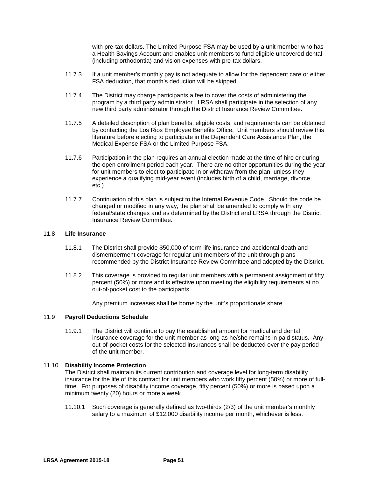with pre-tax dollars. The Limited Purpose FSA may be used by a unit member who has a Health Savings Account and enables unit members to fund eligible uncovered dental (including orthodontia) and vision expenses with pre-tax dollars.

- 11.7.3 If a unit member's monthly pay is not adequate to allow for the dependent care or either FSA deduction, that month's deduction will be skipped.
- 11.7.4 The District may charge participants a fee to cover the costs of administering the program by a third party administrator. LRSA shall participate in the selection of any new third party administrator through the District Insurance Review Committee.
- 11.7.5 A detailed description of plan benefits, eligible costs, and requirements can be obtained by contacting the Los Rios Employee Benefits Office. Unit members should review this literature before electing to participate in the Dependent Care Assistance Plan, the Medical Expense FSA or the Limited Purpose FSA.
- 11.7.6 Participation in the plan requires an annual election made at the time of hire or during the open enrollment period each year. There are no other opportunities during the year for unit members to elect to participate in or withdraw from the plan, unless they experience a qualifying mid-year event (includes birth of a child, marriage, divorce, etc.).
- 11.7.7 Continuation of this plan is subject to the Internal Revenue Code. Should the code be changed or modified in any way, the plan shall be amended to comply with any federal/state changes and as determined by the District and LRSA through the District Insurance Review Committee.

### 11.8 **Life Insurance**

- 11.8.1 The District shall provide \$50,000 of term life insurance and accidental death and dismemberment coverage for regular unit members of the unit through plans recommended by the District Insurance Review Committee and adopted by the District.
- 11.8.2 This coverage is provided to regular unit members with a permanent assignment of fifty percent (50%) or more and is effective upon meeting the eligibility requirements at no out-of-pocket cost to the participants.

Any premium increases shall be borne by the unit's proportionate share.

### 11.9 **Payroll Deductions Schedule**

11.9.1 The District will continue to pay the established amount for medical and dental insurance coverage for the unit member as long as he/she remains in paid status. Any out-of-pocket costs for the selected insurances shall be deducted over the pay period of the unit member.

### 11.10 **Disability Income Protection**

The District shall maintain its current contribution and coverage level for long-term disability insurance for the life of this contract for unit members who work fifty percent (50%) or more of fulltime. For purposes of disability income coverage, fifty percent (50%) or more is based upon a minimum twenty (20) hours or more a week.

11.10.1 Such coverage is generally defined as two-thirds (2/3) of the unit member's monthly salary to a maximum of \$12,000 disability income per month, whichever is less.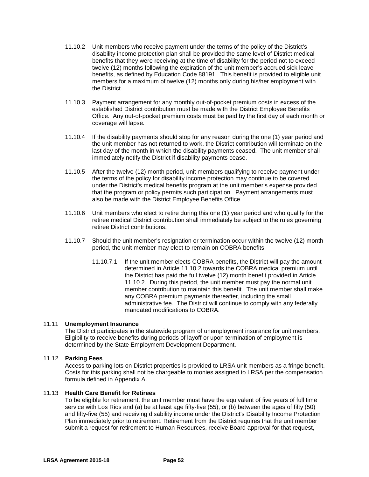- 11.10.2 Unit members who receive payment under the terms of the policy of the District's disability income protection plan shall be provided the same level of District medical benefits that they were receiving at the time of disability for the period not to exceed twelve (12) months following the expiration of the unit member's accrued sick leave benefits, as defined by Education Code 88191. This benefit is provided to eligible unit members for a maximum of twelve (12) months only during his/her employment with the District.
- 11.10.3 Payment arrangement for any monthly out-of-pocket premium costs in excess of the established District contribution must be made with the District Employee Benefits Office. Any out-of-pocket premium costs must be paid by the first day of each month or coverage will lapse.
- 11.10.4 If the disability payments should stop for any reason during the one (1) year period and the unit member has not returned to work, the District contribution will terminate on the last day of the month in which the disability payments ceased. The unit member shall immediately notify the District if disability payments cease.
- 11.10.5 After the twelve (12) month period, unit members qualifying to receive payment under the terms of the policy for disability income protection may continue to be covered under the District's medical benefits program at the unit member's expense provided that the program or policy permits such participation. Payment arrangements must also be made with the District Employee Benefits Office.
- 11.10.6 Unit members who elect to retire during this one (1) year period and who qualify for the retiree medical District contribution shall immediately be subject to the rules governing retiree District contributions.
- 11.10.7 Should the unit member's resignation or termination occur within the twelve (12) month period, the unit member may elect to remain on COBRA benefits.
	- 11.10.7.1 If the unit member elects COBRA benefits, the District will pay the amount determined in Article 11.10.2 towards the COBRA medical premium until the District has paid the full twelve (12) month benefit provided in Article 11.10.2. During this period, the unit member must pay the normal unit member contribution to maintain this benefit. The unit member shall make any COBRA premium payments thereafter, including the small administrative fee. The District will continue to comply with any federally mandated modifications to COBRA.

### 11.11 **Unemployment Insurance**

The District participates in the statewide program of unemployment insurance for unit members. Eligibility to receive benefits during periods of layoff or upon termination of employment is determined by the State Employment Development Department.

### 11.12 **Parking Fees**

Access to parking lots on District properties is provided to LRSA unit members as a fringe benefit. Costs for this parking shall not be chargeable to monies assigned to LRSA per the compensation formula defined in Appendix A.

### 11.13 **Health Care Benefit for Retirees**

To be eligible for retirement, the unit member must have the equivalent of five years of full time service with Los Rios and (a) be at least age fifty-five (55), or (b) between the ages of fifty (50) and fifty-five (55) and receiving disability income under the District's Disability Income Protection Plan immediately prior to retirement. Retirement from the District requires that the unit member submit a request for retirement to Human Resources, receive Board approval for that request,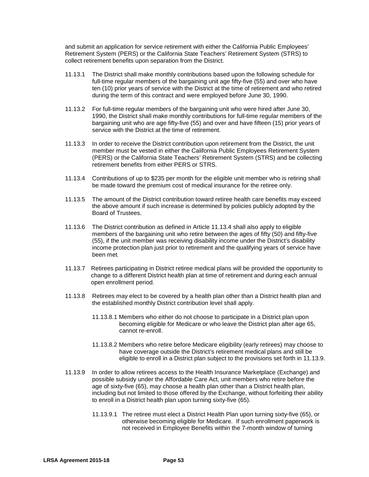and submit an application for service retirement with either the California Public Employees' Retirement System (PERS) or the California State Teachers' Retirement System (STRS) to collect retirement benefits upon separation from the District.

- 11.13.1 The District shall make monthly contributions based upon the following schedule for full-time regular members of the bargaining unit age fifty-five (55) and over who have ten (10) prior years of service with the District at the time of retirement and who retired during the term of this contract and were employed before June 30, 1990.
- 11.13.2 For full-time regular members of the bargaining unit who were hired after June 30, 1990, the District shall make monthly contributions for full-time regular members of the bargaining unit who are age fifty-five (55) and over and have fifteen (15) prior years of service with the District at the time of retirement.
- 11.13.3 In order to receive the District contribution upon retirement from the District, the unit member must be vested in either the California Public Employees Retirement System (PERS) or the California State Teachers' Retirement System (STRS) and be collecting retirement benefits from either PERS or STRS.
- 11.13.4 Contributions of up to \$235 per month for the eligible unit member who is retiring shall be made toward the premium cost of medical insurance for the retiree only.
- 11.13.5 The amount of the District contribution toward retiree health care benefits may exceed the above amount if such increase is determined by policies publicly adopted by the Board of Trustees.
- 11.13.6 The District contribution as defined in Article 11.13.4 shall also apply to eligible members of the bargaining unit who retire between the ages of fifty (50) and fifty-five (55), if the unit member was receiving disability income under the District's disability income protection plan just prior to retirement and the qualifying years of service have been met.
- 11.13.7 Retirees participating in District retiree medical plans will be provided the opportunity to change to a different District health plan at time of retirement and during each annual open enrollment period.
- 11.13.8 Retirees may elect to be covered by a health plan other than a District health plan and the established monthly District contribution level shall apply.
	- 11.13.8.1 Members who either do not choose to participate in a District plan upon becoming eligible for Medicare or who leave the District plan after age 65, cannot re-enroll.
	- 11.13.8.2 Members who retire before Medicare eligibility (early retirees) may choose to have coverage outside the District's retirement medical plans and still be eligible to enroll in a District plan subject to the provisions set forth in 11.13.9.
- 11.13.9 In order to allow retirees access to the Health Insurance Marketplace (Exchange) and possible subsidy under the Affordable Care Act, unit members who retire before the age of sixty-five (65), may choose a health plan other than a District health plan, including but not limited to those offered by the Exchange, without forfeiting their ability to enroll in a District health plan upon turning sixty-five (65).
	- 11.13.9.1 The retiree must elect a District Health Plan upon turning sixty-five (65), or otherwise becoming eligible for Medicare. If such enrollment paperwork is not received in Employee Benefits within the 7-month window of turning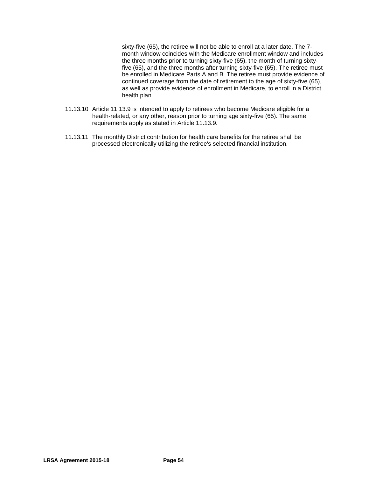sixty-five (65), the retiree will not be able to enroll at a later date. The 7 month window coincides with the Medicare enrollment window and includes the three months prior to turning sixty-five (65), the month of turning sixtyfive (65), and the three months after turning sixty-five (65). The retiree must be enrolled in Medicare Parts A and B. The retiree must provide evidence of continued coverage from the date of retirement to the age of sixty-five (65), as well as provide evidence of enrollment in Medicare, to enroll in a District health plan.

- 11.13.10 Article 11.13.9 is intended to apply to retirees who become Medicare eligible for a health-related, or any other, reason prior to turning age sixty-five (65). The same requirements apply as stated in Article 11.13.9.
- 11.13.11 The monthly District contribution for health care benefits for the retiree shall be processed electronically utilizing the retiree's selected financial institution.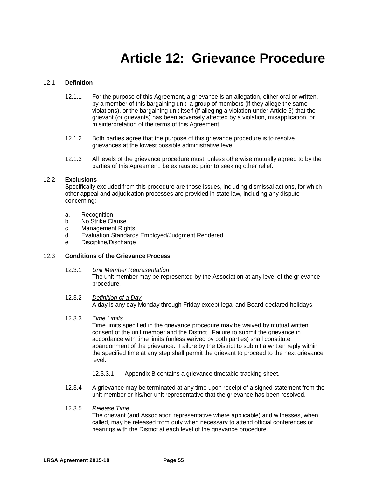# **Article 12: Grievance Procedure**

# 12.1 **Definition**

- 12.1.1 For the purpose of this Agreement, a grievance is an allegation, either oral or written, by a member of this bargaining unit, a group of members (if they allege the same violations), or the bargaining unit itself (if alleging a violation under Article 5) that the grievant (or grievants) has been adversely affected by a violation, misapplication, or misinterpretation of the terms of this Agreement.
- 12.1.2 Both parties agree that the purpose of this grievance procedure is to resolve grievances at the lowest possible administrative level.
- 12.1.3 All levels of the grievance procedure must, unless otherwise mutually agreed to by the parties of this Agreement, be exhausted prior to seeking other relief.

### 12.2 **Exclusions**

Specifically excluded from this procedure are those issues, including dismissal actions, for which other appeal and adjudication processes are provided in state law, including any dispute concerning:

- a. Recognition
- b. No Strike Clause
- c. Management Rights
- d. Evaluation Standards Employed/Judgment Rendered
- e. Discipline/Discharge

### 12.3 **Conditions of the Grievance Process**

- 12.3.1 *Unit Member Representation* The unit member may be represented by the Association at any level of the grievance procedure.
- 12.3.2 *Definition of a Day* A day is any day Monday through Friday except legal and Board-declared holidays.
- 12.3.3 *Time Limits*

Time limits specified in the grievance procedure may be waived by mutual written consent of the unit member and the District. Failure to submit the grievance in accordance with time limits (unless waived by both parties) shall constitute abandonment of the grievance. Failure by the District to submit a written reply within the specified time at any step shall permit the grievant to proceed to the next grievance level.

- 12.3.3.1 Appendix B contains a grievance timetable-tracking sheet.
- 12.3.4 A grievance may be terminated at any time upon receipt of a signed statement from the unit member or his/her unit representative that the grievance has been resolved.
- 12.3.5 *Release Time*

The grievant (and Association representative where applicable) and witnesses, when called, may be released from duty when necessary to attend official conferences or hearings with the District at each level of the grievance procedure.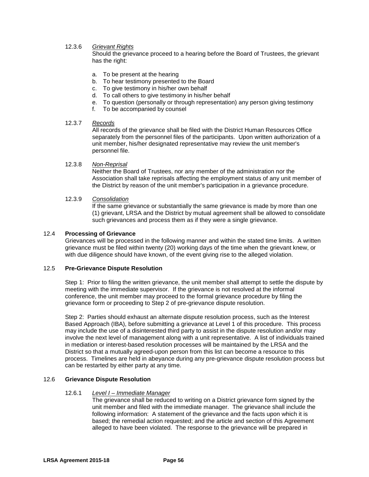# 12.3.6 *Grievant Rights*

Should the grievance proceed to a hearing before the Board of Trustees, the grievant has the right:

- a. To be present at the hearing
- b. To hear testimony presented to the Board
- c. To give testimony in his/her own behalf
- d. To call others to give testimony in his/her behalf
- e. To question (personally or through representation) any person giving testimony
- f. To be accompanied by counsel

### 12.3.7 *Records*

All records of the grievance shall be filed with the District Human Resources Office separately from the personnel files of the participants. Upon written authorization of a unit member, his/her designated representative may review the unit member's personnel file.

### 12.3.8 *Non-Reprisal*

Neither the Board of Trustees, nor any member of the administration nor the Association shall take reprisals affecting the employment status of any unit member of the District by reason of the unit member's participation in a grievance procedure.

# 12.3.9 *Consolidation*

If the same grievance or substantially the same grievance is made by more than one (1) grievant, LRSA and the District by mutual agreement shall be allowed to consolidate such grievances and process them as if they were a single grievance.

### 12.4 **Processing of Grievance**

Grievances will be processed in the following manner and within the stated time limits. A written grievance must be filed within twenty (20) working days of the time when the grievant knew, or with due diligence should have known, of the event giving rise to the alleged violation.

### 12.5 **Pre-Grievance Dispute Resolution**

Step 1:Prior to filing the written grievance, the unit member shall attempt to settle the dispute by meeting with the immediate supervisor. If the grievance is not resolved at the informal conference, the unit member may proceed to the formal grievance procedure by filing the grievance form or proceeding to Step 2 of pre-grievance dispute resolution.

Step 2: Parties should exhaust an alternate dispute resolution process, such as the Interest Based Approach (IBA), before submitting a grievance at Level 1 of this procedure. This process may include the use of a disinterested third party to assist in the dispute resolution and/or may involve the next level of management along with a unit representative. A list of individuals trained in mediation or interest-based resolution processes will be maintained by the LRSA and the District so that a mutually agreed-upon person from this list can become a resource to this process. Timelines are held in abeyance during any pre-grievance dispute resolution process but can be restarted by either party at any time.

# 12.6 **Grievance Dispute Resolution**

#### 12.6.1 *Level I – Immediate Manager*

The grievance shall be reduced to writing on a District grievance form signed by the unit member and filed with the immediate manager. The grievance shall include the following information: A statement of the grievance and the facts upon which it is based; the remedial action requested; and the article and section of this Agreement alleged to have been violated. The response to the grievance will be prepared in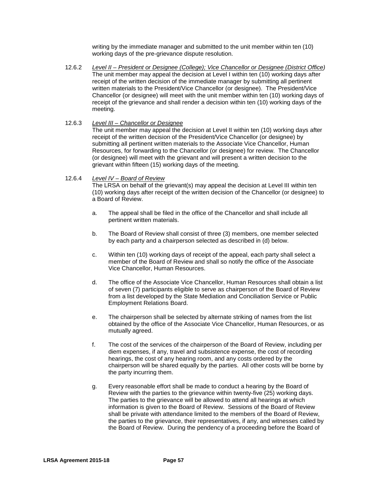writing by the immediate manager and submitted to the unit member within ten (10) working days of the pre-grievance dispute resolution.

12.6.2 *Level II – President or Designee (College); Vice Chancellor or Designee (District Office)* The unit member may appeal the decision at Level I within ten (10) working days after receipt of the written decision of the immediate manager by submitting all pertinent written materials to the President/Vice Chancellor (or designee). The President/Vice Chancellor (or designee) will meet with the unit member within ten (10) working days of receipt of the grievance and shall render a decision within ten (10) working days of the meeting.

### 12.6.3 *Level III – Chancellor or Designee*

The unit member may appeal the decision at Level II within ten (10) working days after receipt of the written decision of the President/Vice Chancellor (or designee) by submitting all pertinent written materials to the Associate Vice Chancellor, Human Resources, for forwarding to the Chancellor (or designee) for review. The Chancellor (or designee) will meet with the grievant and will present a written decision to the grievant within fifteen (15) working days of the meeting.

### 12.6.4 *Level IV – Board of Review*

The LRSA on behalf of the grievant(s) may appeal the decision at Level III within ten (10) working days after receipt of the written decision of the Chancellor (or designee) to a Board of Review.

- a. The appeal shall be filed in the office of the Chancellor and shall include all pertinent written materials.
- b. The Board of Review shall consist of three (3) members, one member selected by each party and a chairperson selected as described in (d) below.
- c. Within ten (10) working days of receipt of the appeal, each party shall select a member of the Board of Review and shall so notify the office of the Associate Vice Chancellor, Human Resources.
- d. The office of the Associate Vice Chancellor, Human Resources shall obtain a list of seven (7) participants eligible to serve as chairperson of the Board of Review from a list developed by the State Mediation and Conciliation Service or Public Employment Relations Board.
- e. The chairperson shall be selected by alternate striking of names from the list obtained by the office of the Associate Vice Chancellor, Human Resources, or as mutually agreed.
- f. The cost of the services of the chairperson of the Board of Review, including per diem expenses, if any, travel and subsistence expense, the cost of recording hearings, the cost of any hearing room, and any costs ordered by the chairperson will be shared equally by the parties. All other costs will be borne by the party incurring them.
- g. Every reasonable effort shall be made to conduct a hearing by the Board of Review with the parties to the grievance within twenty-five (25) working days. The parties to the grievance will be allowed to attend all hearings at which information is given to the Board of Review. Sessions of the Board of Review shall be private with attendance limited to the members of the Board of Review, the parties to the grievance, their representatives, if any, and witnesses called by the Board of Review. During the pendency of a proceeding before the Board of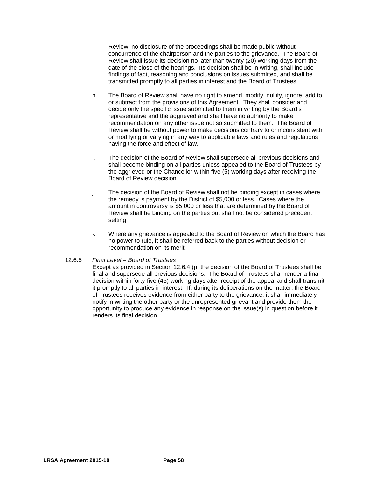Review, no disclosure of the proceedings shall be made public without concurrence of the chairperson and the parties to the grievance. The Board of Review shall issue its decision no later than twenty (20) working days from the date of the close of the hearings. Its decision shall be in writing, shall include findings of fact, reasoning and conclusions on issues submitted, and shall be transmitted promptly to all parties in interest and the Board of Trustees.

- h. The Board of Review shall have no right to amend, modify, nullify, ignore, add to, or subtract from the provisions of this Agreement. They shall consider and decide only the specific issue submitted to them in writing by the Board's representative and the aggrieved and shall have no authority to make recommendation on any other issue not so submitted to them. The Board of Review shall be without power to make decisions contrary to or inconsistent with or modifying or varying in any way to applicable laws and rules and regulations having the force and effect of law.
- i. The decision of the Board of Review shall supersede all previous decisions and shall become binding on all parties unless appealed to the Board of Trustees by the aggrieved or the Chancellor within five (5) working days after receiving the Board of Review decision.
- j. The decision of the Board of Review shall not be binding except in cases where the remedy is payment by the District of \$5,000 or less. Cases where the amount in controversy is \$5,000 or less that are determined by the Board of Review shall be binding on the parties but shall not be considered precedent setting.
- k. Where any grievance is appealed to the Board of Review on which the Board has no power to rule, it shall be referred back to the parties without decision or recommendation on its merit.

### 12.6.5 *Final Level – Board of Trustees*

Except as provided in Section 12.6.4 (j), the decision of the Board of Trustees shall be final and supersede all previous decisions. The Board of Trustees shall render a final decision within forty-five (45) working days after receipt of the appeal and shall transmit it promptly to all parties in interest. If, during its deliberations on the matter, the Board of Trustees receives evidence from either party to the grievance, it shall immediately notify in writing the other party or the unrepresented grievant and provide them the opportunity to produce any evidence in response on the issue(s) in question before it renders its final decision.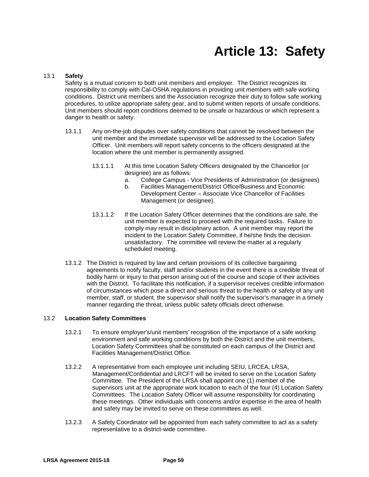# **Article 13: Safety**

### 13.1 **Safety**

Safety is a mutual concern to both unit members and employer. The District recognizes its responsibility to comply with Cal-OSHA regulations in providing unit members with safe working conditions. District unit members and the Association recognize their duty to follow safe working procedures, to utilize appropriate safety gear, and to submit written reports of unsafe conditions. Unit members should report conditions deemed to be unsafe or hazardous or which represent a danger to health or safety.

- 13.1.1 Any on-the-job disputes over safety conditions that cannot be resolved between the unit member and the immediate supervisor will be addressed to the Location Safety Officer. Unit members will report safety concerns to the officers designated at the location where the unit member is permanently assigned.
	- 13.1.1.1 At this time Location Safety Officers designated by the Chancellor (or designee) are as follows:
		- a. College Campus Vice Presidents of Administration (or designees)
		- b. Facilities Management/District Office/Business and Economic Development Center – Associate Vice Chancellor of Facilities Management (or designee).
	- 13.1.1.2 If the Location Safety Officer determines that the conditions are safe, the unit member is expected to proceed with the required tasks. Failure to comply may result in disciplinary action. A unit member may report the incident to the Location Safety Committee, if he/she finds the decision unsatisfactory. The committee will review the matter at a regularly scheduled meeting.
- 13.1.2 The District is required by law and certain provisions of its collective bargaining agreements to notify faculty, staff and/or students in the event there is a credible threat of bodily harm or injury to that person arising out of the course and scope of their activities with the District. To facilitate this notification, if a supervisor receives credible information of circumstances which pose a direct and serious threat to the health or safety of any unit member, staff, or student, the supervisor shall notify the supervisor's manager in a timely manner regarding the threat, unless public safety officials direct otherwise.

### 13.2 **Location Safety Committees**

- 13.2.1 To ensure employer's/unit members' recognition of the importance of a safe working environment and safe working conditions by both the District and the unit members, Location Safety Committees shall be constituted on each campus of the District and Facilities Management/District Office.
- 13.2.2 A representative from each employee unit including SEIU, LRCEA, LRSA, Management/Confidential and LRCFT will be invited to serve on the Location Safety Committee. The President of the LRSA shall appoint one (1) member of the supervisors unit at the appropriate work location to each of the four (4) Location Safety Committees. The Location Safety Officer will assume responsibility for coordinating these meetings. Other individuals with concerns and/or expertise in the area of health and safety may be invited to serve on these committees as well.
- 13.2.3 A Safety Coordinator will be appointed from each safety committee to act as a safety representative to a district-wide committee.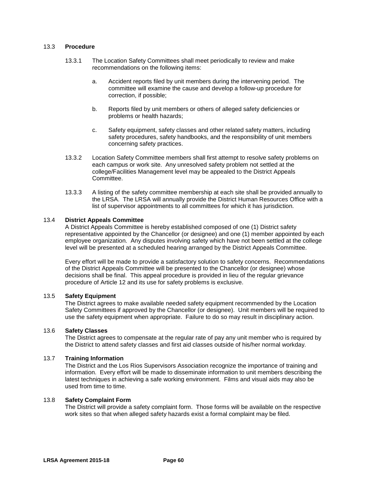### 13.3 **Procedure**

- 13.3.1 The Location Safety Committees shall meet periodically to review and make recommendations on the following items:
	- a. Accident reports filed by unit members during the intervening period. The committee will examine the cause and develop a follow-up procedure for correction, if possible;
	- b. Reports filed by unit members or others of alleged safety deficiencies or problems or health hazards;
	- c. Safety equipment, safety classes and other related safety matters, including safety procedures, safety handbooks, and the responsibility of unit members concerning safety practices.
- 13.3.2 Location Safety Committee members shall first attempt to resolve safety problems on each campus or work site. Any unresolved safety problem not settled at the college/Facilities Management level may be appealed to the District Appeals Committee.
- 13.3.3 A listing of the safety committee membership at each site shall be provided annually to the LRSA. The LRSA will annually provide the District Human Resources Office with a list of supervisor appointments to all committees for which it has jurisdiction.

### 13.4 **District Appeals Committee**

A District Appeals Committee is hereby established composed of one (1) District safety representative appointed by the Chancellor (or designee) and one (1) member appointed by each employee organization. Any disputes involving safety which have not been settled at the college level will be presented at a scheduled hearing arranged by the District Appeals Committee.

Every effort will be made to provide a satisfactory solution to safety concerns. Recommendations of the District Appeals Committee will be presented to the Chancellor (or designee) whose decisions shall be final. This appeal procedure is provided in lieu of the regular grievance procedure of Article 12 and its use for safety problems is exclusive.

### 13.5 **Safety Equipment**

The District agrees to make available needed safety equipment recommended by the Location Safety Committees if approved by the Chancellor (or designee). Unit members will be required to use the safety equipment when appropriate. Failure to do so may result in disciplinary action.

# 13.6 **Safety Classes**

The District agrees to compensate at the regular rate of pay any unit member who is required by the District to attend safety classes and first aid classes outside of his/her normal workday.

### 13.7 **Training Information**

The District and the Los Rios Supervisors Association recognize the importance of training and information. Every effort will be made to disseminate information to unit members describing the latest techniques in achieving a safe working environment. Films and visual aids may also be used from time to time.

#### 13.8 **Safety Complaint Form**

The District will provide a safety complaint form. Those forms will be available on the respective work sites so that when alleged safety hazards exist a formal complaint may be filed.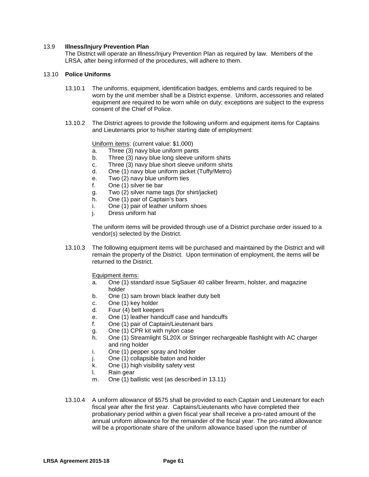### 13.9 **Illness/Injury Prevention Plan**

The District will operate an Illness/Injury Prevention Plan as required by law. Members of the LRSA, after being informed of the procedures, will adhere to them.

### 13.10 **Police Uniforms**

- 13.10.1 The uniforms, equipment, identification badges, emblems and cards required to be worn by the unit member shall be a District expense. Uniform, accessories and related equipment are required to be worn while on duty; exceptions are subject to the express consent of the Chief of Police.
- 13.10.2 The District agrees to provide the following uniform and equipment items for Captains and Lieutenants prior to his/her starting date of employment:

Uniform items: (current value: \$1,000)

- a. Three (3) navy blue uniform pants
- b. Three (3) navy blue long sleeve uniform shirts
- c. Three (3) navy blue short sleeve uniform shirts
- d. One (1) navy blue uniform jacket (Tuffy/Metro)
- e. Two (2) navy blue uniform ties
- f. One (1) silver tie bar
- g. Two (2) silver name tags (for shirt/jacket)
- h. One (1) pair of Captain's bars
- i. One (1) pair of leather uniform shoes
- j. Dress uniform hat

The uniform items will be provided through use of a District purchase order issued to a vendor(s) selected by the District.

13.10.3 The following equipment items will be purchased and maintained by the District and will remain the property of the District. Upon termination of employment, the items will be returned to the District.

Equipment items:

- a. One (1) standard issue SigSauer 40 caliber firearm, holster, and magazine holder
- b. One (1) sam brown black leather duty belt
- c. One (1) key holder
- d. Four (4) belt keepers
- e. One (1) leather handcuff case and handcuffs
- f. One (1) pair of Captain/Lieutenant bars
- g. One (1) CPR kit with nylon case
- h. One (1) Streamlight SL20X or Stringer rechargeable flashlight with AC charger and ring holder
- i. One (1) pepper spray and holder
- j. One (1) collapsible baton and holder
- k. One (1) high visibility safety vest
- l. Rain gear
- m. One (1) ballistic vest (as described in 13.11)
- 13.10.4 A uniform allowance of \$575 shall be provided to each Captain and Lieutenant for each fiscal year after the first year. Captains/Lieutenants who have completed their probationary period within a given fiscal year shall receive a pro-rated amount of the annual uniform allowance for the remainder of the fiscal year. The pro-rated allowance will be a proportionate share of the uniform allowance based upon the number of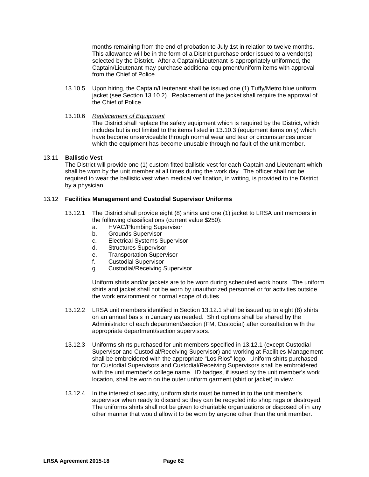months remaining from the end of probation to July 1st in relation to twelve months. This allowance will be in the form of a District purchase order issued to a vendor(s) selected by the District. After a Captain/Lieutenant is appropriately uniformed, the Captain/Lieutenant may purchase additional equipment/uniform items with approval from the Chief of Police.

13.10.5 Upon hiring, the Captain/Lieutenant shall be issued one (1) Tuffy/Metro blue uniform jacket (see Section 13.10.2). Replacement of the jacket shall require the approval of the Chief of Police.

### 13.10.6 *Replacement of Equipment*

The District shall replace the safety equipment which is required by the District, which includes but is not limited to the items listed in 13.10.3 (equipment items only) which have become unserviceable through normal wear and tear or circumstances under which the equipment has become unusable through no fault of the unit member.

### 13.11 **Ballistic Vest**

The District will provide one (1) custom fitted ballistic vest for each Captain and Lieutenant which shall be worn by the unit member at all times during the work day. The officer shall not be required to wear the ballistic vest when medical verification, in writing, is provided to the District by a physician.

### 13.12 **Facilities Management and Custodial Supervisor Uniforms**

- 13.12.1 The District shall provide eight (8) shirts and one (1) jacket to LRSA unit members in the following classifications (current value \$250):
	- a. HVAC/Plumbing Supervisor
	- b. Grounds Supervisor
	- c. Electrical Systems Supervisor
	- d. Structures Supervisor
	- e. Transportation Supervisor
	- f. Custodial Supervisor
	- g. Custodial/Receiving Supervisor

Uniform shirts and/or jackets are to be worn during scheduled work hours. The uniform shirts and jacket shall not be worn by unauthorized personnel or for activities outside the work environment or normal scope of duties.

- 13.12.2 LRSA unit members identified in Section 13.12.1 shall be issued up to eight (8) shirts on an annual basis in January as needed. Shirt options shall be shared by the Administrator of each department/section (FM, Custodial) after consultation with the appropriate department/section supervisors.
- 13.12.3 Uniforms shirts purchased for unit members specified in 13.12.1 (except Custodial Supervisor and Custodial/Receiving Supervisor) and working at Facilities Management shall be embroidered with the appropriate "Los Rios" logo. Uniform shirts purchased for Custodial Supervisors and Custodial/Receiving Supervisors shall be embroidered with the unit member's college name. ID badges, if issued by the unit member's work location, shall be worn on the outer uniform garment (shirt or jacket) in view.
- 13.12.4 In the interest of security, uniform shirts must be turned in to the unit member's supervisor when ready to discard so they can be recycled into shop rags or destroyed. The uniforms shirts shall not be given to charitable organizations or disposed of in any other manner that would allow it to be worn by anyone other than the unit member.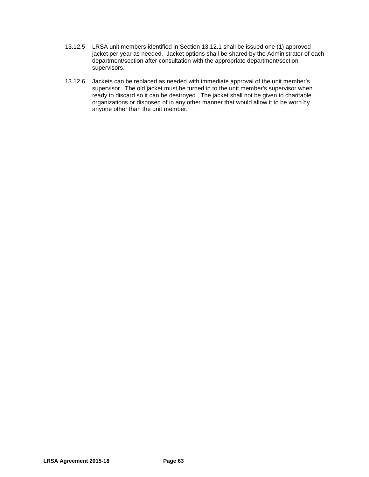- 13.12.5 LRSA unit members identified in Section 13.12.1 shall be issued one (1) approved jacket per year as needed. Jacket options shall be shared by the Administrator of each department/section after consultation with the appropriate department/section supervisors.
- 13.12.6 Jackets can be replaced as needed with immediate approval of the unit member's supervisor. The old jacket must be turned in to the unit member's supervisor when ready to discard so it can be destroyed. The jacket shall not be given to charitable organizations or disposed of in any other manner that would allow it to be worn by anyone other than the unit member.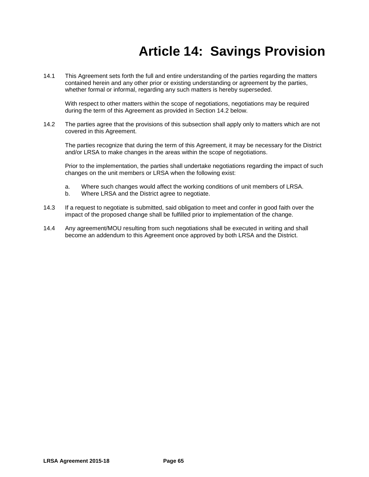# **Article 14: Savings Provision**

14.1 This Agreement sets forth the full and entire understanding of the parties regarding the matters contained herein and any other prior or existing understanding or agreement by the parties, whether formal or informal, regarding any such matters is hereby superseded.

With respect to other matters within the scope of negotiations, negotiations may be required during the term of this Agreement as provided in Section 14.2 below.

14.2 The parties agree that the provisions of this subsection shall apply only to matters which are not covered in this Agreement.

The parties recognize that during the term of this Agreement, it may be necessary for the District and/or LRSA to make changes in the areas within the scope of negotiations.

Prior to the implementation, the parties shall undertake negotiations regarding the impact of such changes on the unit members or LRSA when the following exist:

- a. Where such changes would affect the working conditions of unit members of LRSA.
- b. Where LRSA and the District agree to negotiate.
- 14.3 If a request to negotiate is submitted, said obligation to meet and confer in good faith over the impact of the proposed change shall be fulfilled prior to implementation of the change.
- 14.4 Any agreement/MOU resulting from such negotiations shall be executed in writing and shall become an addendum to this Agreement once approved by both LRSA and the District.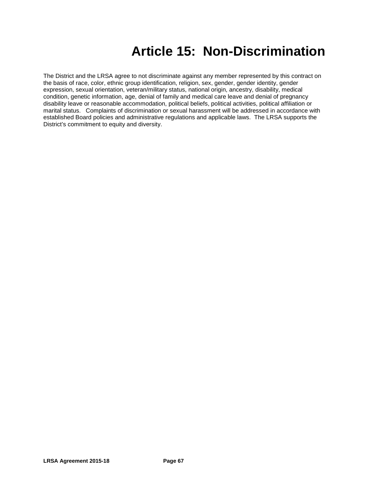# **Article 15: Non-Discrimination**

The District and the LRSA agree to not discriminate against any member represented by this contract on the basis of race, color, ethnic group identification, religion, sex, gender, gender identity, gender expression, sexual orientation, veteran/military status, national origin, ancestry, disability, medical condition, genetic information, age, denial of family and medical care leave and denial of pregnancy disability leave or reasonable accommodation, political beliefs, political activities, political affiliation or marital status. Complaints of discrimination or sexual harassment will be addressed in accordance with established Board policies and administrative regulations and applicable laws. The LRSA supports the District's commitment to equity and diversity.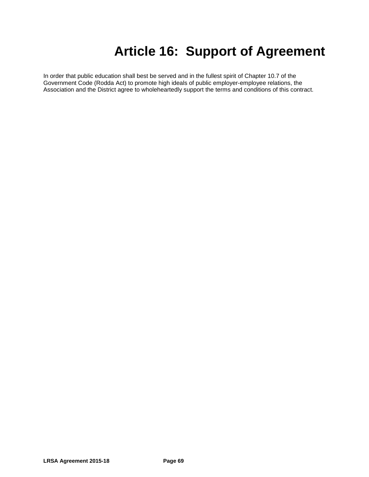# **Article 16: Support of Agreement**

In order that public education shall best be served and in the fullest spirit of Chapter 10.7 of the Government Code (Rodda Act) to promote high ideals of public employer-employee relations, the Association and the District agree to wholeheartedly support the terms and conditions of this contract.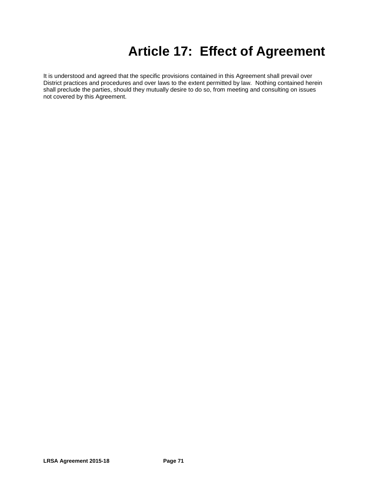# **Article 17: Effect of Agreement**

It is understood and agreed that the specific provisions contained in this Agreement shall prevail over District practices and procedures and over laws to the extent permitted by law. Nothing contained herein shall preclude the parties, should they mutually desire to do so, from meeting and consulting on issues not covered by this Agreement.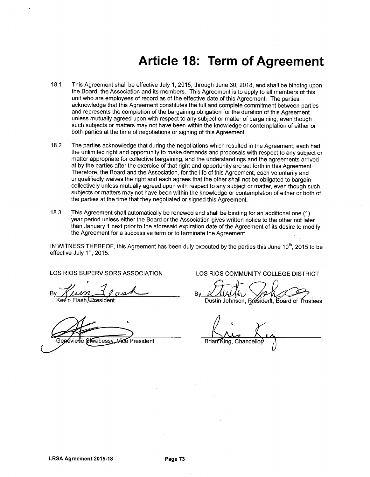## **Article 18: Term of Agreement**

- This Agreement shall be effective July 1, 2015, through June 30, 2018, and shall be binding upon 18.1 the Board, the Association and its members. This Agreement is to apply to all members of this unit who are employees of record as of the effective date of this Agreement. The parties acknowledge that this Agreement constitutes the full and complete commitment between parties and represents the completion of the bargaining obligation for the duration of this Agreement unless mutually agreed upon with respect to any subject or matter of bargaining, even though such subjects or matters may not have been within the knowledge or contemplation of either or both parties at the time of negotiations or signing of this Agreement.
- $182$ The parties acknowledge that during the negotiations which resulted in the Agreement, each had the unlimited right and opportunity to make demands and proposals with respect to any subject or matter appropriate for collective bargaining, and the understandings and the agreements arrived at by the parties after the exercise of that right and opportunity are set forth in this Agreement. Therefore, the Board and the Association, for the life of this Agreement, each voluntarily and unqualifiedly waives the right and each agrees that the other shall not be obligated to bargain collectively unless mutually agreed upon with respect to any subject or matter, even though such subiects or matters may not have been within the knowledge or contemplation of either or both of the parties at the time that they negotiated or signed this Agreement.
- 18.3 This Agreement shall automatically be renewed and shall be binding for an additional one (1) vear period unless either the Board or the Association gives written notice to the other not later than January 1 next prior to the aforesaid expiration date of the Agreement of its desire to modify the Agreement for a successive term or to terminate the Agreement.

IN WITNESS THEREOF, this Agreement has been duly executed by the parties this June 10<sup>th</sup>, 2015 to be effective July 1<sup>st</sup>, 2015.

**LOS RIOS SUPERVISORS ASSOCIATION** 

, ,,,,

Genévieve Siwabessy Vice President

LOS RIOS COMMUNITY COLLEGE DISTRICT

Bv

Dustin Johnson, President, Board of

Brian King, Chancello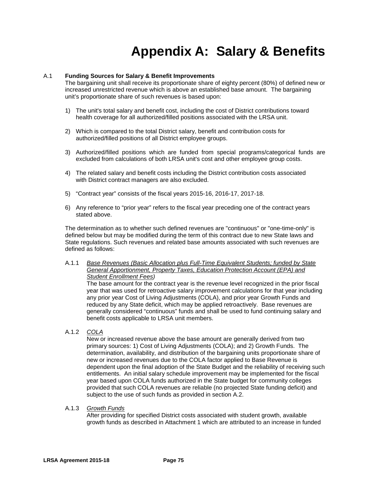# **Appendix A: Salary & Benefits**

#### A.1 **Funding Sources for Salary & Benefit Improvements**

The bargaining unit shall receive its proportionate share of eighty percent (80%) of defined new or increased unrestricted revenue which is above an established base amount. The bargaining unit's proportionate share of such revenues is based upon:

- 1) The unit's total salary and benefit cost, including the cost of District contributions toward health coverage for all authorized/filled positions associated with the LRSA unit.
- 2) Which is compared to the total District salary, benefit and contribution costs for authorized/filled positions of all District employee groups.
- 3) Authorized/filled positions which are funded from special programs/categorical funds are excluded from calculations of both LRSA unit's cost and other employee group costs.
- 4) The related salary and benefit costs including the District contribution costs associated with District contract managers are also excluded.
- 5) "Contract year" consists of the fiscal years 2015-16, 2016-17, 2017-18.
- 6) Any reference to "prior year" refers to the fiscal year preceding one of the contract years stated above.

The determination as to whether such defined revenues are "continuous" or "one-time-only" is defined below but may be modified during the term of this contract due to new State laws and State regulations. Such revenues and related base amounts associated with such revenues are defined as follows:

#### A.1.1 *Base Revenues (Basic Allocation plus Full-Time Equivalent Students; funded by State General Apportionment, Property Taxes, Education Protection Account (EPA) and Student Enrollment Fees)*

The base amount for the contract year is the revenue level recognized in the prior fiscal year that was used for retroactive salary improvement calculations for that year including any prior year Cost of Living Adjustments (COLA), and prior year Growth Funds and reduced by any State deficit, which may be applied retroactively. Base revenues are generally considered "continuous" funds and shall be used to fund continuing salary and benefit costs applicable to LRSA unit members.

A.1.2 *COLA*

New or increased revenue above the base amount are generally derived from two primary sources: 1) Cost of Living Adjustments (COLA); and 2) Growth Funds. The determination, availability, and distribution of the bargaining units proportionate share of new or increased revenues due to the COLA factor applied to Base Revenue is dependent upon the final adoption of the State Budget and the reliability of receiving such entitlements. An initial salary schedule improvement may be implemented for the fiscal year based upon COLA funds authorized in the State budget for community colleges provided that such COLA revenues are reliable (no projected State funding deficit) and subject to the use of such funds as provided in section A.2.

#### A.1.3 *Growth Funds*

After providing for specified District costs associated with student growth, available growth funds as described in Attachment 1 which are attributed to an increase in funded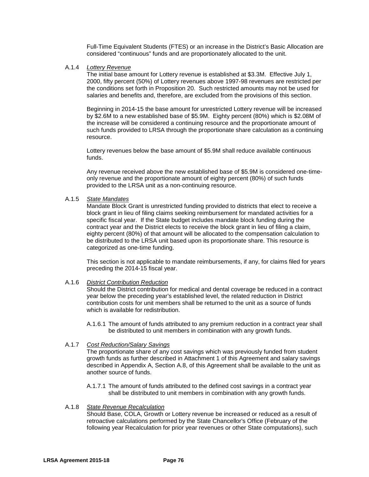Full-Time Equivalent Students (FTES) or an increase in the District's Basic Allocation are considered "continuous" funds and are proportionately allocated to the unit.

#### A.1.4 *Lottery Revenue*

The initial base amount for Lottery revenue is established at \$3.3M. Effective July 1, 2000, fifty percent (50%) of Lottery revenues above 1997-98 revenues are restricted per the conditions set forth in Proposition 20. Such restricted amounts may not be used for salaries and benefits and, therefore, are excluded from the provisions of this section.

Beginning in 2014-15 the base amount for unrestricted Lottery revenue will be increased by \$2.6M to a new established base of \$5.9M. Eighty percent (80%) which is \$2.08M of the increase will be considered a continuing resource and the proportionate amount of such funds provided to LRSA through the proportionate share calculation as a continuing resource.

Lottery revenues below the base amount of \$5.9M shall reduce available continuous funds.

Any revenue received above the new established base of \$5.9M is considered one-timeonly revenue and the proportionate amount of eighty percent (80%) of such funds provided to the LRSA unit as a non-continuing resource.

#### A.1.5 *State Mandates*

Mandate Block Grant is unrestricted funding provided to districts that elect to receive a block grant in lieu of filing claims seeking reimbursement for mandated activities for a specific fiscal year. If the State budget includes mandate block funding during the contract year and the District elects to receive the block grant in lieu of filing a claim, eighty percent (80%) of that amount will be allocated to the compensation calculation to be distributed to the LRSA unit based upon its proportionate share. This resource is categorized as one-time funding.

This section is not applicable to mandate reimbursements, if any, for claims filed for years preceding the 2014-15 fiscal year.

#### A.1.6 *District Contribution Reduction*

Should the District contribution for medical and dental coverage be reduced in a contract year below the preceding year's established level, the related reduction in District contribution costs for unit members shall be returned to the unit as a source of funds which is available for redistribution.

A.1.6.1 The amount of funds attributed to any premium reduction in a contract year shall be distributed to unit members in combination with any growth funds.

#### A.1.7 *Cost Reduction/Salary Savings*

The proportionate share of any cost savings which was previously funded from student growth funds as further described in Attachment 1 of this Agreement and salary savings described in Appendix A, Section A.8, of this Agreement shall be available to the unit as another source of funds.

A.1.7.1 The amount of funds attributed to the defined cost savings in a contract year shall be distributed to unit members in combination with any growth funds.

#### A.1.8 *State Revenue Recalculation*

Should Base, COLA, Growth or Lottery revenue be increased or reduced as a result of retroactive calculations performed by the State Chancellor's Office (February of the following year Recalculation for prior year revenues or other State computations), such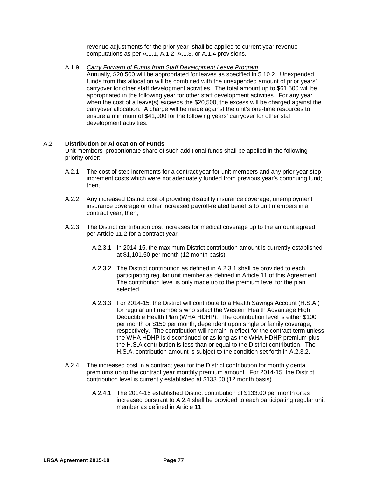revenue adjustments for the prior year shall be applied to current year revenue computations as per A.1.1, A.1.2, A.1.3, or A.1.4 provisions.

A.1.9 *Carry Forward of Funds from Staff Development Leave Program*

Annually, \$20,500 will be appropriated for leaves as specified in 5.10.2. Unexpended funds from this allocation will be combined with the unexpended amount of prior years' carryover for other staff development activities. The total amount up to \$61,500 will be appropriated in the following year for other staff development activities. For any year when the cost of a leave(s) exceeds the \$20,500, the excess will be charged against the carryover allocation. A charge will be made against the unit's one-time resources to ensure a minimum of \$41,000 for the following years' carryover for other staff development activities.

#### A.2 **Distribution or Allocation of Funds**

Unit members' proportionate share of such additional funds shall be applied in the following priority order:

- A.2.1 The cost of step increments for a contract year for unit members and any prior year step increment costs which were not adequately funded from previous year's continuing fund; then;
- A.2.2 Any increased District cost of providing disability insurance coverage, unemployment insurance coverage or other increased payroll-related benefits to unit members in a contract year; then;
- A.2.3 The District contribution cost increases for medical coverage up to the amount agreed per Article 11.2 for a contract year.
	- A.2.3.1 In 2014-15, the maximum District contribution amount is currently established at \$1,101.50 per month (12 month basis).
	- A.2.3.2 The District contribution as defined in A.2.3.1 shall be provided to each participating regular unit member as defined in Article 11 of this Agreement. The contribution level is only made up to the premium level for the plan selected.
	- A.2.3.3 For 2014-15, the District will contribute to a Health Savings Account (H.S.A.) for regular unit members who select the Western Health Advantage High Deductible Health Plan (WHA HDHP). The contribution level is either \$100 per month or \$150 per month, dependent upon single or family coverage, respectively. The contribution will remain in effect for the contract term unless the WHA HDHP is discontinued or as long as the WHA HDHP premium plus the H.S.A contribution is less than or equal to the District contribution. The H.S.A. contribution amount is subject to the condition set forth in A.2.3.2.
- A.2.4 The increased cost in a contract year for the District contribution for monthly dental premiums up to the contract year monthly premium amount. For 2014-15, the District contribution level is currently established at \$133.00 (12 month basis).
	- A.2.4.1 The 2014-15 established District contribution of \$133.00 per month or as increased pursuant to A.2.4 shall be provided to each participating regular unit member as defined in Article 11.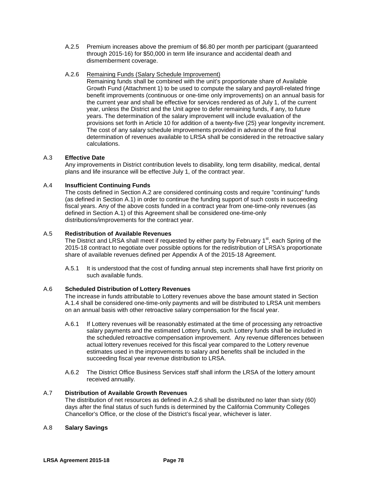A.2.5 Premium increases above the premium of \$6.80 per month per participant (guaranteed through 2015-16) for \$50,000 in term life insurance and accidental death and dismemberment coverage.

#### A.2.6 Remaining Funds (Salary Schedule Improvement)

Remaining funds shall be combined with the unit's proportionate share of Available Growth Fund (Attachment 1) to be used to compute the salary and payroll-related fringe benefit improvements (continuous or one-time only improvements) on an annual basis for the current year and shall be effective for services rendered as of July 1, of the current year, unless the District and the Unit agree to defer remaining funds, if any, to future years. The determination of the salary improvement will include evaluation of the provisions set forth in Article 10 for addition of a twenty-five (25) year longevity increment. The cost of any salary schedule improvements provided in advance of the final determination of revenues available to LRSA shall be considered in the retroactive salary calculations.

#### A.3 **Effective Date**

Any improvements in District contribution levels to disability, long term disability, medical, dental plans and life insurance will be effective July 1, of the contract year.

#### A.4 **Insufficient Continuing Funds**

The costs defined in Section A.2 are considered continuing costs and require "continuing" funds (as defined in Section A.1) in order to continue the funding support of such costs in succeeding fiscal years. Any of the above costs funded in a contract year from one-time-only revenues (as defined in Section A.1) of this Agreement shall be considered one-time-only distributions/improvements for the contract year.

#### A.5 **Redistribution of Available Revenues**

The District and LRSA shall meet if requested by either party by February  $1<sup>st</sup>$ , each Spring of the 2015-18 contract to negotiate over possible options for the redistribution of LRSA's proportionate share of available revenues defined per Appendix A of the 2015-18 Agreement.

A.5.1 It is understood that the cost of funding annual step increments shall have first priority on such available funds.

#### A.6 **Scheduled Distribution of Lottery Revenues**

The increase in funds attributable to Lottery revenues above the base amount stated in Section A.1.4 shall be considered one-time-only payments and will be distributed to LRSA unit members on an annual basis with other retroactive salary compensation for the fiscal year.

- A.6.1 If Lottery revenues will be reasonably estimated at the time of processing any retroactive salary payments and the estimated Lottery funds, such Lottery funds shall be included in the scheduled retroactive compensation improvement. Any revenue differences between actual lottery revenues received for this fiscal year compared to the Lottery revenue estimates used in the improvements to salary and benefits shall be included in the succeeding fiscal year revenue distribution to LRSA.
- A.6.2 The District Office Business Services staff shall inform the LRSA of the lottery amount received annually.

#### A.7 **Distribution of Available Growth Revenues**

The distribution of net resources as defined in A.2.6 shall be distributed no later than sixty (60) days after the final status of such funds is determined by the California Community Colleges Chancellor's Office, or the close of the District's fiscal year, whichever is later.

#### A.8 **Salary Savings**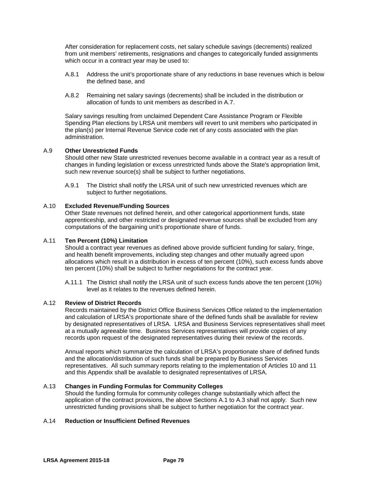After consideration for replacement costs, net salary schedule savings (decrements) realized from unit members' retirements, resignations and changes to categorically funded assignments which occur in a contract year may be used to:

- A.8.1 Address the unit's proportionate share of any reductions in base revenues which is below the defined base, and
- A.8.2 Remaining net salary savings (decrements) shall be included in the distribution or allocation of funds to unit members as described in A.7.

Salary savings resulting from unclaimed Dependent Care Assistance Program or Flexible Spending Plan elections by LRSA unit members will revert to unit members who participated in the plan(s) per Internal Revenue Service code net of any costs associated with the plan administration.

#### A.9 **Other Unrestricted Funds**

Should other new State unrestricted revenues become available in a contract year as a result of changes in funding legislation or excess unrestricted funds above the State's appropriation limit, such new revenue source(s) shall be subject to further negotiations.

A.9.1 The District shall notify the LRSA unit of such new unrestricted revenues which are subject to further negotiations.

#### A.10 **Excluded Revenue/Funding Sources**

Other State revenues not defined herein, and other categorical apportionment funds, state apprenticeship, and other restricted or designated revenue sources shall be excluded from any computations of the bargaining unit's proportionate share of funds.

#### A.11 **Ten Percent (10%) Limitation**

Should a contract year revenues as defined above provide sufficient funding for salary, fringe, and health benefit improvements, including step changes and other mutually agreed upon allocations which result in a distribution in excess of ten percent (10%), such excess funds above ten percent (10%) shall be subject to further negotiations for the contract year.

A.11.1 The District shall notify the LRSA unit of such excess funds above the ten percent (10%) level as it relates to the revenues defined herein.

#### A.12 **Review of District Records**

Records maintained by the District Office Business Services Office related to the implementation and calculation of LRSA's proportionate share of the defined funds shall be available for review by designated representatives of LRSA. LRSA and Business Services representatives shall meet at a mutually agreeable time. Business Services representatives will provide copies of any records upon request of the designated representatives during their review of the records.

Annual reports which summarize the calculation of LRSA's proportionate share of defined funds and the allocation/distribution of such funds shall be prepared by Business Services representatives. All such summary reports relating to the implementation of Articles 10 and 11 and this Appendix shall be available to designated representatives of LRSA.

#### A.13 **Changes in Funding Formulas for Community Colleges**

Should the funding formula for community colleges change substantially which affect the application of the contract provisions, the above Sections A.1 to A.3 shall not apply. Such new unrestricted funding provisions shall be subject to further negotiation for the contract year.

#### A.14 **Reduction or Insufficient Defined Revenues**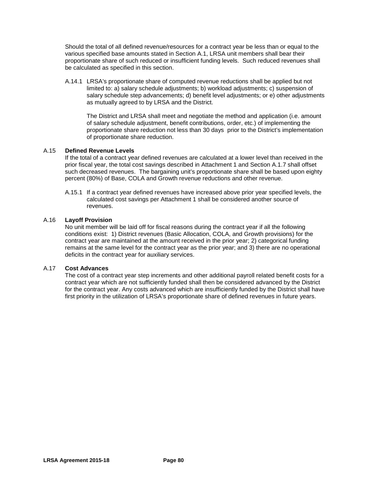Should the total of all defined revenue/resources for a contract year be less than or equal to the various specified base amounts stated in Section A.1, LRSA unit members shall bear their proportionate share of such reduced or insufficient funding levels. Such reduced revenues shall be calculated as specified in this section.

A.14.1 LRSA's proportionate share of computed revenue reductions shall be applied but not limited to: a) salary schedule adjustments; b) workload adjustments; c) suspension of salary schedule step advancements; d) benefit level adjustments; or e) other adjustments as mutually agreed to by LRSA and the District.

The District and LRSA shall meet and negotiate the method and application (i.e. amount of salary schedule adjustment, benefit contributions, order, etc.) of implementing the proportionate share reduction not less than 30 days prior to the District's implementation of proportionate share reduction.

#### A.15 **Defined Revenue Levels**

If the total of a contract year defined revenues are calculated at a lower level than received in the prior fiscal year, the total cost savings described in Attachment 1 and Section A.1.7 shall offset such decreased revenues. The bargaining unit's proportionate share shall be based upon eighty percent (80%) of Base, COLA and Growth revenue reductions and other revenue.

A.15.1 If a contract year defined revenues have increased above prior year specified levels, the calculated cost savings per Attachment 1 shall be considered another source of revenues.

#### A.16 **Layoff Provision**

No unit member will be laid off for fiscal reasons during the contract year if all the following conditions exist: 1) District revenues (Basic Allocation, COLA, and Growth provisions) for the contract year are maintained at the amount received in the prior year; 2) categorical funding remains at the same level for the contract year as the prior year; and 3) there are no operational deficits in the contract year for auxiliary services.

#### A.17 **Cost Advances**

The cost of a contract year step increments and other additional payroll related benefit costs for a contract year which are not sufficiently funded shall then be considered advanced by the District for the contract year. Any costs advanced which are insufficiently funded by the District shall have first priority in the utilization of LRSA's proportionate share of defined revenues in future years.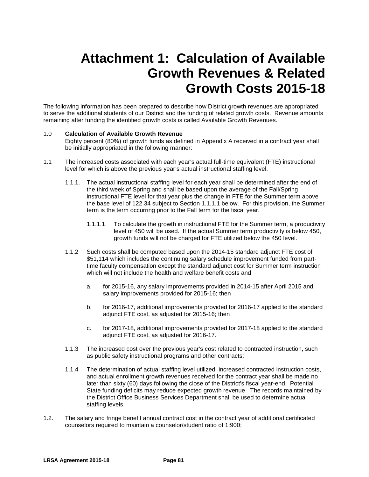# **Attachment 1: Calculation of Available Growth Revenues & Related Growth Costs 2015-18**

The following information has been prepared to describe how District growth revenues are appropriated to serve the additional students of our District and the funding of related growth costs. Revenue amounts remaining after funding the identified growth costs is called Available Growth Revenues.

#### 1.0 **Calculation of Available Growth Revenue**

Eighty percent (80%) of growth funds as defined in Appendix A received in a contract year shall be initially appropriated in the following manner:

- 1.1 The increased costs associated with each year's actual full-time equivalent (FTE) instructional level for which is above the previous year's actual instructional staffing level.
	- 1.1.1. The actual instructional staffing level for each year shall be determined after the end of the third week of Spring and shall be based upon the average of the Fall/Spring instructional FTE level for that year plus the change in FTE for the Summer term above the base level of 122.34 subject to Section 1.1.1.1 below. For this provision, the Summer term is the term occurring prior to the Fall term for the fiscal year.
		- 1.1.1.1. To calculate the growth in instructional FTE for the Summer term, a productivity level of 450 will be used. If the actual Summer term productivity is below 450, growth funds will not be charged for FTE utilized below the 450 level.
	- 1.1.2 Such costs shall be computed based upon the 2014-15 standard adjunct FTE cost of \$51,114 which includes the continuing salary schedule improvement funded from parttime faculty compensation except the standard adjunct cost for Summer term instruction which will not include the health and welfare benefit costs and
		- a. for 2015-16, any salary improvements provided in 2014-15 after April 2015 and salary improvements provided for 2015-16; then
		- b. for 2016-17, additional improvements provided for 2016-17 applied to the standard adjunct FTE cost, as adjusted for 2015-16; then
		- c. for 2017-18, additional improvements provided for 2017-18 applied to the standard adjunct FTE cost, as adjusted for 2016-17.
	- 1.1.3 The increased cost over the previous year's cost related to contracted instruction, such as public safety instructional programs and other contracts;
	- 1.1.4 The determination of actual staffing level utilized, increased contracted instruction costs, and actual enrollment growth revenues received for the contract year shall be made no later than sixty (60) days following the close of the District's fiscal year-end. Potential State funding deficits may reduce expected growth revenue.The records maintained by the District Office Business Services Department shall be used to determine actual staffing levels.
- 1.2. The salary and fringe benefit annual contract cost in the contract year of additional certificated counselors required to maintain a counselor/student ratio of 1:900;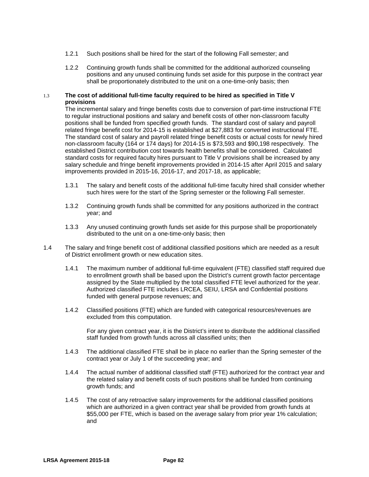- 1.2.1 Such positions shall be hired for the start of the following Fall semester; and
- 1.2.2 Continuing growth funds shall be committed for the additional authorized counseling positions and any unused continuing funds set aside for this purpose in the contract year shall be proportionately distributed to the unit on a one-time-only basis; then

#### 1.3 **The cost of additional full-time faculty required to be hired as specified in Title V provisions**

The incremental salary and fringe benefits costs due to conversion of part-time instructional FTE to regular instructional positions and salary and benefit costs of other non-classroom faculty positions shall be funded from specified growth funds. The standard cost of salary and payroll related fringe benefit cost for 2014-15 is established at \$27,883 for converted instructional FTE. The standard cost of salary and payroll related fringe benefit costs or actual costs for newly hired non-classroom faculty (164 or 174 days) for 2014-15 is \$73,593 and \$90,198 respectively.The established District contribution cost towards health benefits shall be considered. Calculated standard costs for required faculty hires pursuant to Title V provisions shall be increased by any salary schedule and fringe benefit improvements provided in 2014-15 after April 2015 and salary improvements provided in 2015-16, 2016-17, and 2017-18, as applicable;

- 1.3.1 The salary and benefit costs of the additional full-time faculty hired shall consider whether such hires were for the start of the Spring semester or the following Fall semester.
- 1.3.2 Continuing growth funds shall be committed for any positions authorized in the contract year; and
- 1.3.3 Any unused continuing growth funds set aside for this purpose shall be proportionately distributed to the unit on a one-time-only basis; then
- 1.4 The salary and fringe benefit cost of additional classified positions which are needed as a result of District enrollment growth or new education sites.
	- 1.4.1 The maximum number of additional full-time equivalent (FTE) classified staff required due to enrollment growth shall be based upon the District's current growth factor percentage assigned by the State multiplied by the total classified FTE level authorized for the year. Authorized classified FTE includes LRCEA, SEIU, LRSA and Confidential positions funded with general purpose revenues; and
	- 1.4.2 Classified positions (FTE) which are funded with categorical resources/revenues are excluded from this computation.

For any given contract year, it is the District's intent to distribute the additional classified staff funded from growth funds across all classified units; then

- 1.4.3 The additional classified FTE shall be in place no earlier than the Spring semester of the contract year or July 1 of the succeeding year; and
- 1.4.4 The actual number of additional classified staff (FTE) authorized for the contract year and the related salary and benefit costs of such positions shall be funded from continuing growth funds; and
- 1.4.5 The cost of any retroactive salary improvements for the additional classified positions which are authorized in a given contract year shall be provided from growth funds at \$55,000 per FTE, which is based on the average salary from prior year 1% calculation; and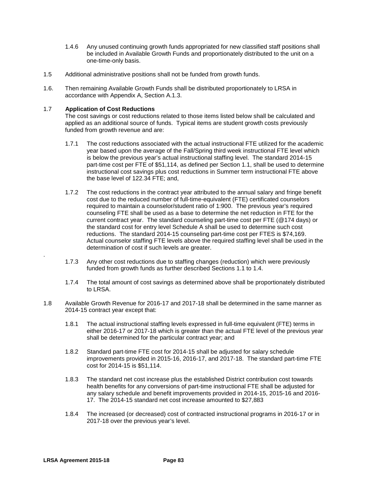- 1.4.6 Any unused continuing growth funds appropriated for new classified staff positions shall be included in Available Growth Funds and proportionately distributed to the unit on a one-time-only basis.
- 1.5 Additional administrative positions shall not be funded from growth funds.
- 1.6. Then remaining Available Growth Funds shall be distributed proportionately to LRSA in accordance with Appendix A, Section A.1.3.

#### 1.7 **Application of Cost Reductions**

The cost savings or cost reductions related to those items listed below shall be calculated and applied as an additional source of funds. Typical items are student growth costs previously funded from growth revenue and are:

- 1.7.1 The cost reductions associated with the actual instructional FTE utilized for the academic year based upon the average of the Fall/Spring third week instructional FTE level which is below the previous year's actual instructional staffing level. The standard 2014-15 part-time cost per FTE of \$51,114, as defined per Section 1.1, shall be used to determine instructional cost savings plus cost reductions in Summer term instructional FTE above the base level of 122.34 FTE; and,
- 1.7.2 The cost reductions in the contract year attributed to the annual salary and fringe benefit cost due to the reduced number of full-time-equivalent (FTE) certificated counselors required to maintain a counselor/student ratio of 1:900. The previous year's required counseling FTE shall be used as a base to determine the net reduction in FTE for the current contract year. The standard counseling part-time cost per FTE (@174 days) or the standard cost for entry level Schedule A shall be used to determine such cost reductions. The standard 2014-15 counseling part-time cost per FTES is \$74,169. Actual counselor staffing FTE levels above the required staffing level shall be used in the determination of cost if such levels are greater.
- 1.7.3 Any other cost reductions due to staffing changes (reduction) which were previously funded from growth funds as further described Sections 1.1 to 1.4.
- 1.7.4 The total amount of cost savings as determined above shall be proportionately distributed to LRSA.
- 1.8 Available Growth Revenue for 2016-17 and 2017-18 shall be determined in the same manner as 2014-15 contract year except that:
	- 1.8.1 The actual instructional staffing levels expressed in full-time equivalent (FTE) terms in either 2016-17 or 2017-18 which is greater than the actual FTE level of the previous year shall be determined for the particular contract year; and
	- 1.8.2 Standard part-time FTE cost for 2014-15 shall be adjusted for salary schedule improvements provided in 2015-16, 2016-17, and 2017-18. The standard part-time FTE cost for 2014-15 is \$51,114.
	- 1.8.3 The standard net cost increase plus the established District contribution cost towards health benefits for any conversions of part-time instructional FTE shall be adjusted for any salary schedule and benefit improvements provided in 2014-15, 2015-16 and 2016- 17. The 2014-15 standard net cost increase amounted to \$27,883
	- 1.8.4 The increased (or decreased) cost of contracted instructional programs in 2016-17 or in 2017-18 over the previous year's level.

.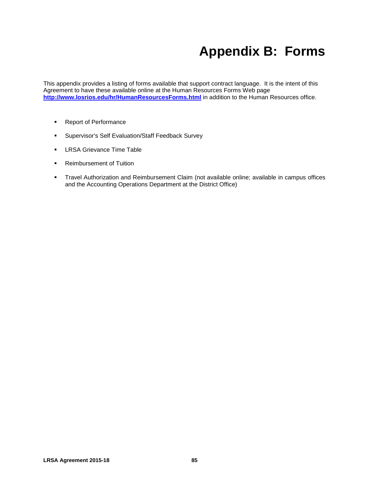# **Appendix B: Forms**

This appendix provides a listing of forms available that support contract language. It is the intent of this Agreement to have these available online at the Human Resources Forms Web page <http://www.losrios.edu/hr/HumanResourcesForms.html> in addition to the Human Resources office.

- **Report of Performance**
- **Supervisor's Self Evaluation/Staff Feedback Survey**
- **LRSA Grievance Time Table**
- **Reimbursement of Tuition**
- **Travel Authorization and Reimbursement Claim (not available online; available in campus offices** and the Accounting Operations Department at the District Office)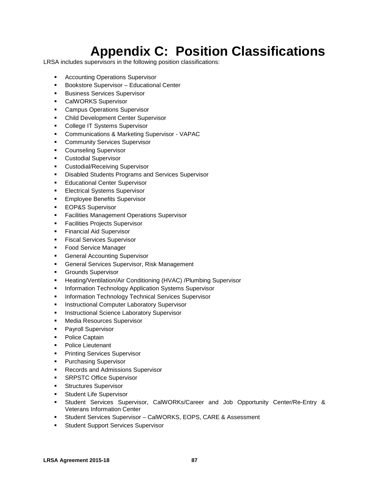# **Appendix C: Position Classifications**

LRSA includes supervisors in the following position classifications:

- **Accounting Operations Supervisor**
- **Bookstore Supervisor Educational Center**
- **Business Services Supervisor**
- **CalWORKS Supervisor**
- **Campus Operations Supervisor**
- **Child Development Center Supervisor**
- **College IT Systems Supervisor**
- Communications & Marketing Supervisor VAPAC
- **EXECOMMUNITY Services Supervisor**
- **Counseling Supervisor**
- **Custodial Supervisor**
- **Custodial/Receiving Supervisor**
- **Disabled Students Programs and Services Supervisor**
- **Educational Center Supervisor**
- **Electrical Systems Supervisor**
- **Employee Benefits Supervisor**
- **EOP&S Supervisor**
- **Facilities Management Operations Supervisor**
- **Facilities Projects Supervisor**
- **Financial Aid Supervisor**
- **Fiscal Services Supervisor**
- **Food Service Manager**
- **General Accounting Supervisor**
- **General Services Supervisor, Risk Management**
- **Grounds Supervisor**
- **Heating/Ventilation/Air Conditioning (HVAC) /Plumbing Supervisor**
- **Information Technology Application Systems Supervisor**
- **Information Technology Technical Services Supervisor**
- **Instructional Computer Laboratory Supervisor**
- **Instructional Science Laboratory Supervisor**
- **Media Resources Supervisor**
- **Payroll Supervisor**
- **•** Police Captain
- **Police Lieutenant**
- **Printing Services Supervisor**
- **Purchasing Supervisor**
- **Records and Admissions Supervisor**
- **SRPSTC Office Supervisor**
- **Structures Supervisor**
- **Student Life Supervisor**
- Student Services Supervisor, CalWORKs/Career and Job Opportunity Center/Re-Entry & Veterans Information Center
- Student Services Supervisor CalWORKS, EOPS, CARE & Assessment
- **Student Support Services Supervisor**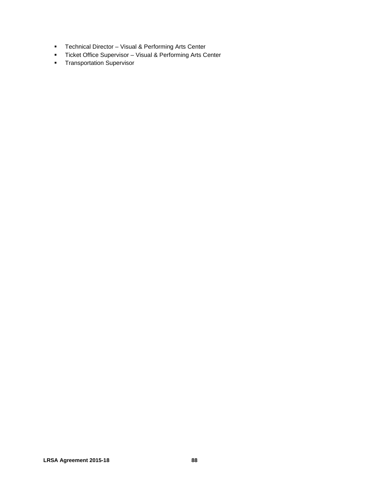- **F** Technical Director Visual & Performing Arts Center
- Ticket Office Supervisor Visual & Performing Arts Center
- **Transportation Supervisor**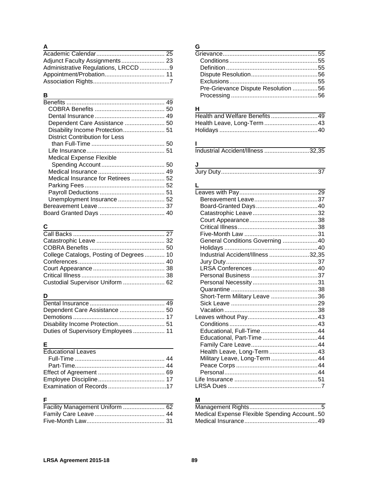### **A**

| Administrative Regulations, LRCCD 9 |  |
|-------------------------------------|--|
|                                     |  |
|                                     |  |

## **B**

| Dependent Care Assistance  50         |  |
|---------------------------------------|--|
|                                       |  |
| <b>District Contribution for Less</b> |  |
|                                       |  |
|                                       |  |
| <b>Medical Expense Flexible</b>       |  |
|                                       |  |
|                                       |  |
| Medical Insurance for Retirees  52    |  |
|                                       |  |
|                                       |  |
|                                       |  |
|                                       |  |
|                                       |  |
|                                       |  |

## **C**

| College Catalogs, Posting of Degrees 10 |  |
|-----------------------------------------|--|
|                                         |  |
|                                         |  |
|                                         |  |
| Custodial Supervisor Uniform  62        |  |

## **D**

| Duties of Supervisory Employees 11 |  |
|------------------------------------|--|

## **E**

| <b>Educational Leaves</b> |  |
|---------------------------|--|
|                           |  |
|                           |  |
|                           |  |
|                           |  |
|                           |  |
|                           |  |

## **F**

| Facility Management Uniform  62 |  |
|---------------------------------|--|
|                                 |  |
|                                 |  |

## **G**

| Pre-Grievance Dispute Resolution 56 |  |
|-------------------------------------|--|
|                                     |  |
|                                     |  |

## **H**

# $\frac{1}{\ln 1}$

## **J**

| Jury ' |  |
|--------|--|
|--------|--|

### **L**

| General Conditions Governing 40   |  |
|-----------------------------------|--|
|                                   |  |
| Industrial Accident/Illness 32,35 |  |
|                                   |  |
|                                   |  |
|                                   |  |
|                                   |  |
|                                   |  |
| Short-Term Military Leave 36      |  |
|                                   |  |
|                                   |  |
|                                   |  |
|                                   |  |
|                                   |  |
| Educational, Part-Time 44         |  |
|                                   |  |
| Health Leave, Long-Term43         |  |
| Military Leave, Long-Term44       |  |
|                                   |  |
|                                   |  |
|                                   |  |
|                                   |  |

## **M**

| Medical Expense Flexible Spending Account50 |  |
|---------------------------------------------|--|
|                                             |  |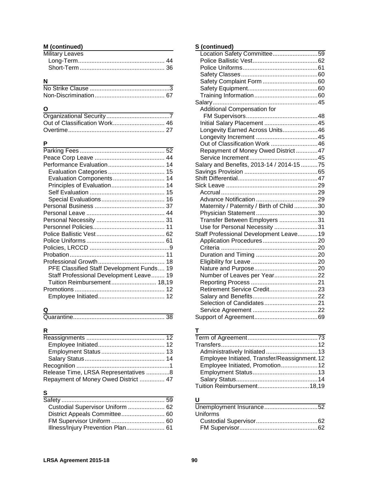### **M (continued)**

| Military Leaves |  |
|-----------------|--|
|                 |  |
|                 |  |

## **N**

### **O**

### **P**

| Evaluation Components 14                  |
|-------------------------------------------|
| Principles of Evaluation 14               |
|                                           |
|                                           |
|                                           |
|                                           |
|                                           |
|                                           |
|                                           |
|                                           |
|                                           |
|                                           |
|                                           |
| PFE Classified Staff Development Funds 19 |
| Staff Professional Development Leave 19   |
| Tuition Reimbursement 18,19               |
|                                           |
|                                           |
|                                           |

## **Q**

|--|--|

## **R**

| Release Time, LRSA Representatives 8 |  |
|--------------------------------------|--|
| Repayment of Money Owed District  47 |  |

## **S**

| Custodial Supervisor Uniform  62  |
|-----------------------------------|
| District Appeals Committee 60     |
|                                   |
| Illness/Injury Prevention Plan 61 |
|                                   |

## **S (continued)**

| Location Safety Committee59               |  |
|-------------------------------------------|--|
|                                           |  |
|                                           |  |
|                                           |  |
|                                           |  |
|                                           |  |
|                                           |  |
|                                           |  |
| Additional Compensation for               |  |
|                                           |  |
| Initial Salary Placement 45               |  |
| Longevity Earned Across Units46           |  |
|                                           |  |
| Out of Classification Work 46             |  |
| Repayment of Money Owed District  47      |  |
|                                           |  |
| Salary and Benefits, 2013-14 / 2014-15 75 |  |
|                                           |  |
|                                           |  |
|                                           |  |
|                                           |  |
|                                           |  |
| Maternity / Paternity / Birth of Child 30 |  |
|                                           |  |
| Transfer Between Employers 31             |  |
| Use for Personal Necessity 31             |  |
| Staff Professional Development Leave 19   |  |
|                                           |  |
|                                           |  |
|                                           |  |
|                                           |  |
|                                           |  |
| Number of Leaves per Year22               |  |
|                                           |  |
| Retirement Service Credit23               |  |
|                                           |  |
|                                           |  |
|                                           |  |
|                                           |  |

### **T**

| Employee Initiated, Transfer/Reassignment. 12 |  |
|-----------------------------------------------|--|
| Employee Initiated, Promotion 12              |  |
|                                               |  |
|                                               |  |
|                                               |  |

## **U**

| Uniforms |  |
|----------|--|
|          |  |
|          |  |